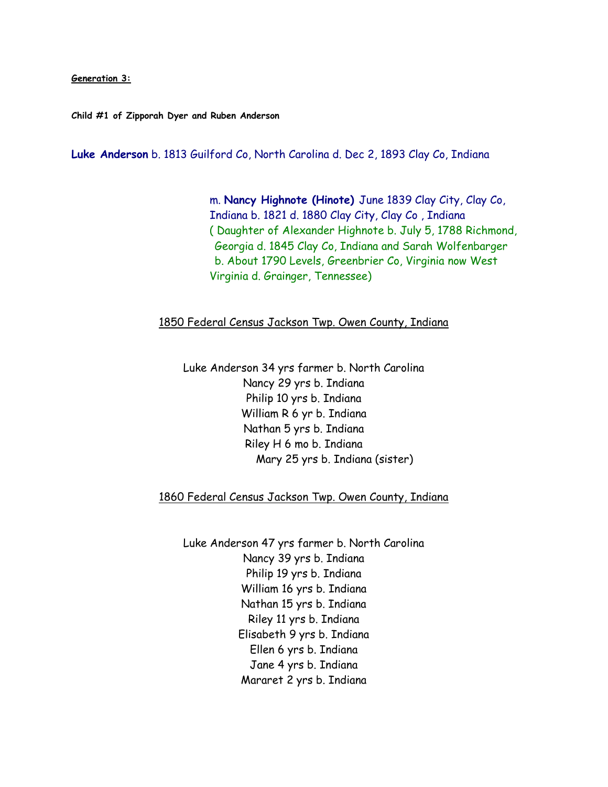#### **Generation 3:**

**Child #1 of Zipporah Dyer and Ruben Anderson**

**Luke Anderson** b. 1813 Guilford Co, North Carolina d. Dec 2, 1893 Clay Co, Indiana

 m. **Nancy Highnote (Hinote)** June 1839 Clay City, Clay Co, Indiana b. 1821 d. 1880 Clay City, Clay Co , Indiana ( Daughter of Alexander Highnote b. July 5, 1788 Richmond, Georgia d. 1845 Clay Co, Indiana and Sarah Wolfenbarger b. About 1790 Levels, Greenbrier Co, Virginia now West Virginia d. Grainger, Tennessee)

### 1850 Federal Census Jackson Twp. Owen County, Indiana

Luke Anderson 34 yrs farmer b. North Carolina Nancy 29 yrs b. Indiana Philip 10 yrs b. Indiana William R 6 yr b. Indiana Nathan 5 yrs b. Indiana Riley H 6 mo b. Indiana Mary 25 yrs b. Indiana (sister)

1860 Federal Census Jackson Twp. Owen County, Indiana

Luke Anderson 47 yrs farmer b. North Carolina Nancy 39 yrs b. Indiana Philip 19 yrs b. Indiana William 16 yrs b. Indiana Nathan 15 yrs b. Indiana Riley 11 yrs b. Indiana Elisabeth 9 yrs b. Indiana Ellen 6 yrs b. Indiana Jane 4 yrs b. Indiana Mararet 2 yrs b. Indiana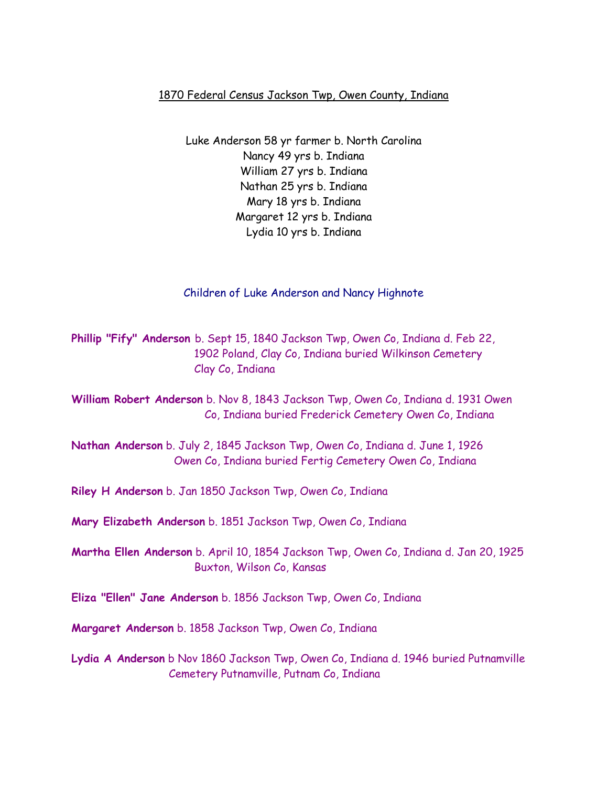## 1870 Federal Census Jackson Twp, Owen County, Indiana

Luke Anderson 58 yr farmer b. North Carolina Nancy 49 yrs b. Indiana William 27 yrs b. Indiana Nathan 25 yrs b. Indiana Mary 18 yrs b. Indiana Margaret 12 yrs b. Indiana Lydia 10 yrs b. Indiana

## Children of Luke Anderson and Nancy Highnote

**Phillip "Fify" Anderson** b. Sept 15, 1840 Jackson Twp, Owen Co, Indiana d. Feb 22, 1902 Poland, Clay Co, Indiana buried Wilkinson Cemetery Clay Co, Indiana

**William Robert Anderson** b. Nov 8, 1843 Jackson Twp, Owen Co, Indiana d. 1931 Owen Co, Indiana buried Frederick Cemetery Owen Co, Indiana

**Nathan Anderson** b. July 2, 1845 Jackson Twp, Owen Co, Indiana d. June 1, 1926 Owen Co, Indiana buried Fertig Cemetery Owen Co, Indiana

**Riley H Anderson** b. Jan 1850 Jackson Twp, Owen Co, Indiana

**Mary Elizabeth Anderson** b. 1851 Jackson Twp, Owen Co, Indiana

**Martha Ellen Anderson** b. April 10, 1854 Jackson Twp, Owen Co, Indiana d. Jan 20, 1925 Buxton, Wilson Co, Kansas

**Eliza "Ellen" Jane Anderson** b. 1856 Jackson Twp, Owen Co, Indiana

**Margaret Anderson** b. 1858 Jackson Twp, Owen Co, Indiana

**Lydia A Anderson** b Nov 1860 Jackson Twp, Owen Co, Indiana d. 1946 buried Putnamville Cemetery Putnamville, Putnam Co, Indiana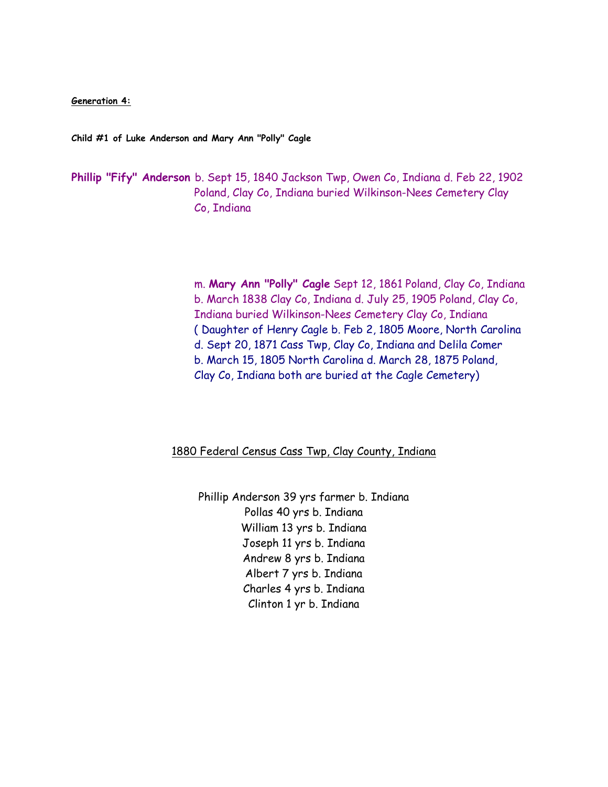**Generation 4:**

**Child #1 of Luke Anderson and Mary Ann "Polly" Cagle**

**Phillip "Fify" Anderson** b. Sept 15, 1840 Jackson Twp, Owen Co, Indiana d. Feb 22, 1902 Poland, Clay Co, Indiana buried Wilkinson-Nees Cemetery Clay Co, Indiana

> m. **Mary Ann "Polly" Cagle** Sept 12, 1861 Poland, Clay Co, Indiana b. March 1838 Clay Co, Indiana d. July 25, 1905 Poland, Clay Co, Indiana buried Wilkinson-Nees Cemetery Clay Co, Indiana ( Daughter of Henry Cagle b. Feb 2, 1805 Moore, North Carolina d. Sept 20, 1871 Cass Twp, Clay Co, Indiana and Delila Comer b. March 15, 1805 North Carolina d. March 28, 1875 Poland, Clay Co, Indiana both are buried at the Cagle Cemetery)

# 1880 Federal Census Cass Twp, Clay County, Indiana

Phillip Anderson 39 yrs farmer b. Indiana Pollas 40 yrs b. Indiana William 13 yrs b. Indiana Joseph 11 yrs b. Indiana Andrew 8 yrs b. Indiana Albert 7 yrs b. Indiana Charles 4 yrs b. Indiana Clinton 1 yr b. Indiana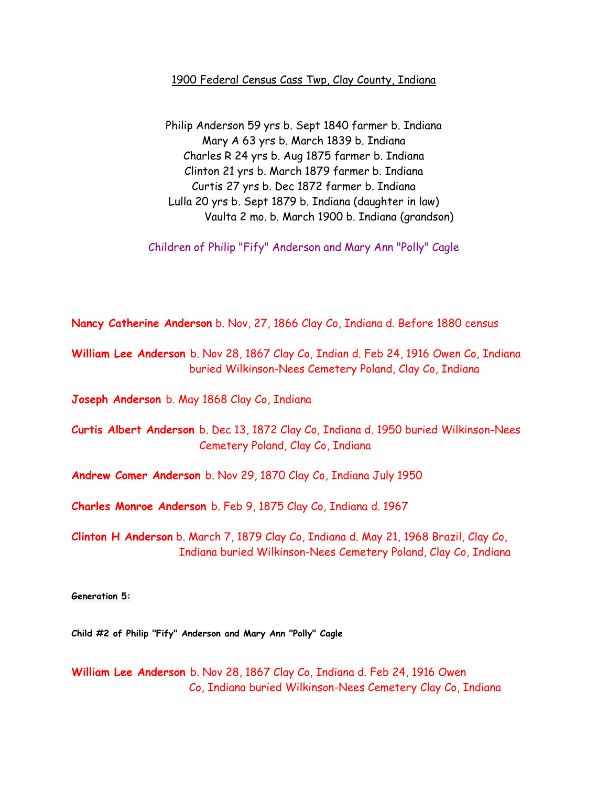## 1900 Federal Census Cass Twp, Clay County, Indiana

Philip Anderson 59 yrs b. Sept 1840 farmer b. Indiana Mary A 63 yrs b. March 1839 b. Indiana Charles R 24 yrs b. Aug 1875 farmer b. Indiana Clinton 21 yrs b. March 1879 farmer b. Indiana Curtis 27 yrs b. Dec 1872 farmer b. Indiana Lulla 20 yrs b. Sept 1879 b. Indiana (daughter in law) Vaulta 2 mo. b. March 1900 b. Indiana (grandson)

Children of Philip "Fify" Anderson and Mary Ann "Polly" Cagle

**Nancy Catherine Anderson** b. Nov, 27, 1866 Clay Co, Indiana d. Before 1880 census

**William Lee Anderson** b. Nov 28, 1867 Clay Co, Indian d. Feb 24, 1916 Owen Co, Indiana buried Wilkinson-Nees Cemetery Poland, Clay Co, Indiana

**Joseph Anderson** b. May 1868 Clay Co, Indiana

**Curtis Albert Anderson** b. Dec 13, 1872 Clay Co, Indiana d. 1950 buried Wilkinson-Nees Cemetery Poland, Clay Co, Indiana

**Andrew Comer Anderson** b. Nov 29, 1870 Clay Co, Indiana July 1950

**Charles Monroe Anderson** b. Feb 9, 1875 Clay Co, Indiana d. 1967

**Clinton H Anderson** b. March 7, 1879 Clay Co, Indiana d. May 21, 1968 Brazil, Clay Co, Indiana buried Wilkinson-Nees Cemetery Poland, Clay Co, Indiana

**Generation 5:**

**Child #2 of Philip "Fify" Anderson and Mary Ann "Polly" Cagle**

**William Lee Anderson** b. Nov 28, 1867 Clay Co, Indiana d. Feb 24, 1916 Owen Co, Indiana buried Wilkinson-Nees Cemetery Clay Co, Indiana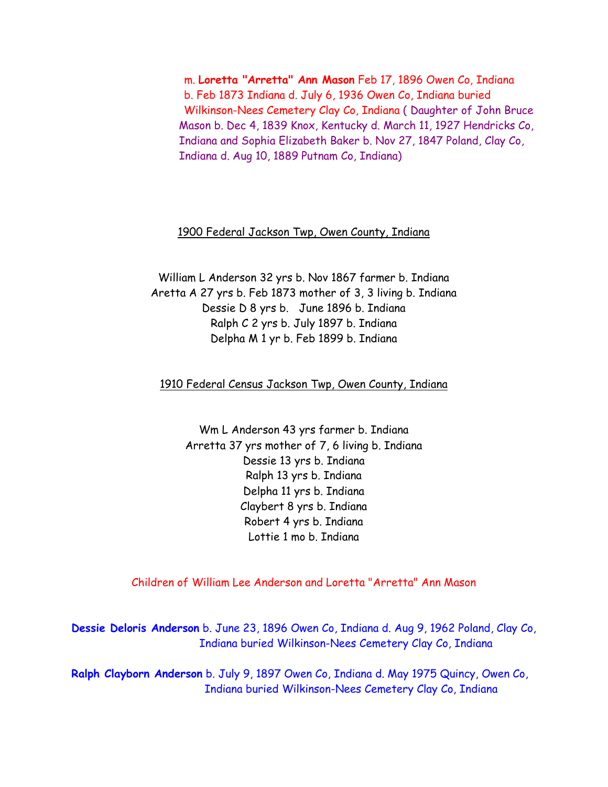m. **Loretta "Arretta" Ann Mason** Feb 17, 1896 Owen Co, Indiana b. Feb 1873 Indiana d. July 6, 1936 Owen Co, Indiana buried Wilkinson-Nees Cemetery Clay Co, Indiana ( Daughter of John Bruce Mason b. Dec 4, 1839 Knox, Kentucky d. March 11, 1927 Hendricks Co, Indiana and Sophia Elizabeth Baker b. Nov 27, 1847 Poland, Clay Co, Indiana d. Aug 10, 1889 Putnam Co, Indiana)

## 1900 Federal Jackson Twp, Owen County, Indiana

William L Anderson 32 yrs b. Nov 1867 farmer b. Indiana Aretta A 27 yrs b. Feb 1873 mother of 3, 3 living b. Indiana Dessie D 8 yrs b. June 1896 b. Indiana Ralph C 2 yrs b. July 1897 b. Indiana Delpha M 1 yr b. Feb 1899 b. Indiana

# 1910 Federal Census Jackson Twp, Owen County, Indiana

Wm L Anderson 43 yrs farmer b. Indiana Arretta 37 yrs mother of 7, 6 living b. Indiana Dessie 13 yrs b. Indiana Ralph 13 yrs b. Indiana Delpha 11 yrs b. Indiana Claybert 8 yrs b. Indiana Robert 4 yrs b. Indiana Lottie 1 mo b. Indiana

# Children of William Lee Anderson and Loretta "Arretta" Ann Mason

**Dessie Deloris Anderson** b. June 23, 1896 Owen Co, Indiana d. Aug 9, 1962 Poland, Clay Co, Indiana buried Wilkinson-Nees Cemetery Clay Co, Indiana

**Ralph Clayborn Anderson** b. July 9, 1897 Owen Co, Indiana d. May 1975 Quincy, Owen Co, Indiana buried Wilkinson-Nees Cemetery Clay Co, Indiana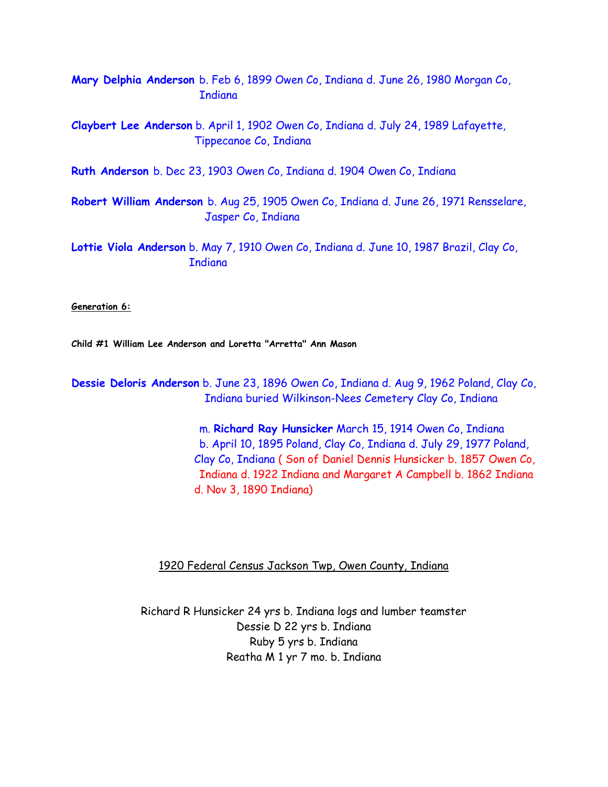**Mary Delphia Anderson** b. Feb 6, 1899 Owen Co, Indiana d. June 26, 1980 Morgan Co, **Indiana** 

**Claybert Lee Anderson** b. April 1, 1902 Owen Co, Indiana d. July 24, 1989 Lafayette, Tippecanoe Co, Indiana

**Ruth Anderson** b. Dec 23, 1903 Owen Co, Indiana d. 1904 Owen Co, Indiana

**Robert William Anderson** b. Aug 25, 1905 Owen Co, Indiana d. June 26, 1971 Rensselare, Jasper Co, Indiana

**Lottie Viola Anderson** b. May 7, 1910 Owen Co, Indiana d. June 10, 1987 Brazil, Clay Co, **Indiana** 

**Generation 6:**

**Child #1 William Lee Anderson and Loretta "Arretta" Ann Mason**

**Dessie Deloris Anderson** b. June 23, 1896 Owen Co, Indiana d. Aug 9, 1962 Poland, Clay Co, Indiana buried Wilkinson-Nees Cemetery Clay Co, Indiana

> m. **Richard Ray Hunsicker** March 15, 1914 Owen Co, Indiana b. April 10, 1895 Poland, Clay Co, Indiana d. July 29, 1977 Poland, Clay Co, Indiana ( Son of Daniel Dennis Hunsicker b. 1857 Owen Co, Indiana d. 1922 Indiana and Margaret A Campbell b. 1862 Indiana d. Nov 3, 1890 Indiana)

### 1920 Federal Census Jackson Twp, Owen County, Indiana

Richard R Hunsicker 24 yrs b. Indiana logs and lumber teamster Dessie D 22 yrs b. Indiana Ruby 5 yrs b. Indiana Reatha M 1 yr 7 mo. b. Indiana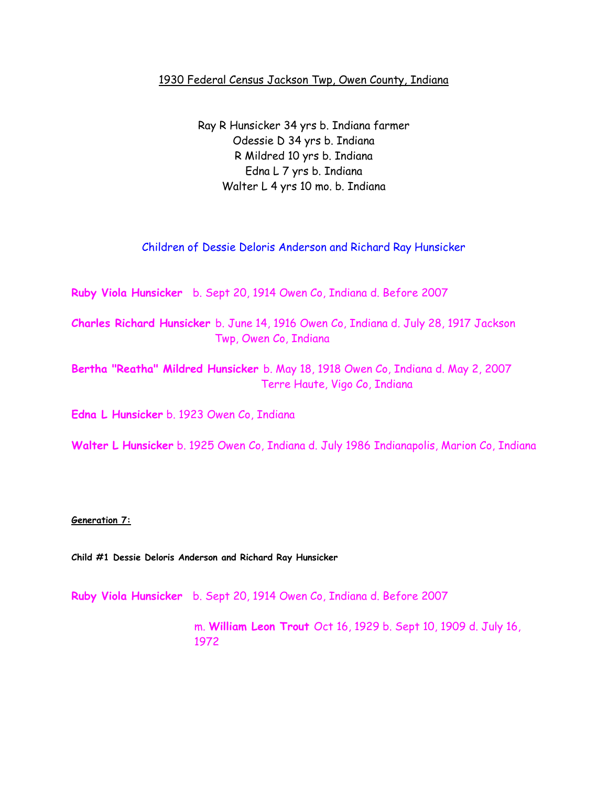## 1930 Federal Census Jackson Twp, Owen County, Indiana

Ray R Hunsicker 34 yrs b. Indiana farmer Odessie D 34 yrs b. Indiana R Mildred 10 yrs b. Indiana Edna L 7 yrs b. Indiana Walter L 4 yrs 10 mo. b. Indiana

## Children of Dessie Deloris Anderson and Richard Ray Hunsicker

**Ruby Viola Hunsicker** b. Sept 20, 1914 Owen Co, Indiana d. Before 2007

**Charles Richard Hunsicker** b. June 14, 1916 Owen Co, Indiana d. July 28, 1917 Jackson Twp, Owen Co, Indiana

**Bertha "Reatha" Mildred Hunsicker** b. May 18, 1918 Owen Co, Indiana d. May 2, 2007 Terre Haute, Vigo Co, Indiana

**Edna L Hunsicker** b. 1923 Owen Co, Indiana

**Walter L Hunsicker** b. 1925 Owen Co, Indiana d. July 1986 Indianapolis, Marion Co, Indiana

### **Generation 7:**

**Child #1 Dessie Deloris Anderson and Richard Ray Hunsicker**

**Ruby Viola Hunsicker** b. Sept 20, 1914 Owen Co, Indiana d. Before 2007

 m. **William Leon Trout** Oct 16, 1929 b. Sept 10, 1909 d. July 16, 1972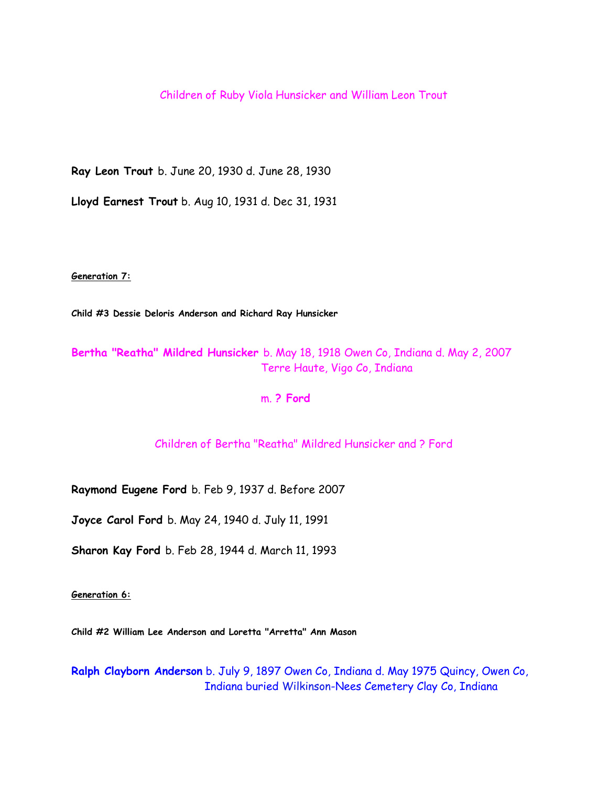### Children of Ruby Viola Hunsicker and William Leon Trout

**Ray Leon Trout** b. June 20, 1930 d. June 28, 1930

**Lloyd Earnest Trout** b. Aug 10, 1931 d. Dec 31, 1931

**Generation 7:**

**Child #3 Dessie Deloris Anderson and Richard Ray Hunsicker**

# **Bertha "Reatha" Mildred Hunsicker** b. May 18, 1918 Owen Co, Indiana d. May 2, 2007 Terre Haute, Vigo Co, Indiana

## m. **? Ford**

## Children of Bertha "Reatha" Mildred Hunsicker and ? Ford

**Raymond Eugene Ford** b. Feb 9, 1937 d. Before 2007

**Joyce Carol Ford** b. May 24, 1940 d. July 11, 1991

**Sharon Kay Ford** b. Feb 28, 1944 d. March 11, 1993

**Generation 6:**

**Child #2 William Lee Anderson and Loretta "Arretta" Ann Mason**

**Ralph Clayborn Anderson** b. July 9, 1897 Owen Co, Indiana d. May 1975 Quincy, Owen Co, Indiana buried Wilkinson-Nees Cemetery Clay Co, Indiana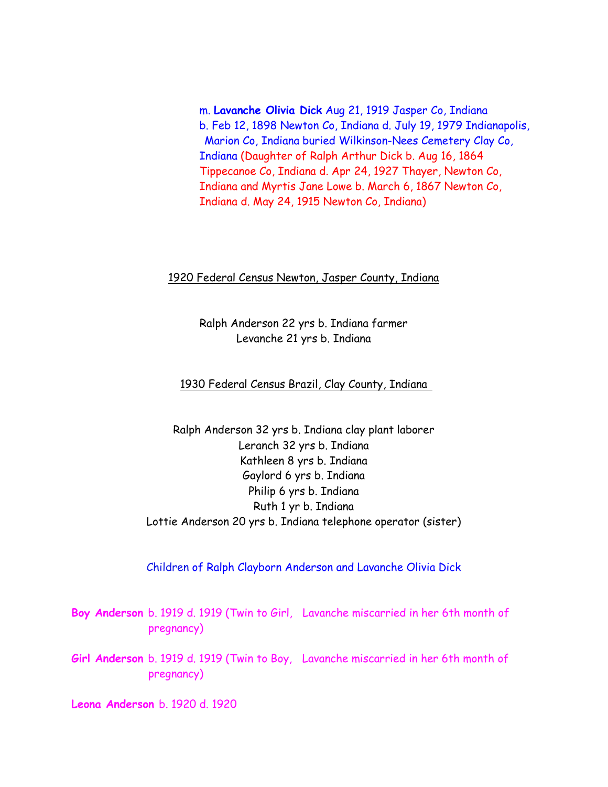m. **Lavanche Olivia Dick** Aug 21, 1919 Jasper Co, Indiana b. Feb 12, 1898 Newton Co, Indiana d. July 19, 1979 Indianapolis, Marion Co, Indiana buried Wilkinson-Nees Cemetery Clay Co, Indiana (Daughter of Ralph Arthur Dick b. Aug 16, 1864 Tippecanoe Co, Indiana d. Apr 24, 1927 Thayer, Newton Co, Indiana and Myrtis Jane Lowe b. March 6, 1867 Newton Co, Indiana d. May 24, 1915 Newton Co, Indiana)

### 1920 Federal Census Newton, Jasper County, Indiana

Ralph Anderson 22 yrs b. Indiana farmer Levanche 21 yrs b. Indiana

## 1930 Federal Census Brazil, Clay County, Indiana

Ralph Anderson 32 yrs b. Indiana clay plant laborer Leranch 32 yrs b. Indiana Kathleen 8 yrs b. Indiana Gaylord 6 yrs b. Indiana Philip 6 yrs b. Indiana Ruth 1 yr b. Indiana Lottie Anderson 20 yrs b. Indiana telephone operator (sister)

### Children of Ralph Clayborn Anderson and Lavanche Olivia Dick

**Boy Anderson** b. 1919 d. 1919 (Twin to Girl, Lavanche miscarried in her 6th month of pregnancy)

**Girl Anderson** b. 1919 d. 1919 (Twin to Boy, Lavanche miscarried in her 6th month of pregnancy)

**Leona Anderson** b. 1920 d. 1920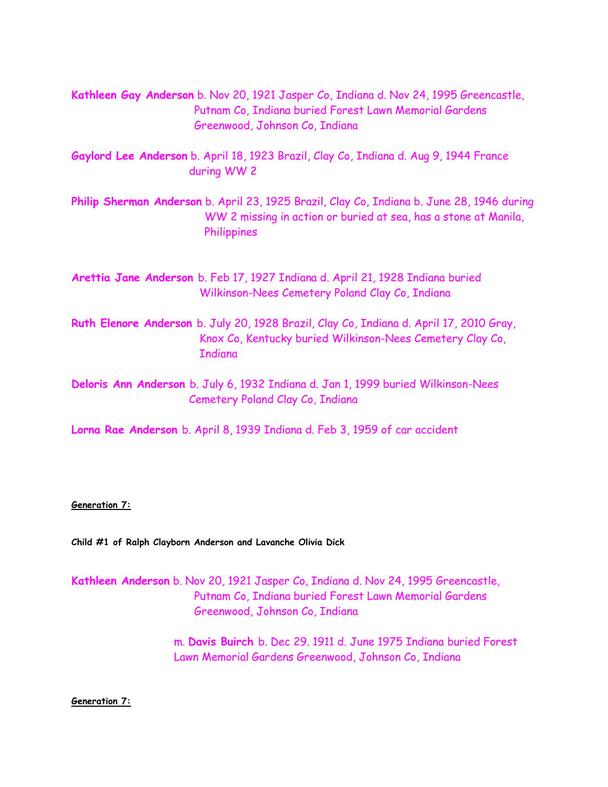**Kathleen Gay Anderson** b. Nov 20, 1921 Jasper Co, Indiana d. Nov 24, 1995 Greencastle, Putnam Co, Indiana buried Forest Lawn Memorial Gardens Greenwood, Johnson Co, Indiana

**Gaylord Lee Anderson** b. April 18, 1923 Brazil, Clay Co, Indiana d. Aug 9, 1944 France during WW 2

**Philip Sherman Anderson** b. April 23, 1925 Brazil, Clay Co, Indiana b. June 28, 1946 during WW 2 missing in action or buried at sea, has a stone at Manila, **Philippines** 

**Arettia Jane Anderson** b. Feb 17, 1927 Indiana d. April 21, 1928 Indiana buried Wilkinson-Nees Cemetery Poland Clay Co, Indiana

**Ruth Elenore Anderson** b. July 20, 1928 Brazil, Clay Co, Indiana d. April 17, 2010 Gray, Knox Co, Kentucky buried Wilkinson-Nees Cemetery Clay Co, **Indiana** 

**Deloris Ann Anderson** b. July 6, 1932 Indiana d. Jan 1, 1999 buried Wilkinson-Nees Cemetery Poland Clay Co, Indiana

**Lorna Rae Anderson** b. April 8, 1939 Indiana d. Feb 3, 1959 of car accident

### **Generation 7:**

**Child #1 of Ralph Clayborn Anderson and Lavanche Olivia Dick**

**Kathleen Anderson** b. Nov 20, 1921 Jasper Co, Indiana d. Nov 24, 1995 Greencastle, Putnam Co, Indiana buried Forest Lawn Memorial Gardens Greenwood, Johnson Co, Indiana

> m. **Davis Buirch** b. Dec 29. 1911 d. June 1975 Indiana buried Forest Lawn Memorial Gardens Greenwood, Johnson Co, Indiana

**Generation 7:**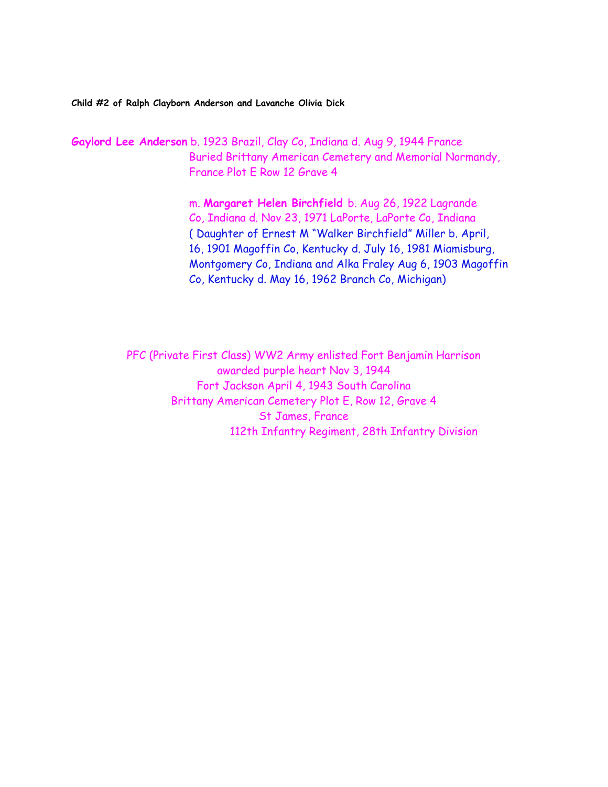**Child #2 of Ralph Clayborn Anderson and Lavanche Olivia Dick**

**Gaylord Lee Anderson** b. 1923 Brazil, Clay Co, Indiana d. Aug 9, 1944 France Buried Brittany American Cemetery and Memorial Normandy, France Plot E Row 12 Grave 4

> m. **Margaret Helen Birchfield** b. Aug 26, 1922 Lagrande Co, Indiana d. Nov 23, 1971 LaPorte, LaPorte Co, Indiana ( Daughter of Ernest M "Walker Birchfield" Miller b. April, 16, 1901 Magoffin Co, Kentucky d. July 16, 1981 Miamisburg, Montgomery Co, Indiana and Alka Fraley Aug 6, 1903 Magoffin Co, Kentucky d. May 16, 1962 Branch Co, Michigan)

PFC (Private First Class) WW2 Army enlisted Fort Benjamin Harrison awarded purple heart Nov 3, 1944 Fort Jackson April 4, 1943 South Carolina Brittany American Cemetery Plot E, Row 12, Grave 4 St James, France 112th Infantry Regiment, 28th Infantry Division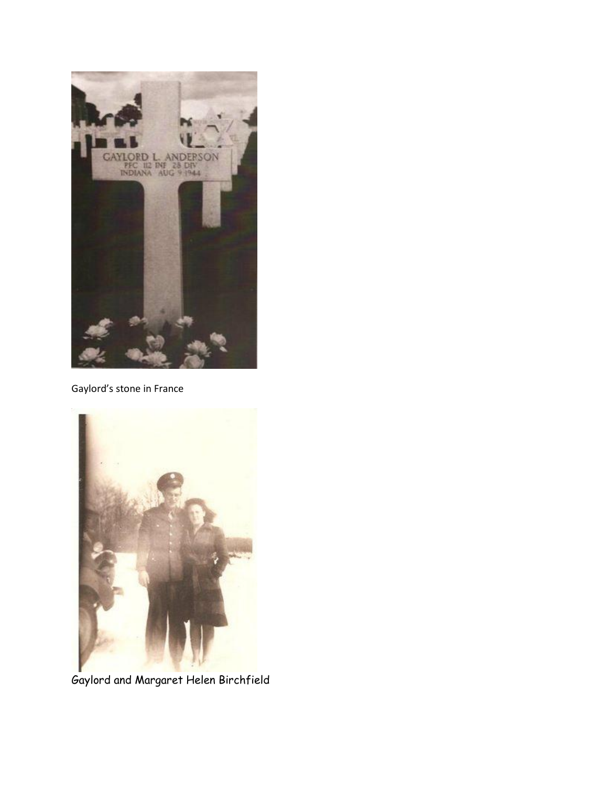

Gaylord's stone in France



Gaylord and Margaret Helen Birchfield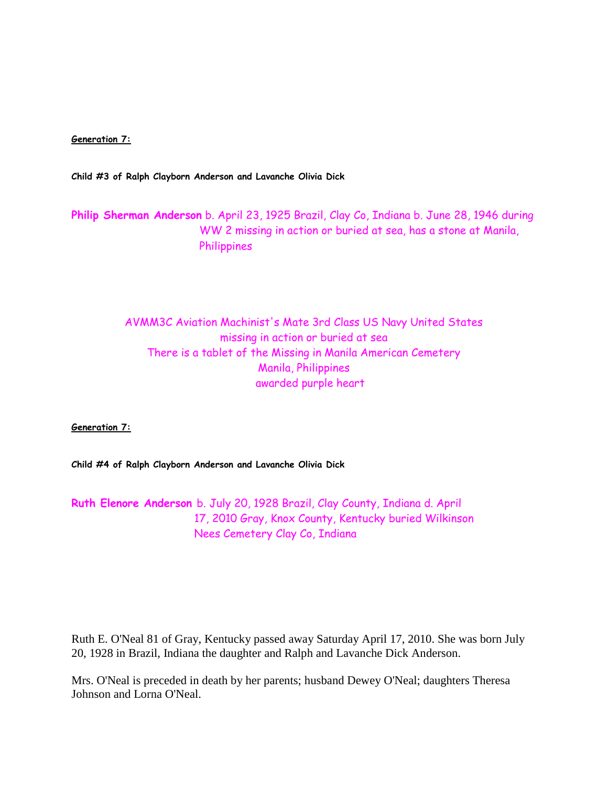**Generation 7:**

**Child #3 of Ralph Clayborn Anderson and Lavanche Olivia Dick**

**Philip Sherman Anderson** b. April 23, 1925 Brazil, Clay Co, Indiana b. June 28, 1946 during WW 2 missing in action or buried at sea, has a stone at Manila, **Philippines** 

# AVMM3C Aviation Machinist's Mate 3rd Class US Navy United States missing in action or buried at sea There is a tablet of the Missing in Manila American Cemetery Manila, Philippines awarded purple heart

**Generation 7:**

**Child #4 of Ralph Clayborn Anderson and Lavanche Olivia Dick**

**Ruth Elenore Anderson** b. July 20, 1928 Brazil, Clay County, Indiana d. April 17, 2010 Gray, Knox County, Kentucky buried Wilkinson Nees Cemetery Clay Co, Indiana

Ruth E. O'Neal 81 of Gray, Kentucky passed away Saturday April 17, 2010. She was born July 20, 1928 in Brazil, Indiana the daughter and Ralph and Lavanche Dick Anderson.

Mrs. O'Neal is preceded in death by her parents; husband Dewey O'Neal; daughters Theresa Johnson and Lorna O'Neal.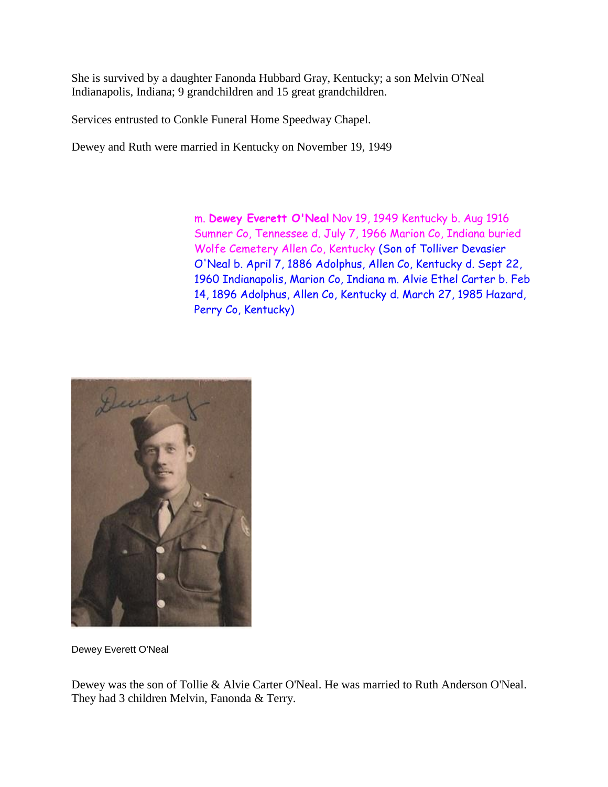She is survived by a daughter Fanonda Hubbard Gray, Kentucky; a son Melvin O'Neal Indianapolis, Indiana; 9 grandchildren and 15 great grandchildren.

Services entrusted to Conkle Funeral Home Speedway Chapel.

Dewey and Ruth were married in Kentucky on November 19, 1949

 m. **Dewey Everett O'Neal** Nov 19, 1949 Kentucky b. Aug 1916 Sumner Co, Tennessee d. July 7, 1966 Marion Co, Indiana buried Wolfe Cemetery Allen Co, Kentucky (Son of Tolliver Devasier O'Neal b. April 7, 1886 Adolphus, Allen Co, Kentucky d. Sept 22, 1960 Indianapolis, Marion Co, Indiana m. Alvie Ethel Carter b. Feb 14, 1896 Adolphus, Allen Co, Kentucky d. March 27, 1985 Hazard, Perry Co, Kentucky)



Dewey Everett O'Neal

Dewey was the son of Tollie & Alvie Carter O'Neal. He was married to Ruth Anderson O'Neal. They had 3 children Melvin, Fanonda & Terry.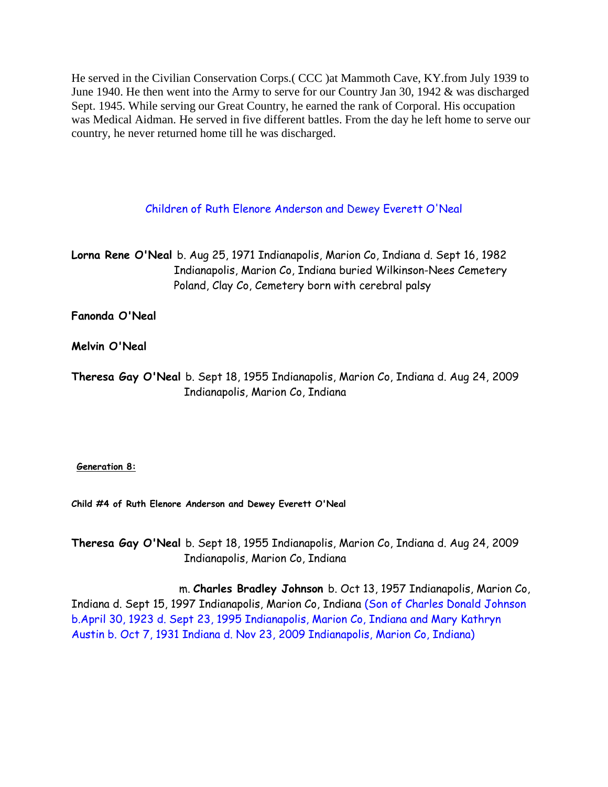He served in the Civilian Conservation Corps.( CCC )at Mammoth Cave, KY.from July 1939 to June 1940. He then went into the Army to serve for our Country Jan 30, 1942 & was discharged Sept. 1945. While serving our Great Country, he earned the rank of Corporal. His occupation was Medical Aidman. He served in five different battles. From the day he left home to serve our country, he never returned home till he was discharged.

## Children of Ruth Elenore Anderson and Dewey Everett O'Neal

**Lorna Rene O'Neal** b. Aug 25, 1971 Indianapolis, Marion Co, Indiana d. Sept 16, 1982 Indianapolis, Marion Co, Indiana buried Wilkinson-Nees Cemetery Poland, Clay Co, Cemetery born with cerebral palsy

**Fanonda O'Neal**

**Melvin O'Neal**

**Theresa Gay O'Neal** b. Sept 18, 1955 Indianapolis, Marion Co, Indiana d. Aug 24, 2009 Indianapolis, Marion Co, Indiana

**Generation 8:**

**Child #4 of Ruth Elenore Anderson and Dewey Everett O'Neal**

**Theresa Gay O'Neal** b. Sept 18, 1955 Indianapolis, Marion Co, Indiana d. Aug 24, 2009 Indianapolis, Marion Co, Indiana

 m. **Charles Bradley Johnson** b. Oct 13, 1957 Indianapolis, Marion Co, Indiana d. Sept 15, 1997 Indianapolis, Marion Co, Indiana (Son of Charles Donald Johnson b.April 30, 1923 d. Sept 23, 1995 Indianapolis, Marion Co, Indiana and Mary Kathryn Austin b. Oct 7, 1931 Indiana d. Nov 23, 2009 Indianapolis, Marion Co, Indiana)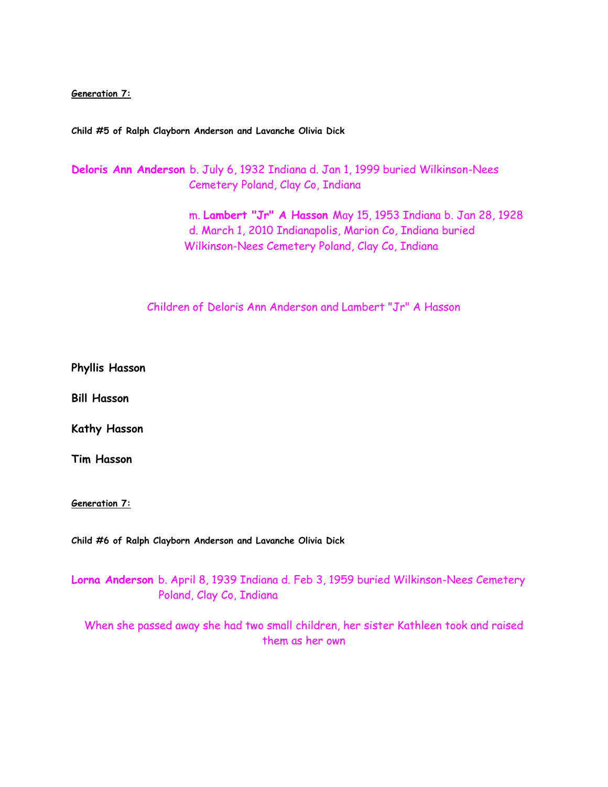**Generation 7:**

**Child #5 of Ralph Clayborn Anderson and Lavanche Olivia Dick**

**Deloris Ann Anderson** b. July 6, 1932 Indiana d. Jan 1, 1999 buried Wilkinson-Nees Cemetery Poland, Clay Co, Indiana

> m. **Lambert "Jr" A Hasson** May 15, 1953 Indiana b. Jan 28, 1928 d. March 1, 2010 Indianapolis, Marion Co, Indiana buried Wilkinson-Nees Cemetery Poland, Clay Co, Indiana

Children of Deloris Ann Anderson and Lambert "Jr" A Hasson

**Phyllis Hasson**

**Bill Hasson**

**Kathy Hasson**

**Tim Hasson**

**Generation 7:**

**Child #6 of Ralph Clayborn Anderson and Lavanche Olivia Dick**

**Lorna Anderson** b. April 8, 1939 Indiana d. Feb 3, 1959 buried Wilkinson-Nees Cemetery Poland, Clay Co, Indiana

When she passed away she had two small children, her sister Kathleen took and raised them as her own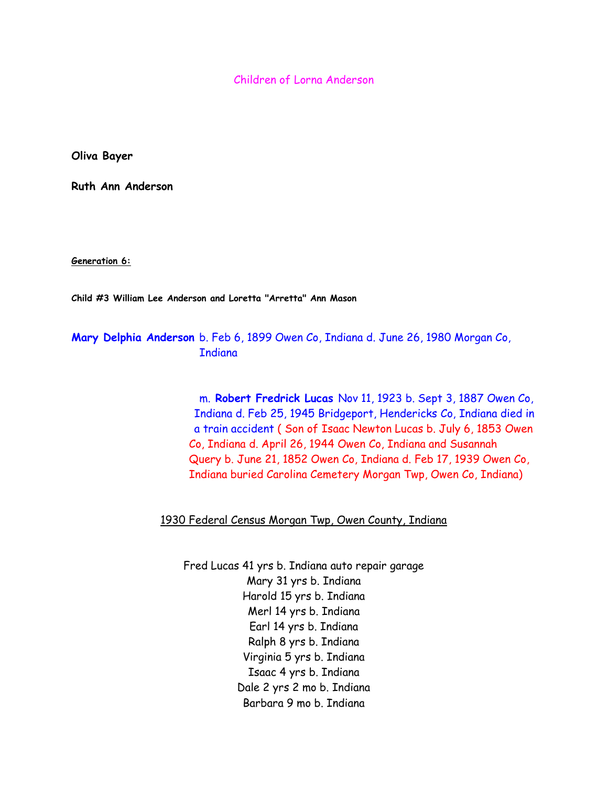Children of Lorna Anderson

**Oliva Bayer** 

**Ruth Ann Anderson** 

**Generation 6:**

**Child #3 William Lee Anderson and Loretta "Arretta" Ann Mason**

**Mary Delphia Anderson** b. Feb 6, 1899 Owen Co, Indiana d. June 26, 1980 Morgan Co, **Indiana** 

> m. **Robert Fredrick Lucas** Nov 11, 1923 b. Sept 3, 1887 Owen Co, Indiana d. Feb 25, 1945 Bridgeport, Hendericks Co, Indiana died in a train accident ( Son of Isaac Newton Lucas b. July 6, 1853 Owen Co, Indiana d. April 26, 1944 Owen Co, Indiana and Susannah Query b. June 21, 1852 Owen Co, Indiana d. Feb 17, 1939 Owen Co, Indiana buried Carolina Cemetery Morgan Twp, Owen Co, Indiana)

1930 Federal Census Morgan Twp, Owen County, Indiana

Fred Lucas 41 yrs b. Indiana auto repair garage Mary 31 yrs b. Indiana Harold 15 yrs b. Indiana Merl 14 yrs b. Indiana Earl 14 yrs b. Indiana Ralph 8 yrs b. Indiana Virginia 5 yrs b. Indiana Isaac 4 yrs b. Indiana Dale 2 yrs 2 mo b. Indiana Barbara 9 mo b. Indiana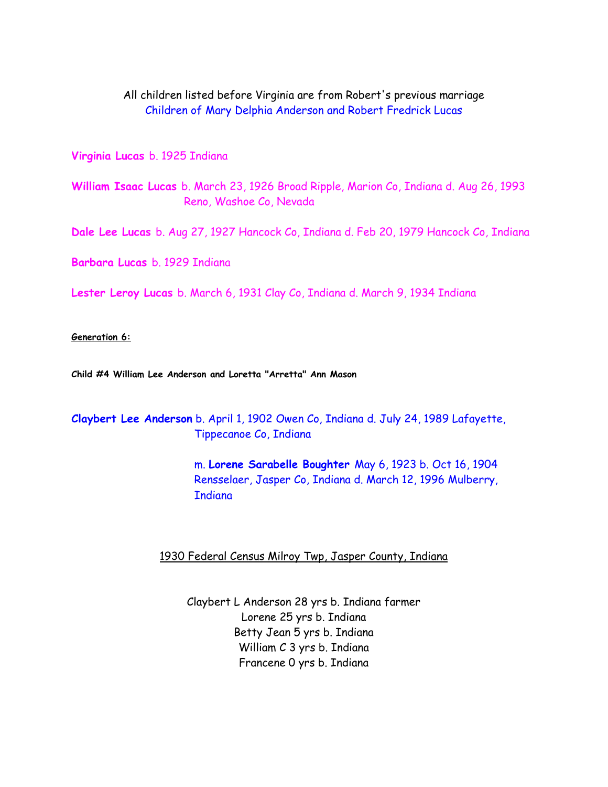# All children listed before Virginia are from Robert's previous marriage Children of Mary Delphia Anderson and Robert Fredrick Lucas

### **Virginia Lucas** b. 1925 Indiana

**William Isaac Lucas** b. March 23, 1926 Broad Ripple, Marion Co, Indiana d. Aug 26, 1993 Reno, Washoe Co, Nevada

**Dale Lee Lucas** b. Aug 27, 1927 Hancock Co, Indiana d. Feb 20, 1979 Hancock Co, Indiana

**Barbara Lucas** b. 1929 Indiana

**Lester Leroy Lucas** b. March 6, 1931 Clay Co, Indiana d. March 9, 1934 Indiana

#### **Generation 6:**

**Child #4 William Lee Anderson and Loretta "Arretta" Ann Mason**

**Claybert Lee Anderson** b. April 1, 1902 Owen Co, Indiana d. July 24, 1989 Lafayette, Tippecanoe Co, Indiana

> m. **Lorene Sarabelle Boughter** May 6, 1923 b. Oct 16, 1904 Rensselaer, Jasper Co, Indiana d. March 12, 1996 Mulberry, **Indiana**

### 1930 Federal Census Milroy Twp, Jasper County, Indiana

Claybert L Anderson 28 yrs b. Indiana farmer Lorene 25 yrs b. Indiana Betty Jean 5 yrs b. Indiana William C 3 yrs b. Indiana Francene 0 yrs b. Indiana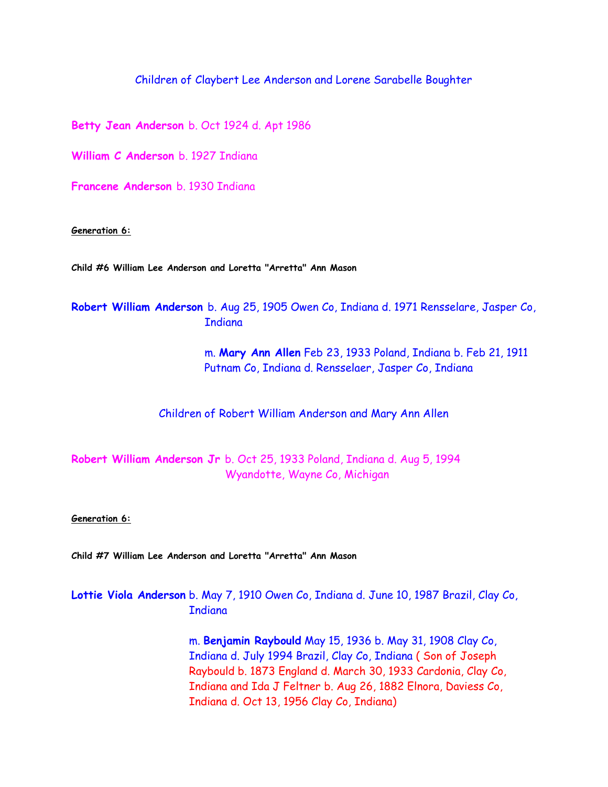### Children of Claybert Lee Anderson and Lorene Sarabelle Boughter

**Betty Jean Anderson** b. Oct 1924 d. Apt 1986

**William C Anderson** b. 1927 Indiana

**Francene Anderson** b. 1930 Indiana

### **Generation 6:**

**Child #6 William Lee Anderson and Loretta "Arretta" Ann Mason**

**Robert William Anderson** b. Aug 25, 1905 Owen Co, Indiana d. 1971 Rensselare, Jasper Co, **Indiana** 

> m. **Mary Ann Allen** Feb 23, 1933 Poland, Indiana b. Feb 21, 1911 Putnam Co, Indiana d. Rensselaer, Jasper Co, Indiana

Children of Robert William Anderson and Mary Ann Allen

**Robert William Anderson Jr** b. Oct 25, 1933 Poland, Indiana d. Aug 5, 1994 Wyandotte, Wayne Co, Michigan

#### **Generation 6:**

**Child #7 William Lee Anderson and Loretta "Arretta" Ann Mason**

# **Lottie Viola Anderson** b. May 7, 1910 Owen Co, Indiana d. June 10, 1987 Brazil, Clay Co, **Indiana**

 m. **Benjamin Raybould** May 15, 1936 b. May 31, 1908 Clay Co, Indiana d. July 1994 Brazil, Clay Co, Indiana ( Son of Joseph Raybould b. 1873 England d. March 30, 1933 Cardonia, Clay Co, Indiana and Ida J Feltner b. Aug 26, 1882 Elnora, Daviess Co, Indiana d. Oct 13, 1956 Clay Co, Indiana)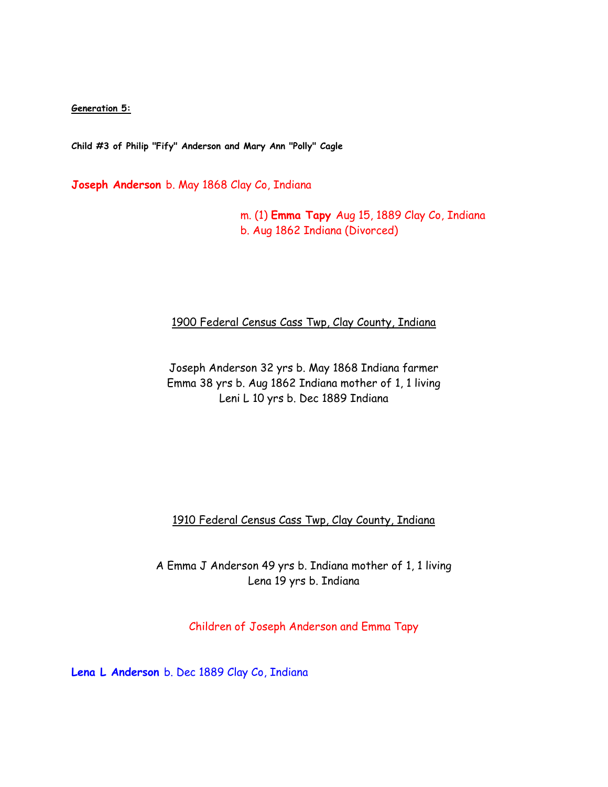**Generation 5:**

**Child #3 of Philip "Fify" Anderson and Mary Ann "Polly" Cagle**

**Joseph Anderson** b. May 1868 Clay Co, Indiana

 m. (1) **Emma Tapy** Aug 15, 1889 Clay Co, Indiana b. Aug 1862 Indiana (Divorced)

# 1900 Federal Census Cass Twp, Clay County, Indiana

Joseph Anderson 32 yrs b. May 1868 Indiana farmer Emma 38 yrs b. Aug 1862 Indiana mother of 1, 1 living Leni L 10 yrs b. Dec 1889 Indiana

1910 Federal Census Cass Twp, Clay County, Indiana

A Emma J Anderson 49 yrs b. Indiana mother of 1, 1 living Lena 19 yrs b. Indiana

Children of Joseph Anderson and Emma Tapy

**Lena L Anderson** b. Dec 1889 Clay Co, Indiana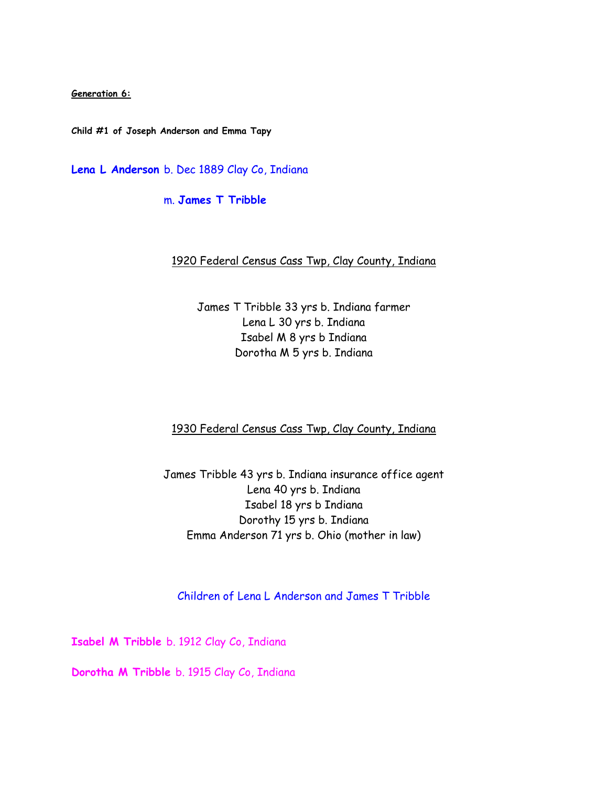**Generation 6:**

**Child #1 of Joseph Anderson and Emma Tapy**

**Lena L Anderson** b. Dec 1889 Clay Co, Indiana

m. **James T Tribble** 

## 1920 Federal Census Cass Twp, Clay County, Indiana

James T Tribble 33 yrs b. Indiana farmer Lena L 30 yrs b. Indiana Isabel M 8 yrs b Indiana Dorotha M 5 yrs b. Indiana

1930 Federal Census Cass Twp, Clay County, Indiana

James Tribble 43 yrs b. Indiana insurance office agent Lena 40 yrs b. Indiana Isabel 18 yrs b Indiana Dorothy 15 yrs b. Indiana Emma Anderson 71 yrs b. Ohio (mother in law)

Children of Lena L Anderson and James T Tribble

**Isabel M Tribble** b. 1912 Clay Co, Indiana

**Dorotha M Tribble** b. 1915 Clay Co, Indiana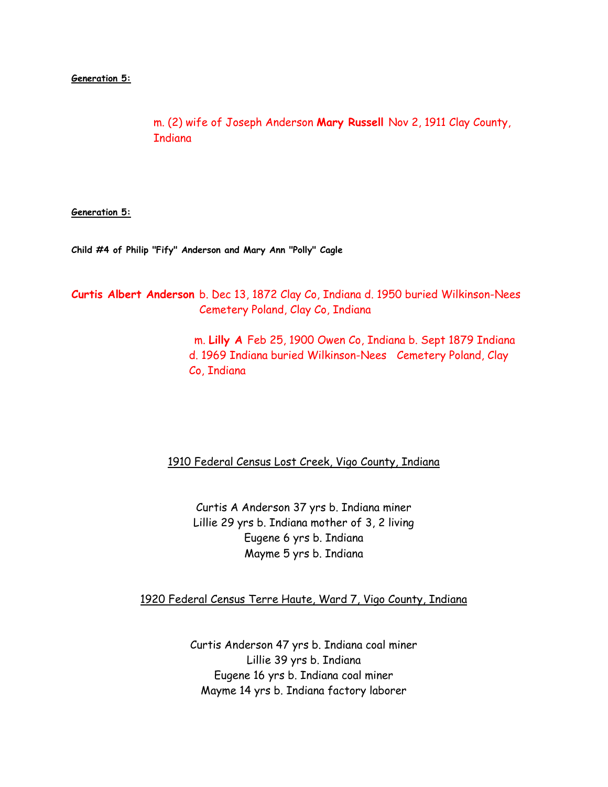**Generation 5:**

 m. (2) wife of Joseph Anderson **Mary Russell** Nov 2, 1911 Clay County, **Indiana** 

**Generation 5:**

**Child #4 of Philip "Fify" Anderson and Mary Ann "Polly" Cagle**

**Curtis Albert Anderson** b. Dec 13, 1872 Clay Co, Indiana d. 1950 buried Wilkinson-Nees Cemetery Poland, Clay Co, Indiana

> m. **Lilly A** Feb 25, 1900 Owen Co, Indiana b. Sept 1879 Indiana d. 1969 Indiana buried Wilkinson-Nees Cemetery Poland, Clay Co, Indiana

## 1910 Federal Census Lost Creek, Vigo County, Indiana

Curtis A Anderson 37 yrs b. Indiana miner Lillie 29 yrs b. Indiana mother of 3, 2 living Eugene 6 yrs b. Indiana Mayme 5 yrs b. Indiana

1920 Federal Census Terre Haute, Ward 7, Vigo County, Indiana

Curtis Anderson 47 yrs b. Indiana coal miner Lillie 39 yrs b. Indiana Eugene 16 yrs b. Indiana coal miner Mayme 14 yrs b. Indiana factory laborer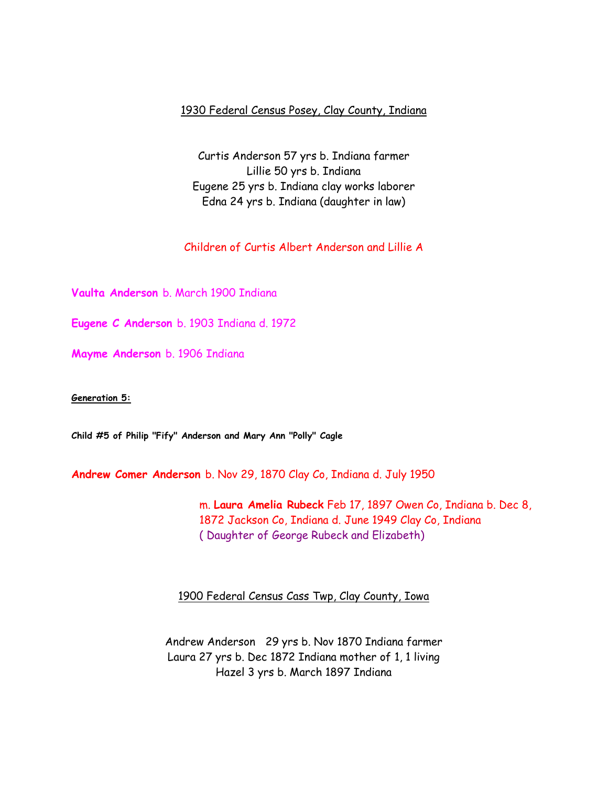## 1930 Federal Census Posey, Clay County, Indiana

Curtis Anderson 57 yrs b. Indiana farmer Lillie 50 yrs b. Indiana Eugene 25 yrs b. Indiana clay works laborer Edna 24 yrs b. Indiana (daughter in law)

## Children of Curtis Albert Anderson and Lillie A

**Vaulta Anderson** b. March 1900 Indiana

**Eugene C Anderson** b. 1903 Indiana d. 1972

**Mayme Anderson** b. 1906 Indiana

**Generation 5:**

**Child #5 of Philip "Fify" Anderson and Mary Ann "Polly" Cagle**

**Andrew Comer Anderson** b. Nov 29, 1870 Clay Co, Indiana d. July 1950

 m. **Laura Amelia Rubeck** Feb 17, 1897 Owen Co, Indiana b. Dec 8, 1872 Jackson Co, Indiana d. June 1949 Clay Co, Indiana ( Daughter of George Rubeck and Elizabeth)

1900 Federal Census Cass Twp, Clay County, Iowa

Andrew Anderson 29 yrs b. Nov 1870 Indiana farmer Laura 27 yrs b. Dec 1872 Indiana mother of 1, 1 living Hazel 3 yrs b. March 1897 Indiana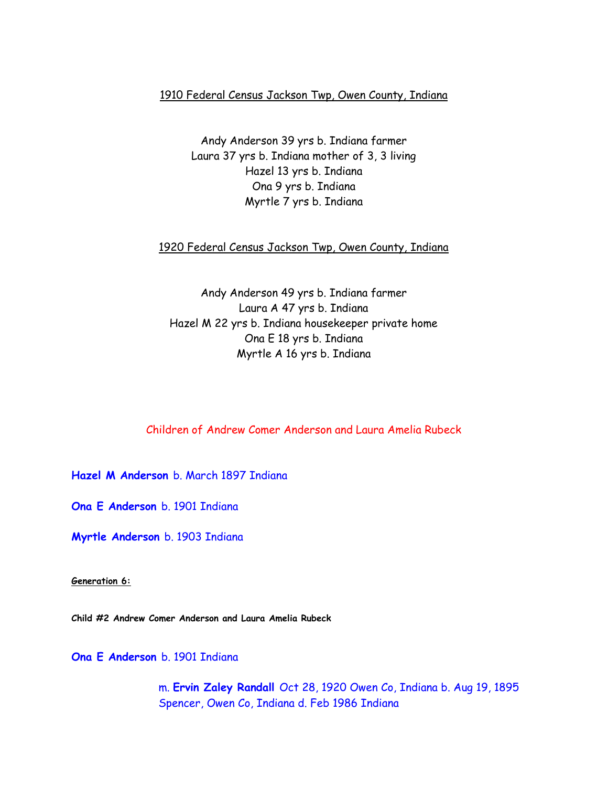## 1910 Federal Census Jackson Twp, Owen County, Indiana

Andy Anderson 39 yrs b. Indiana farmer Laura 37 yrs b. Indiana mother of 3, 3 living Hazel 13 yrs b. Indiana Ona 9 yrs b. Indiana Myrtle 7 yrs b. Indiana

## 1920 Federal Census Jackson Twp, Owen County, Indiana

Andy Anderson 49 yrs b. Indiana farmer Laura A 47 yrs b. Indiana Hazel M 22 yrs b. Indiana housekeeper private home Ona E 18 yrs b. Indiana Myrtle A 16 yrs b. Indiana

Children of Andrew Comer Anderson and Laura Amelia Rubeck

**Hazel M Anderson** b. March 1897 Indiana

**Ona E Anderson** b. 1901 Indiana

**Myrtle Anderson** b. 1903 Indiana

**Generation 6:**

**Child #2 Andrew Comer Anderson and Laura Amelia Rubeck**

**Ona E Anderson** b. 1901 Indiana

 m. **Ervin Zaley Randall** Oct 28, 1920 Owen Co, Indiana b. Aug 19, 1895 Spencer, Owen Co, Indiana d. Feb 1986 Indiana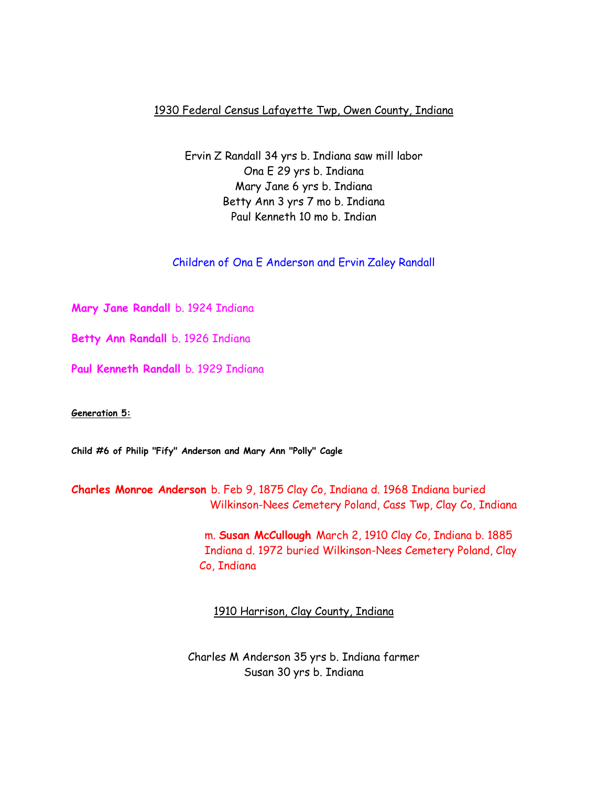## 1930 Federal Census Lafayette Twp, Owen County, Indiana

Ervin Z Randall 34 yrs b. Indiana saw mill labor Ona E 29 yrs b. Indiana Mary Jane 6 yrs b. Indiana Betty Ann 3 yrs 7 mo b. Indiana Paul Kenneth 10 mo b. Indian

Children of Ona E Anderson and Ervin Zaley Randall

**Mary Jane Randall** b. 1924 Indiana

**Betty Ann Randall** b. 1926 Indiana

Paul Kenneth Randall **b. 1929 Indiana** 

**Generation 5:**

**Child #6 of Philip "Fify" Anderson and Mary Ann "Polly" Cagle**

**Charles Monroe Anderson** b. Feb 9, 1875 Clay Co, Indiana d. 1968 Indiana buried Wilkinson-Nees Cemetery Poland, Cass Twp, Clay Co, Indiana

> m. **Susan McCullough** March 2, 1910 Clay Co, Indiana b. 1885 Indiana d. 1972 buried Wilkinson-Nees Cemetery Poland, Clay Co, Indiana

1910 Harrison, Clay County, Indiana

Charles M Anderson 35 yrs b. Indiana farmer Susan 30 yrs b. Indiana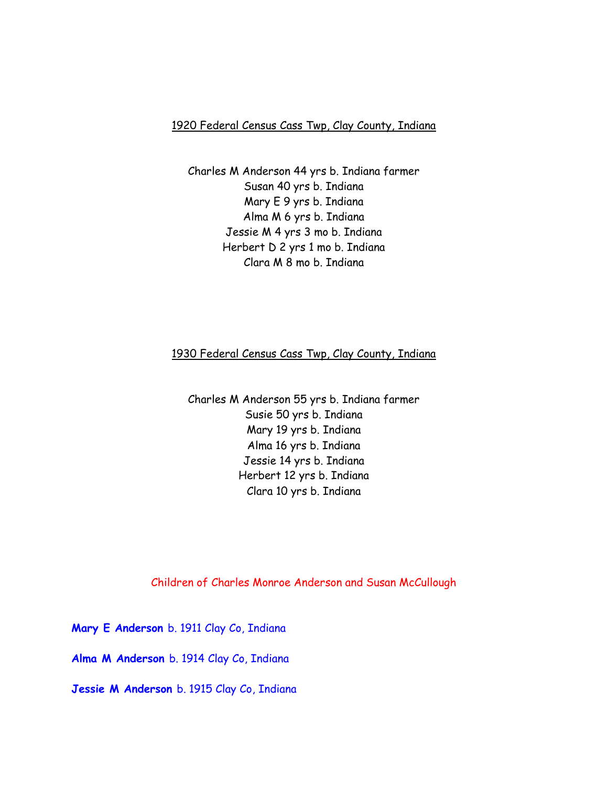### 1920 Federal Census Cass Twp, Clay County, Indiana

Charles M Anderson 44 yrs b. Indiana farmer Susan 40 yrs b. Indiana Mary E 9 yrs b. Indiana Alma M 6 yrs b. Indiana Jessie M 4 yrs 3 mo b. Indiana Herbert D 2 yrs 1 mo b. Indiana Clara M 8 mo b. Indiana

# 1930 Federal Census Cass Twp, Clay County, Indiana

Charles M Anderson 55 yrs b. Indiana farmer Susie 50 yrs b. Indiana Mary 19 yrs b. Indiana Alma 16 yrs b. Indiana Jessie 14 yrs b. Indiana Herbert 12 yrs b. Indiana Clara 10 yrs b. Indiana

### Children of Charles Monroe Anderson and Susan McCullough

**Mary E Anderson** b. 1911 Clay Co, Indiana

**Alma M Anderson** b. 1914 Clay Co, Indiana

**Jessie M Anderson** b. 1915 Clay Co, Indiana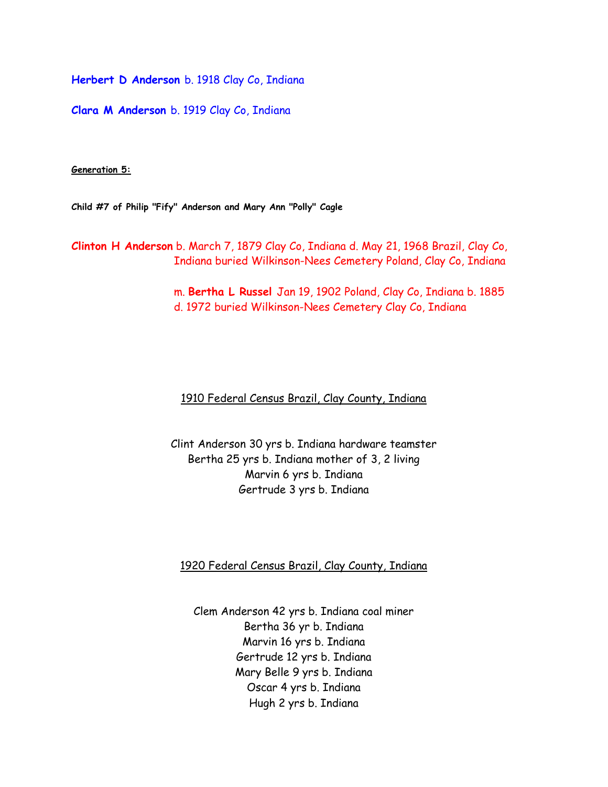**Herbert D Anderson** b. 1918 Clay Co, Indiana

**Clara M Anderson** b. 1919 Clay Co, Indiana

#### **Generation 5:**

**Child #7 of Philip "Fify" Anderson and Mary Ann "Polly" Cagle**

**Clinton H Anderson** b. March 7, 1879 Clay Co, Indiana d. May 21, 1968 Brazil, Clay Co, Indiana buried Wilkinson-Nees Cemetery Poland, Clay Co, Indiana

> m. **Bertha L Russel** Jan 19, 1902 Poland, Clay Co, Indiana b. 1885 d. 1972 buried Wilkinson-Nees Cemetery Clay Co, Indiana

### 1910 Federal Census Brazil, Clay County, Indiana

Clint Anderson 30 yrs b. Indiana hardware teamster Bertha 25 yrs b. Indiana mother of 3, 2 living Marvin 6 yrs b. Indiana Gertrude 3 yrs b. Indiana

### 1920 Federal Census Brazil, Clay County, Indiana

Clem Anderson 42 yrs b. Indiana coal miner Bertha 36 yr b. Indiana Marvin 16 yrs b. Indiana Gertrude 12 yrs b. Indiana Mary Belle 9 yrs b. Indiana Oscar 4 yrs b. Indiana Hugh 2 yrs b. Indiana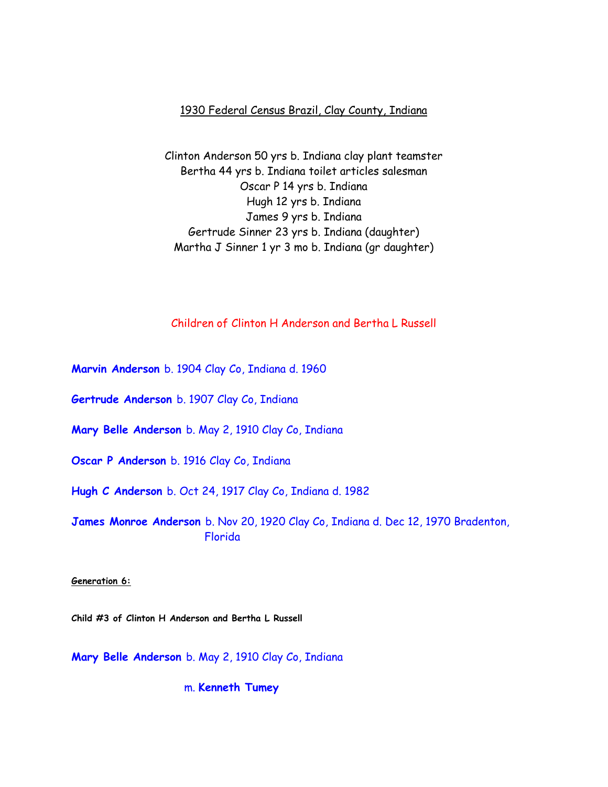### 1930 Federal Census Brazil, Clay County, Indiana

Clinton Anderson 50 yrs b. Indiana clay plant teamster Bertha 44 yrs b. Indiana toilet articles salesman Oscar P 14 yrs b. Indiana Hugh 12 yrs b. Indiana James 9 yrs b. Indiana Gertrude Sinner 23 yrs b. Indiana (daughter) Martha J Sinner 1 yr 3 mo b. Indiana (gr daughter)

## Children of Clinton H Anderson and Bertha L Russell

**Marvin Anderson** b. 1904 Clay Co, Indiana d. 1960

**Gertrude Anderson** b. 1907 Clay Co, Indiana

**Mary Belle Anderson** b. May 2, 1910 Clay Co, Indiana

**Oscar P Anderson** b. 1916 Clay Co, Indiana

**Hugh C Anderson** b. Oct 24, 1917 Clay Co, Indiana d. 1982

**James Monroe Anderson** b. Nov 20, 1920 Clay Co, Indiana d. Dec 12, 1970 Bradenton, Florida

**Generation 6:**

**Child #3 of Clinton H Anderson and Bertha L Russell**

**Mary Belle Anderson** b. May 2, 1910 Clay Co, Indiana

m. **Kenneth Tumey**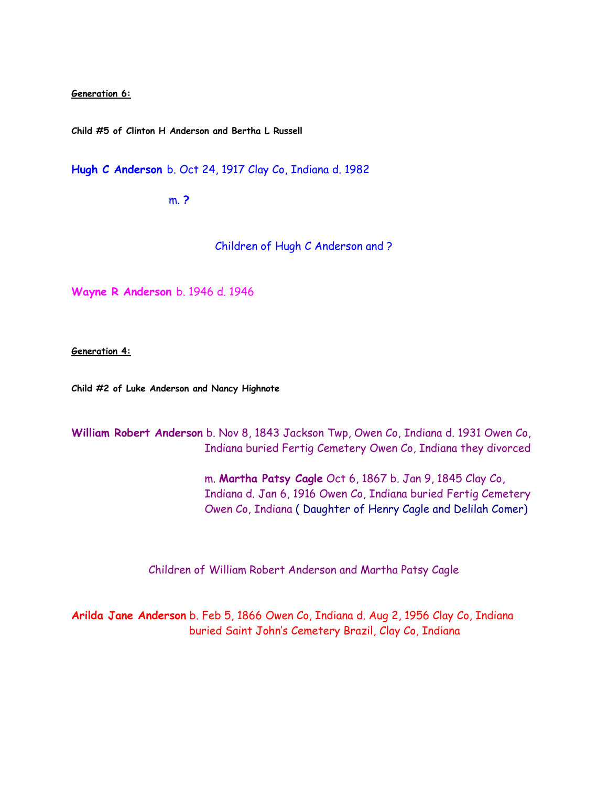**Generation 6:**

**Child #5 of Clinton H Anderson and Bertha L Russell**

**Hugh C Anderson** b. Oct 24, 1917 Clay Co, Indiana d. 1982

m. **?**

Children of Hugh C Anderson and ?

**Wayne R Anderson** b. 1946 d. 1946

**Generation 4:**

**Child #2 of Luke Anderson and Nancy Highnote**

**William Robert Anderson** b. Nov 8, 1843 Jackson Twp, Owen Co, Indiana d. 1931 Owen Co, Indiana buried Fertig Cemetery Owen Co, Indiana they divorced

> m. **Martha Patsy Cagle** Oct 6, 1867 b. Jan 9, 1845 Clay Co, Indiana d. Jan 6, 1916 Owen Co, Indiana buried Fertig Cemetery Owen Co, Indiana ( Daughter of Henry Cagle and Delilah Comer)

Children of William Robert Anderson and Martha Patsy Cagle

**Arilda Jane Anderson** b. Feb 5, 1866 Owen Co, Indiana d. Aug 2, 1956 Clay Co, Indiana buried Saint John's Cemetery Brazil, Clay Co, Indiana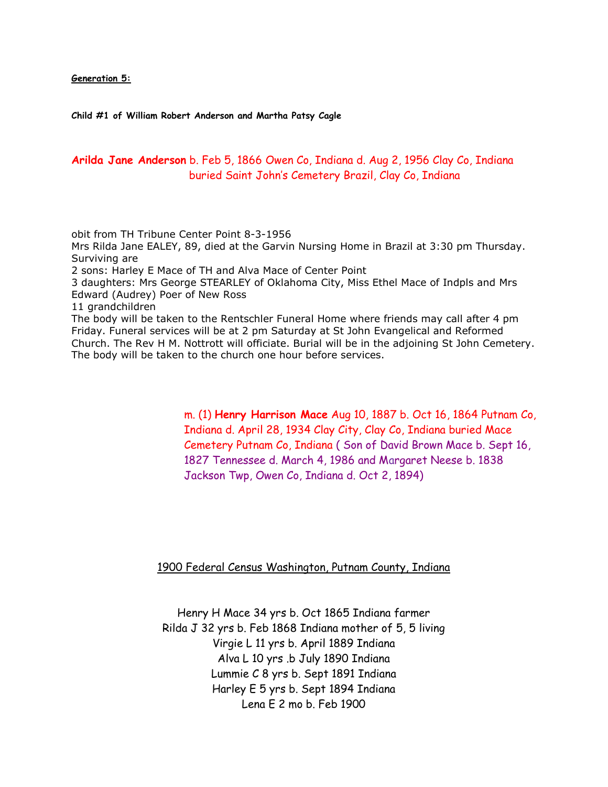**Generation 5:**

**Child #1 of William Robert Anderson and Martha Patsy Cagle**

## **Arilda Jane Anderson** b. Feb 5, 1866 Owen Co, Indiana d. Aug 2, 1956 Clay Co, Indiana buried Saint John's Cemetery Brazil, Clay Co, Indiana

obit from TH Tribune Center Point 8-3-1956 Mrs Rilda Jane EALEY, 89, died at the Garvin Nursing Home in Brazil at 3:30 pm Thursday. Surviving are 2 sons: Harley E Mace of TH and Alva Mace of Center Point 3 daughters: Mrs George STEARLEY of Oklahoma City, Miss Ethel Mace of Indpls and Mrs Edward (Audrey) Poer of New Ross 11 grandchildren The body will be taken to the Rentschler Funeral Home where friends may call after 4 pm Friday. Funeral services will be at 2 pm Saturday at St John Evangelical and Reformed Church. The Rev H M. Nottrott will officiate. Burial will be in the adjoining St John Cemetery. The body will be taken to the church one hour before services.

> m. (1) **Henry Harrison Mace** Aug 10, 1887 b. Oct 16, 1864 Putnam Co, Indiana d. April 28, 1934 Clay City, Clay Co, Indiana buried Mace Cemetery Putnam Co, Indiana ( Son of David Brown Mace b. Sept 16, 1827 Tennessee d. March 4, 1986 and Margaret Neese b. 1838 Jackson Twp, Owen Co, Indiana d. Oct 2, 1894)

### 1900 Federal Census Washington, Putnam County, Indiana

Henry H Mace 34 yrs b. Oct 1865 Indiana farmer Rilda J 32 yrs b. Feb 1868 Indiana mother of 5, 5 living Virgie L 11 yrs b. April 1889 Indiana Alva L 10 yrs .b July 1890 Indiana Lummie C 8 yrs b. Sept 1891 Indiana Harley E 5 yrs b. Sept 1894 Indiana Lena E 2 mo b. Feb 1900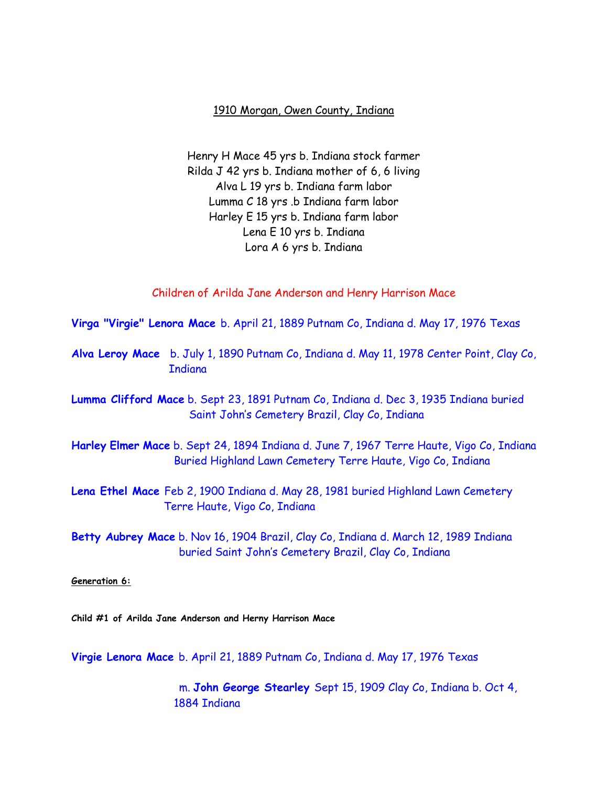### 1910 Morgan, Owen County, Indiana

Henry H Mace 45 yrs b. Indiana stock farmer Rilda J 42 yrs b. Indiana mother of 6, 6 living Alva L 19 yrs b. Indiana farm labor Lumma C 18 yrs .b Indiana farm labor Harley E 15 yrs b. Indiana farm labor Lena E 10 yrs b. Indiana Lora A 6 yrs b. Indiana

Children of Arilda Jane Anderson and Henry Harrison Mace

**Virga "Virgie" Lenora Mace** b. April 21, 1889 Putnam Co, Indiana d. May 17, 1976 Texas

**Alva Leroy Mace** b. July 1, 1890 Putnam Co, Indiana d. May 11, 1978 Center Point, Clay Co, **T**ndiana

**Lumma Clifford Mace** b. Sept 23, 1891 Putnam Co, Indiana d. Dec 3, 1935 Indiana buried Saint John's Cemetery Brazil, Clay Co, Indiana

**Harley Elmer Mace** b. Sept 24, 1894 Indiana d. June 7, 1967 Terre Haute, Vigo Co, Indiana Buried Highland Lawn Cemetery Terre Haute, Vigo Co, Indiana

**Lena Ethel Mace** Feb 2, 1900 Indiana d. May 28, 1981 buried Highland Lawn Cemetery Terre Haute, Vigo Co, Indiana

**Betty Aubrey Mace** b. Nov 16, 1904 Brazil, Clay Co, Indiana d. March 12, 1989 Indiana buried Saint John's Cemetery Brazil, Clay Co, Indiana

**Generation 6:**

**Child #1 of Arilda Jane Anderson and Herny Harrison Mace**

**Virgie Lenora Mace** b. April 21, 1889 Putnam Co, Indiana d. May 17, 1976 Texas

 m. **John George Stearley** Sept 15, 1909 Clay Co, Indiana b. Oct 4, 1884 Indiana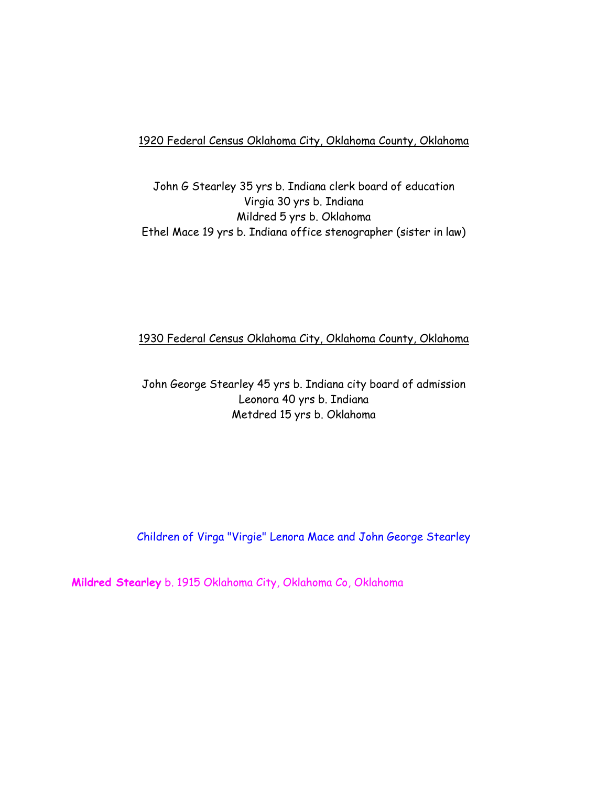## 1920 Federal Census Oklahoma City, Oklahoma County, Oklahoma

John G Stearley 35 yrs b. Indiana clerk board of education Virgia 30 yrs b. Indiana Mildred 5 yrs b. Oklahoma Ethel Mace 19 yrs b. Indiana office stenographer (sister in law)

# 1930 Federal Census Oklahoma City, Oklahoma County, Oklahoma

John George Stearley 45 yrs b. Indiana city board of admission Leonora 40 yrs b. Indiana Metdred 15 yrs b. Oklahoma

Children of Virga "Virgie" Lenora Mace and John George Stearley

**Mildred Stearley** b. 1915 Oklahoma City, Oklahoma Co, Oklahoma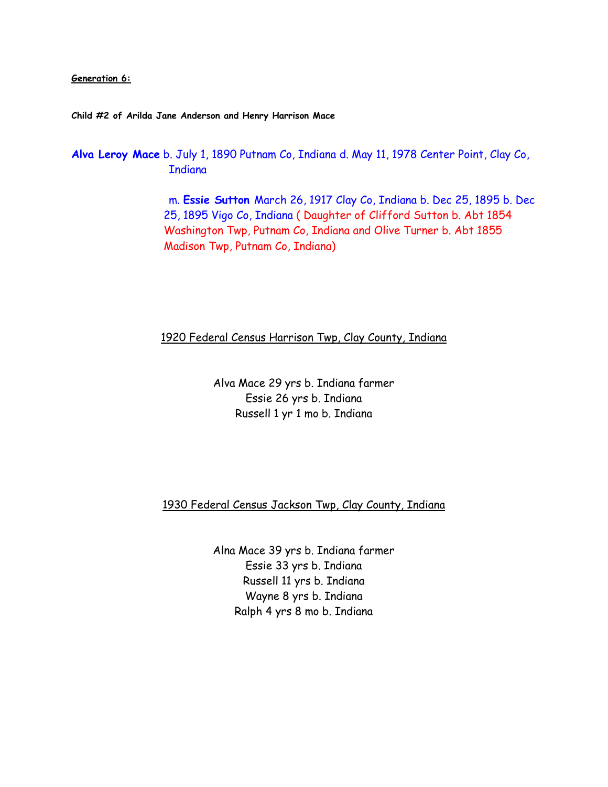**Generation 6:**

**Child #2 of Arilda Jane Anderson and Henry Harrison Mace**

**Alva Leroy Mace** b. July 1, 1890 Putnam Co, Indiana d. May 11, 1978 Center Point, Clay Co, **Indiana** 

> m. **Essie Sutton** March 26, 1917 Clay Co, Indiana b. Dec 25, 1895 b. Dec 25, 1895 Vigo Co, Indiana ( Daughter of Clifford Sutton b. Abt 1854 Washington Twp, Putnam Co, Indiana and Olive Turner b. Abt 1855 Madison Twp, Putnam Co, Indiana)

### 1920 Federal Census Harrison Twp, Clay County, Indiana

Alva Mace 29 yrs b. Indiana farmer Essie 26 yrs b. Indiana Russell 1 yr 1 mo b. Indiana

1930 Federal Census Jackson Twp, Clay County, Indiana

Alna Mace 39 yrs b. Indiana farmer Essie 33 yrs b. Indiana Russell 11 yrs b. Indiana Wayne 8 yrs b. Indiana Ralph 4 yrs 8 mo b. Indiana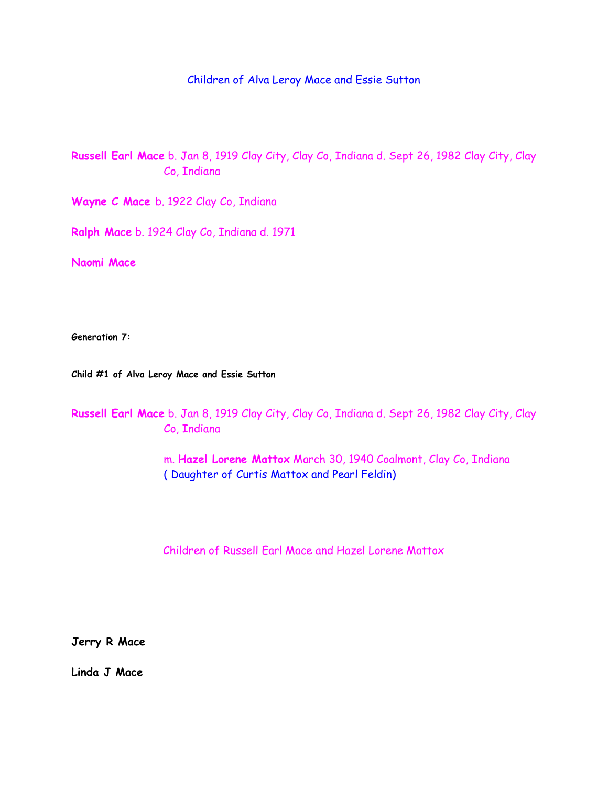## Children of Alva Leroy Mace and Essie Sutton

**Russell Earl Mace** b. Jan 8, 1919 Clay City, Clay Co, Indiana d. Sept 26, 1982 Clay City, Clay Co, Indiana

**Wayne C Mace** b. 1922 Clay Co, Indiana

**Ralph Mace** b. 1924 Clay Co, Indiana d. 1971

**Naomi Mace** 

**Generation 7:**

**Child #1 of Alva Leroy Mace and Essie Sutton**

**Russell Earl Mace** b. Jan 8, 1919 Clay City, Clay Co, Indiana d. Sept 26, 1982 Clay City, Clay Co, Indiana

> m. **Hazel Lorene Mattox** March 30, 1940 Coalmont, Clay Co, Indiana ( Daughter of Curtis Mattox and Pearl Feldin)

Children of Russell Earl Mace and Hazel Lorene Mattox

**Jerry R Mace**

**Linda J Mace**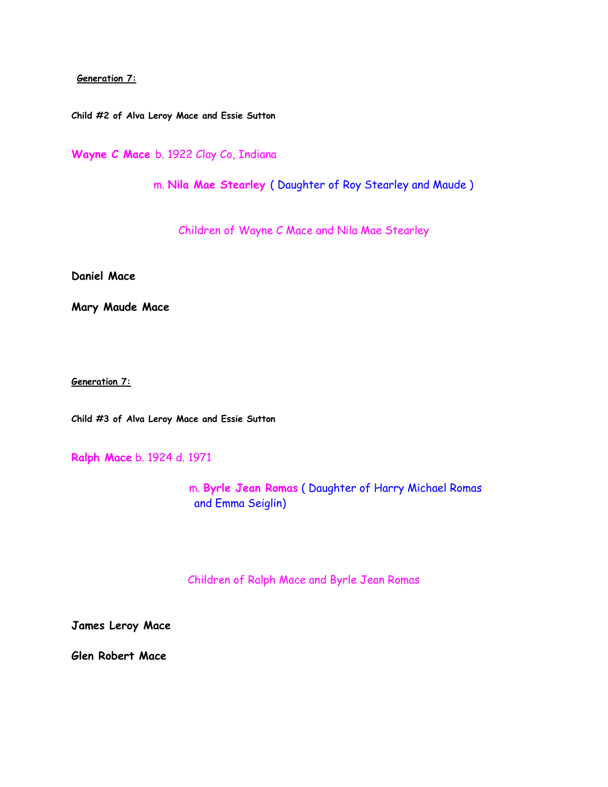### **Generation 7:**

**Child #2 of Alva Leroy Mace and Essie Sutton**

**Wayne C Mace** b. 1922 Clay Co, Indiana

m. **Nila Mae Stearley** ( Daughter of Roy Stearley and Maude )

Children of Wayne C Mace and Nila Mae Stearley

**Daniel Mace** 

**Mary Maude Mace**

**Generation 7:**

**Child #3 of Alva Leroy Mace and Essie Sutton**

**Ralph Mace** b. 1924 d. 1971

 m. **Byrle Jean Romas** ( Daughter of Harry Michael Romas and Emma Seiglin)

Children of Ralph Mace and Byrle Jean Romas

**James Leroy Mace**

**Glen Robert Mace**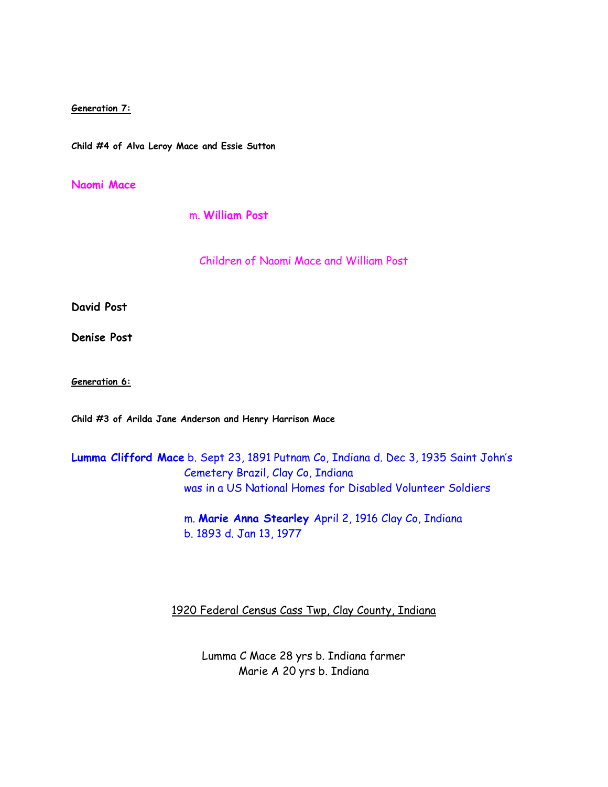**Generation 7:**

**Child #4 of Alva Leroy Mace and Essie Sutton**

### **Naomi Mace**

m. **William Post**

Children of Naomi Mace and William Post

**David Post** 

**Denise Post**

**Generation 6:**

**Child #3 of Arilda Jane Anderson and Henry Harrison Mace**

**Lumma Clifford Mace** b. Sept 23, 1891 Putnam Co, Indiana d. Dec 3, 1935 Saint John's Cemetery Brazil, Clay Co, Indiana was in a US National Homes for Disabled Volunteer Soldiers

> m. **Marie Anna Stearley** April 2, 1916 Clay Co, Indiana b. 1893 d. Jan 13, 1977

1920 Federal Census Cass Twp, Clay County, Indiana

Lumma C Mace 28 yrs b. Indiana farmer Marie A 20 yrs b. Indiana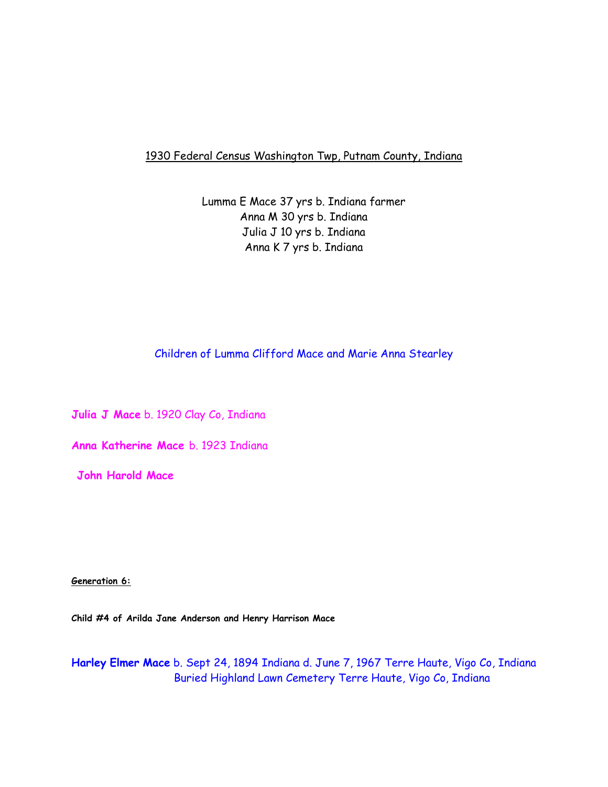1930 Federal Census Washington Twp, Putnam County, Indiana

Lumma E Mace 37 yrs b. Indiana farmer Anna M 30 yrs b. Indiana Julia J 10 yrs b. Indiana Anna K 7 yrs b. Indiana

Children of Lumma Clifford Mace and Marie Anna Stearley

**Julia J Mace** b. 1920 Clay Co, Indiana

**Anna Katherine Mace** b. 1923 Indiana

**John Harold Mace**

**Generation 6:**

**Child #4 of Arilda Jane Anderson and Henry Harrison Mace**

**Harley Elmer Mace** b. Sept 24, 1894 Indiana d. June 7, 1967 Terre Haute, Vigo Co, Indiana Buried Highland Lawn Cemetery Terre Haute, Vigo Co, Indiana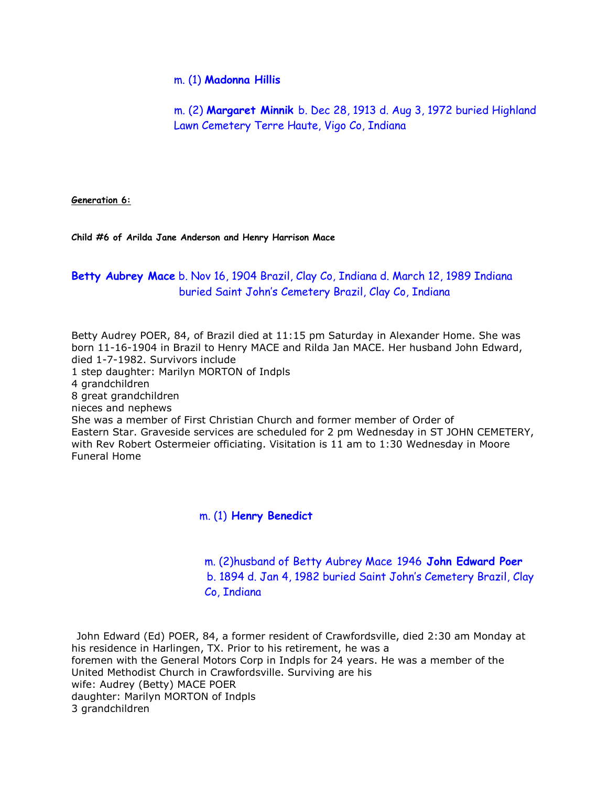m. (1) **Madonna Hillis**

m. (2) **Margaret Minnik** b. Dec 28, 1913 d. Aug 3, 1972 buried Highland Lawn Cemetery Terre Haute, Vigo Co, Indiana

**Generation 6:**

**Child #6 of Arilda Jane Anderson and Henry Harrison Mace**

# **Betty Aubrey Mace** b. Nov 16, 1904 Brazil, Clay Co, Indiana d. March 12, 1989 Indiana buried Saint John's Cemetery Brazil, Clay Co, Indiana

Betty Audrey POER, 84, of Brazil died at 11:15 pm Saturday in Alexander Home. She was born 11-16-1904 in Brazil to Henry MACE and Rilda Jan MACE. Her husband John Edward, died 1-7-1982. Survivors include 1 step daughter: Marilyn MORTON of Indpls 4 grandchildren 8 great grandchildren nieces and nephews She was a member of First Christian Church and former member of Order of Eastern Star. Graveside services are scheduled for 2 pm Wednesday in ST JOHN CEMETERY, with Rev Robert Ostermeier officiating. Visitation is 11 am to 1:30 Wednesday in Moore Funeral Home

m. (1) **Henry Benedict**

m. (2)husband of Betty Aubrey Mace 1946 **John Edward Poer** 

b. 1894 d. Jan 4, 1982 buried Saint John's Cemetery Brazil, Clay

Co, Indiana

John Edward (Ed) POER, 84, a former resident of Crawfordsville, died 2:30 am Monday at his residence in Harlingen, TX. Prior to his retirement, he was a foremen with the General Motors Corp in Indpls for 24 years. He was a member of the United Methodist Church in Crawfordsville. Surviving are his wife: Audrey (Betty) MACE POER daughter: Marilyn MORTON of Indpls 3 grandchildren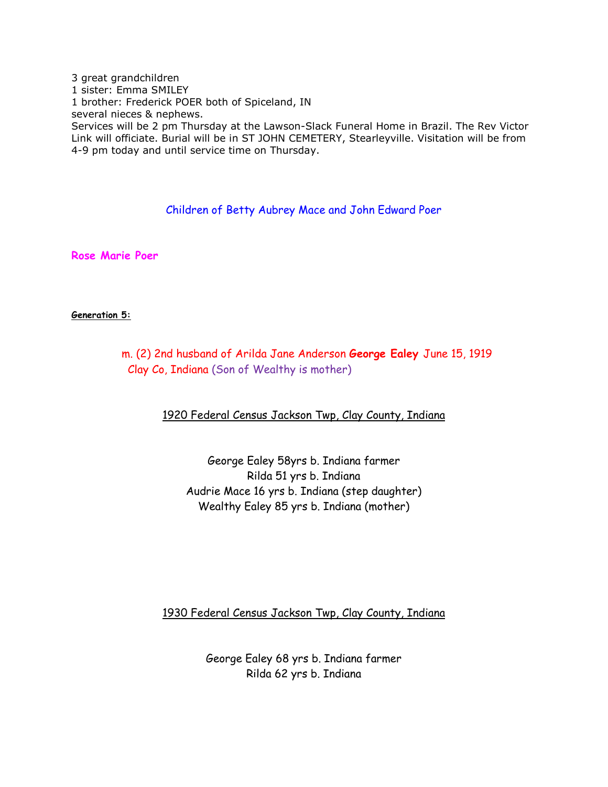3 great grandchildren 1 sister: Emma SMILEY 1 brother: Frederick POER both of Spiceland, IN several nieces & nephews. Services will be 2 pm Thursday at the Lawson-Slack Funeral Home in Brazil. The Rev Victor Link will officiate. Burial will be in ST JOHN CEMETERY, Stearleyville. Visitation will be from 4-9 pm today and until service time on Thursday.

Children of Betty Aubrey Mace and John Edward Poer

**Rose Marie Poer**

#### **Generation 5:**

 m. (2) 2nd husband of Arilda Jane Anderson **George Ealey** June 15, 1919 Clay Co, Indiana (Son of Wealthy is mother)

1920 Federal Census Jackson Twp, Clay County, Indiana

George Ealey 58yrs b. Indiana farmer Rilda 51 yrs b. Indiana Audrie Mace 16 yrs b. Indiana (step daughter) Wealthy Ealey 85 yrs b. Indiana (mother)

1930 Federal Census Jackson Twp, Clay County, Indiana

George Ealey 68 yrs b. Indiana farmer Rilda 62 yrs b. Indiana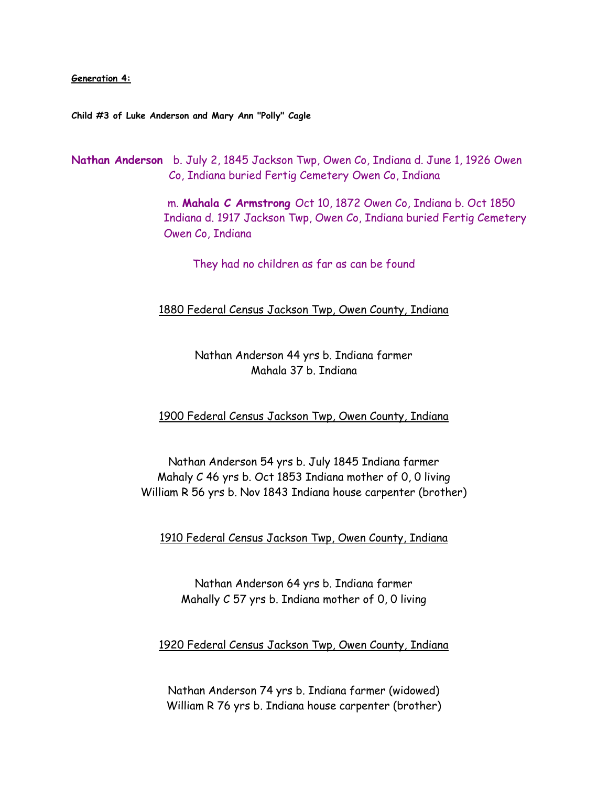#### **Generation 4:**

**Child #3 of Luke Anderson and Mary Ann "Polly" Cagle**

**Nathan Anderson** b. July 2, 1845 Jackson Twp, Owen Co, Indiana d. June 1, 1926 Owen Co, Indiana buried Fertig Cemetery Owen Co, Indiana

> m. **Mahala C Armstrong** Oct 10, 1872 Owen Co, Indiana b. Oct 1850 Indiana d. 1917 Jackson Twp, Owen Co, Indiana buried Fertig Cemetery Owen Co, Indiana

They had no children as far as can be found

#### 1880 Federal Census Jackson Twp, Owen County, Indiana

Nathan Anderson 44 yrs b. Indiana farmer Mahala 37 b. Indiana

### 1900 Federal Census Jackson Twp, Owen County, Indiana

Nathan Anderson 54 yrs b. July 1845 Indiana farmer Mahaly C 46 yrs b. Oct 1853 Indiana mother of 0, 0 living William R 56 yrs b. Nov 1843 Indiana house carpenter (brother)

1910 Federal Census Jackson Twp, Owen County, Indiana

Nathan Anderson 64 yrs b. Indiana farmer Mahally C 57 yrs b. Indiana mother of 0, 0 living

#### 1920 Federal Census Jackson Twp, Owen County, Indiana

Nathan Anderson 74 yrs b. Indiana farmer (widowed) William R 76 yrs b. Indiana house carpenter (brother)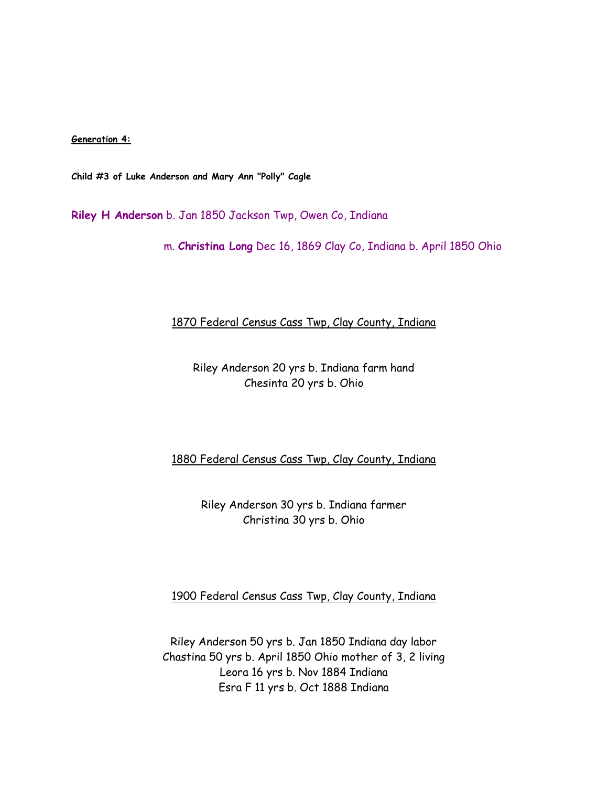**Generation 4:**

**Child #3 of Luke Anderson and Mary Ann "Polly" Cagle**

**Riley H Anderson** b. Jan 1850 Jackson Twp, Owen Co, Indiana

m. **Christina Long** Dec 16, 1869 Clay Co, Indiana b. April 1850 Ohio

# 1870 Federal Census Cass Twp, Clay County, Indiana

Riley Anderson 20 yrs b. Indiana farm hand Chesinta 20 yrs b. Ohio

1880 Federal Census Cass Twp, Clay County, Indiana

Riley Anderson 30 yrs b. Indiana farmer Christina 30 yrs b. Ohio

1900 Federal Census Cass Twp, Clay County, Indiana

Riley Anderson 50 yrs b. Jan 1850 Indiana day labor Chastina 50 yrs b. April 1850 Ohio mother of 3, 2 living Leora 16 yrs b. Nov 1884 Indiana Esra F 11 yrs b. Oct 1888 Indiana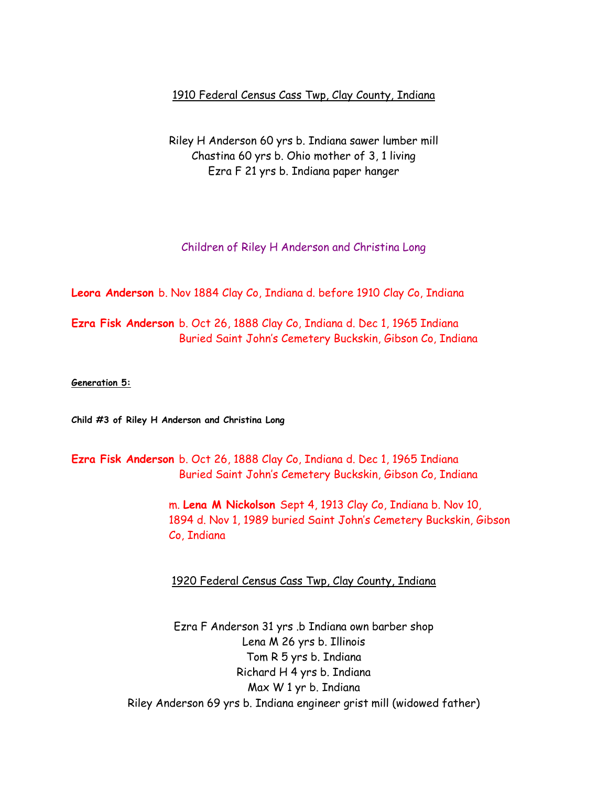### 1910 Federal Census Cass Twp, Clay County, Indiana

Riley H Anderson 60 yrs b. Indiana sawer lumber mill Chastina 60 yrs b. Ohio mother of 3, 1 living Ezra F 21 yrs b. Indiana paper hanger

Children of Riley H Anderson and Christina Long

**Leora Anderson** b. Nov 1884 Clay Co, Indiana d. before 1910 Clay Co, Indiana

**Ezra Fisk Anderson** b. Oct 26, 1888 Clay Co, Indiana d. Dec 1, 1965 Indiana Buried Saint John's Cemetery Buckskin, Gibson Co, Indiana

#### **Generation 5:**

**Child #3 of Riley H Anderson and Christina Long**

**Ezra Fisk Anderson** b. Oct 26, 1888 Clay Co, Indiana d. Dec 1, 1965 Indiana Buried Saint John's Cemetery Buckskin, Gibson Co, Indiana

> m. **Lena M Nickolson** Sept 4, 1913 Clay Co, Indiana b. Nov 10, 1894 d. Nov 1, 1989 buried Saint John's Cemetery Buckskin, Gibson Co, Indiana

## 1920 Federal Census Cass Twp, Clay County, Indiana

Ezra F Anderson 31 yrs .b Indiana own barber shop Lena M 26 yrs b. Illinois Tom R 5 yrs b. Indiana Richard H 4 yrs b. Indiana Max W 1 yr b. Indiana Riley Anderson 69 yrs b. Indiana engineer grist mill (widowed father)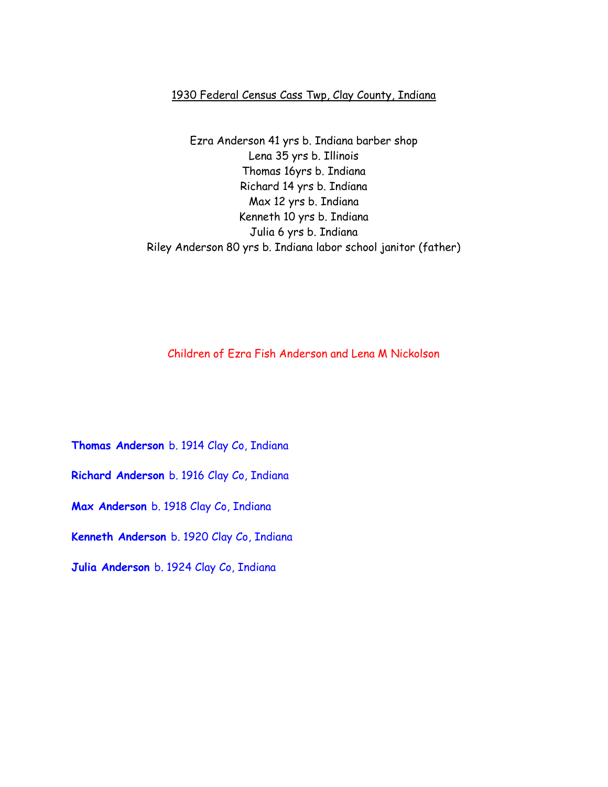## 1930 Federal Census Cass Twp, Clay County, Indiana

Ezra Anderson 41 yrs b. Indiana barber shop Lena 35 yrs b. Illinois Thomas 16yrs b. Indiana Richard 14 yrs b. Indiana Max 12 yrs b. Indiana Kenneth 10 yrs b. Indiana Julia 6 yrs b. Indiana Riley Anderson 80 yrs b. Indiana labor school janitor (father)

Children of Ezra Fish Anderson and Lena M Nickolson

**Thomas Anderson** b. 1914 Clay Co, Indiana

**Richard Anderson** b. 1916 Clay Co, Indiana

**Max Anderson** b. 1918 Clay Co, Indiana

**Kenneth Anderson** b. 1920 Clay Co, Indiana

**Julia Anderson** b. 1924 Clay Co, Indiana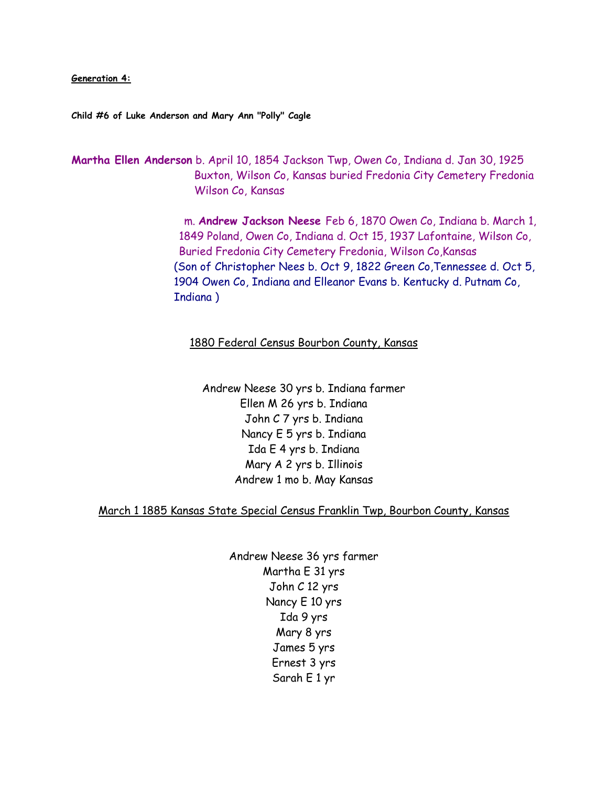#### **Generation 4:**

**Child #6 of Luke Anderson and Mary Ann "Polly" Cagle**

**Martha Ellen Anderson** b. April 10, 1854 Jackson Twp, Owen Co, Indiana d. Jan 30, 1925 Buxton, Wilson Co, Kansas buried Fredonia City Cemetery Fredonia Wilson Co, Kansas

> m. **Andrew Jackson Neese** Feb 6, 1870 Owen Co, Indiana b. March 1, 1849 Poland, Owen Co, Indiana d. Oct 15, 1937 Lafontaine, Wilson Co, Buried Fredonia City Cemetery Fredonia, Wilson Co,Kansas (Son of Christopher Nees b. Oct 9, 1822 Green Co,Tennessee d. Oct 5, 1904 Owen Co, Indiana and Elleanor Evans b. Kentucky d. Putnam Co, Indiana )

1880 Federal Census Bourbon County, Kansas

Andrew Neese 30 yrs b. Indiana farmer Ellen M 26 yrs b. Indiana John C 7 yrs b. Indiana Nancy E 5 yrs b. Indiana Ida E 4 yrs b. Indiana Mary A 2 yrs b. Illinois Andrew 1 mo b. May Kansas

March 1 1885 Kansas State Special Census Franklin Twp, Bourbon County, Kansas

Andrew Neese 36 yrs farmer Martha E 31 yrs John C 12 yrs Nancy E 10 yrs Ida 9 yrs Mary 8 yrs James 5 yrs Ernest 3 yrs Sarah E 1 yr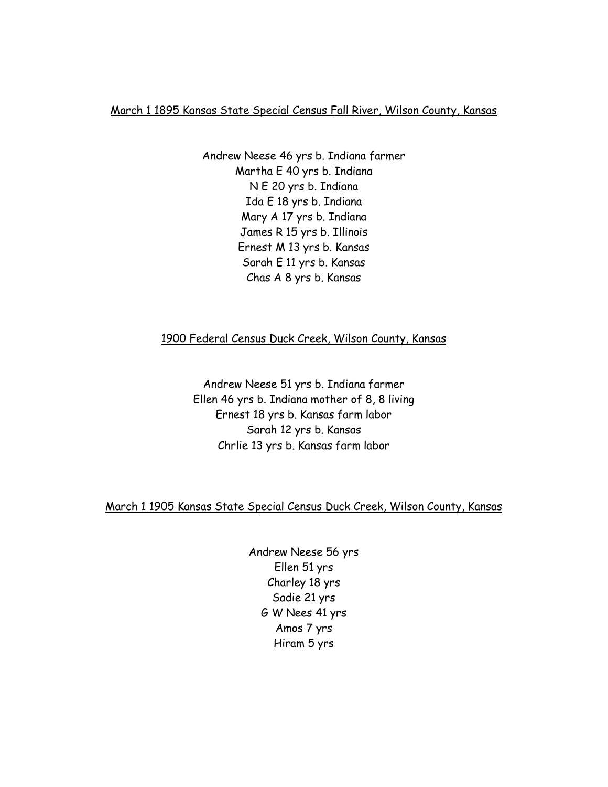March 1 1895 Kansas State Special Census Fall River, Wilson County, Kansas

Andrew Neese 46 yrs b. Indiana farmer Martha E 40 yrs b. Indiana N E 20 yrs b. Indiana Ida E 18 yrs b. Indiana Mary A 17 yrs b. Indiana James R 15 yrs b. Illinois Ernest M 13 yrs b. Kansas Sarah E 11 yrs b. Kansas Chas A 8 yrs b. Kansas

### 1900 Federal Census Duck Creek, Wilson County, Kansas

Andrew Neese 51 yrs b. Indiana farmer Ellen 46 yrs b. Indiana mother of 8, 8 living Ernest 18 yrs b. Kansas farm labor Sarah 12 yrs b. Kansas Chrlie 13 yrs b. Kansas farm labor

March 1 1905 Kansas State Special Census Duck Creek, Wilson County, Kansas

Andrew Neese 56 yrs Ellen 51 yrs Charley 18 yrs Sadie 21 yrs G W Nees 41 yrs Amos 7 yrs Hiram 5 yrs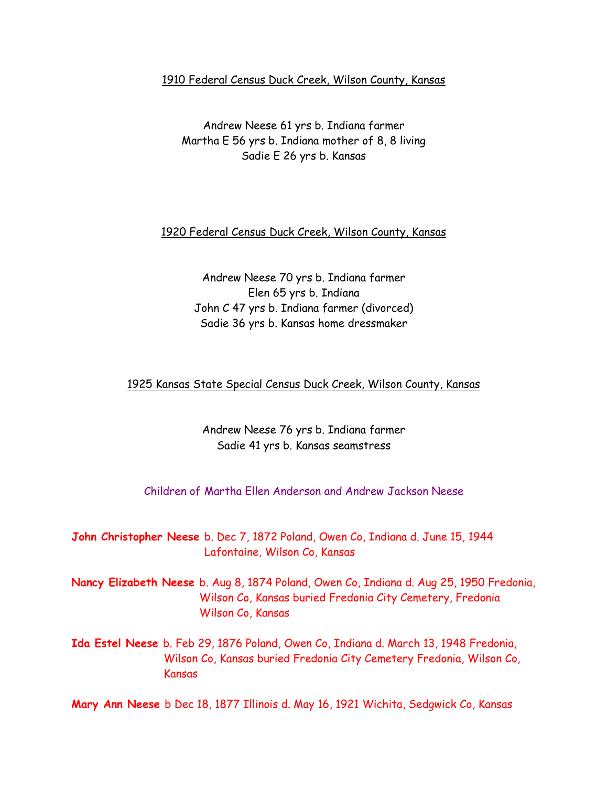### 1910 Federal Census Duck Creek, Wilson County, Kansas

Andrew Neese 61 yrs b. Indiana farmer Martha E 56 yrs b. Indiana mother of 8, 8 living Sadie E 26 yrs b. Kansas

#### 1920 Federal Census Duck Creek, Wilson County, Kansas

# Andrew Neese 70 yrs b. Indiana farmer Elen 65 yrs b. Indiana John C 47 yrs b. Indiana farmer (divorced) Sadie 36 yrs b. Kansas home dressmaker

### 1925 Kansas State Special Census Duck Creek, Wilson County, Kansas

# Andrew Neese 76 yrs b. Indiana farmer Sadie 41 yrs b. Kansas seamstress

## Children of Martha Ellen Anderson and Andrew Jackson Neese

**John Christopher Neese** b. Dec 7, 1872 Poland, Owen Co, Indiana d. June 15, 1944 Lafontaine, Wilson Co, Kansas

**Nancy Elizabeth Neese** b. Aug 8, 1874 Poland, Owen Co, Indiana d. Aug 25, 1950 Fredonia, Wilson Co, Kansas buried Fredonia City Cemetery, Fredonia Wilson Co, Kansas

**Ida Estel Neese** b. Feb 29, 1876 Poland, Owen Co, Indiana d. March 13, 1948 Fredonia, Wilson Co, Kansas buried Fredonia City Cemetery Fredonia, Wilson Co, Kansas

**Mary Ann Neese** b Dec 18, 1877 Illinois d. May 16, 1921 Wichita, Sedgwick Co, Kansas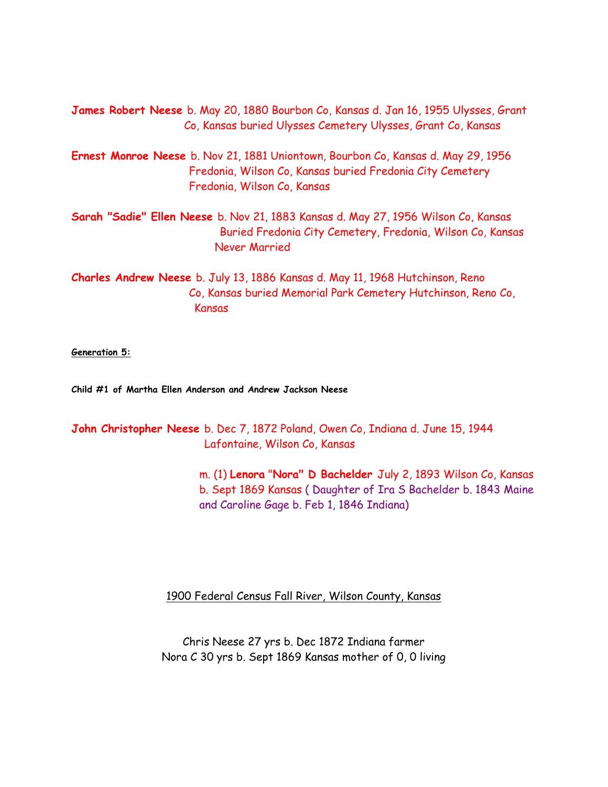**James Robert Neese** b. May 20, 1880 Bourbon Co, Kansas d. Jan 16, 1955 Ulysses, Grant Co, Kansas buried Ulysses Cemetery Ulysses, Grant Co, Kansas

**Ernest Monroe Neese** b. Nov 21, 1881 Uniontown, Bourbon Co, Kansas d. May 29, 1956 Fredonia, Wilson Co, Kansas buried Fredonia City Cemetery Fredonia, Wilson Co, Kansas

**Sarah "Sadie" Ellen Neese** b. Nov 21, 1883 Kansas d. May 27, 1956 Wilson Co, Kansas Buried Fredonia City Cemetery, Fredonia, Wilson Co, Kansas Never Married

**Charles Andrew Neese** b. July 13, 1886 Kansas d. May 11, 1968 Hutchinson, Reno Co, Kansas buried Memorial Park Cemetery Hutchinson, Reno Co, Kansas

**Generation 5:**

**Child #1 of Martha Ellen Anderson and Andrew Jackson Neese**

**John Christopher Neese** b. Dec 7, 1872 Poland, Owen Co, Indiana d. June 15, 1944 Lafontaine, Wilson Co, Kansas

> m. (1) **Lenora** "**Nora" D Bachelder** July 2, 1893 Wilson Co, Kansas b. Sept 1869 Kansas ( Daughter of Ira S Bachelder b. 1843 Maine and Caroline Gage b. Feb 1, 1846 Indiana)

1900 Federal Census Fall River, Wilson County, Kansas

Chris Neese 27 yrs b. Dec 1872 Indiana farmer Nora C 30 yrs b. Sept 1869 Kansas mother of 0, 0 living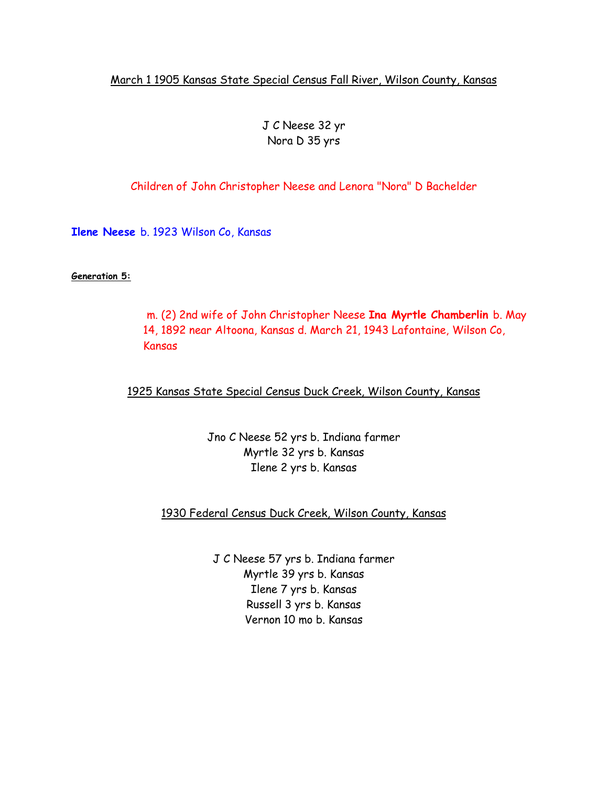# March 1 1905 Kansas State Special Census Fall River, Wilson County, Kansas

J C Neese 32 yr Nora D 35 yrs

Children of John Christopher Neese and Lenora "Nora" D Bachelder

**Ilene Neese** b. 1923 Wilson Co, Kansas

### **Generation 5:**

m. (2) 2nd wife of John Christopher Neese **Ina Myrtle Chamberlin** b. May 14, 1892 near Altoona, Kansas d. March 21, 1943 Lafontaine, Wilson Co, Kansas

1925 Kansas State Special Census Duck Creek, Wilson County, Kansas

Jno C Neese 52 yrs b. Indiana farmer Myrtle 32 yrs b. Kansas Ilene 2 yrs b. Kansas

1930 Federal Census Duck Creek, Wilson County, Kansas

J C Neese 57 yrs b. Indiana farmer Myrtle 39 yrs b. Kansas Ilene 7 yrs b. Kansas Russell 3 yrs b. Kansas Vernon 10 mo b. Kansas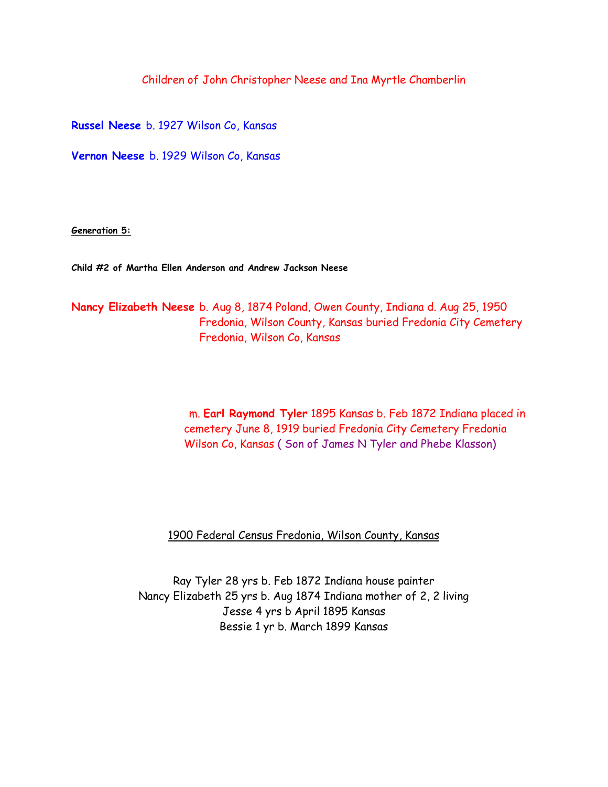Children of John Christopher Neese and Ina Myrtle Chamberlin

**Russel Neese** b. 1927 Wilson Co, Kansas

**Vernon Neese** b. 1929 Wilson Co, Kansas

**Generation 5:**

**Child #2 of Martha Ellen Anderson and Andrew Jackson Neese**

**Nancy Elizabeth Neese** b. Aug 8, 1874 Poland, Owen County, Indiana d. Aug 25, 1950 Fredonia, Wilson County, Kansas buried Fredonia City Cemetery Fredonia, Wilson Co, Kansas

> m. **Earl Raymond Tyler** 1895 Kansas b. Feb 1872 Indiana placed in cemetery June 8, 1919 buried Fredonia City Cemetery Fredonia Wilson Co, Kansas ( Son of James N Tyler and Phebe Klasson)

1900 Federal Census Fredonia, Wilson County, Kansas

Ray Tyler 28 yrs b. Feb 1872 Indiana house painter Nancy Elizabeth 25 yrs b. Aug 1874 Indiana mother of 2, 2 living Jesse 4 yrs b April 1895 Kansas Bessie 1 yr b. March 1899 Kansas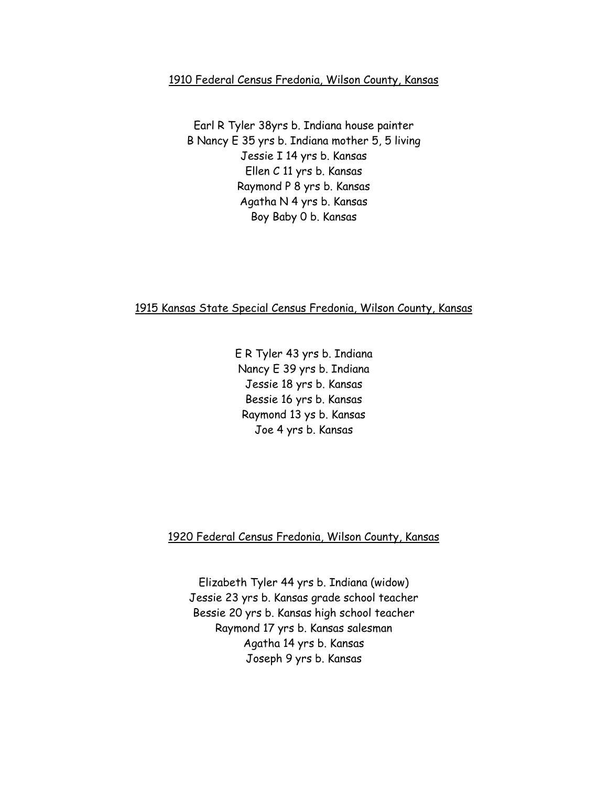#### 1910 Federal Census Fredonia, Wilson County, Kansas

Earl R Tyler 38yrs b. Indiana house painter B Nancy E 35 yrs b. Indiana mother 5, 5 living Jessie I 14 yrs b. Kansas Ellen C 11 yrs b. Kansas Raymond P 8 yrs b. Kansas Agatha N 4 yrs b. Kansas Boy Baby 0 b. Kansas

### 1915 Kansas State Special Census Fredonia, Wilson County, Kansas

E R Tyler 43 yrs b. Indiana Nancy E 39 yrs b. Indiana Jessie 18 yrs b. Kansas Bessie 16 yrs b. Kansas Raymond 13 ys b. Kansas Joe 4 yrs b. Kansas

### 1920 Federal Census Fredonia, Wilson County, Kansas

Elizabeth Tyler 44 yrs b. Indiana (widow) Jessie 23 yrs b. Kansas grade school teacher Bessie 20 yrs b. Kansas high school teacher Raymond 17 yrs b. Kansas salesman Agatha 14 yrs b. Kansas Joseph 9 yrs b. Kansas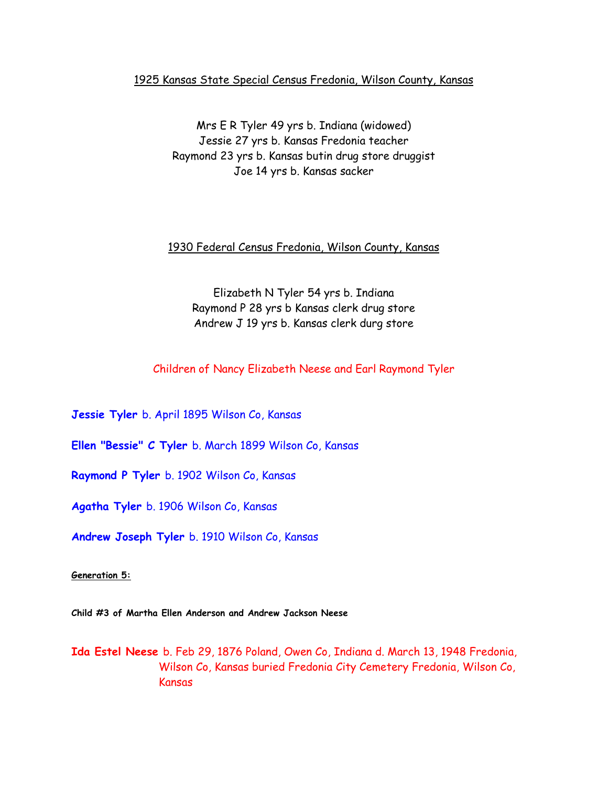### 1925 Kansas State Special Census Fredonia, Wilson County, Kansas

Mrs E R Tyler 49 yrs b. Indiana (widowed) Jessie 27 yrs b. Kansas Fredonia teacher Raymond 23 yrs b. Kansas butin drug store druggist Joe 14 yrs b. Kansas sacker

### 1930 Federal Census Fredonia, Wilson County, Kansas

Elizabeth N Tyler 54 yrs b. Indiana Raymond P 28 yrs b Kansas clerk drug store Andrew J 19 yrs b. Kansas clerk durg store

### Children of Nancy Elizabeth Neese and Earl Raymond Tyler

**Jessie Tyler** b. April 1895 Wilson Co, Kansas

**Ellen "Bessie" C Tyler** b. March 1899 Wilson Co, Kansas

**Raymond P Tyler** b. 1902 Wilson Co, Kansas

**Agatha Tyler** b. 1906 Wilson Co, Kansas

**Andrew Joseph Tyler** b. 1910 Wilson Co, Kansas

#### **Generation 5:**

**Child #3 of Martha Ellen Anderson and Andrew Jackson Neese**

**Ida Estel Neese** b. Feb 29, 1876 Poland, Owen Co, Indiana d. March 13, 1948 Fredonia, Wilson Co, Kansas buried Fredonia City Cemetery Fredonia, Wilson Co, Kansas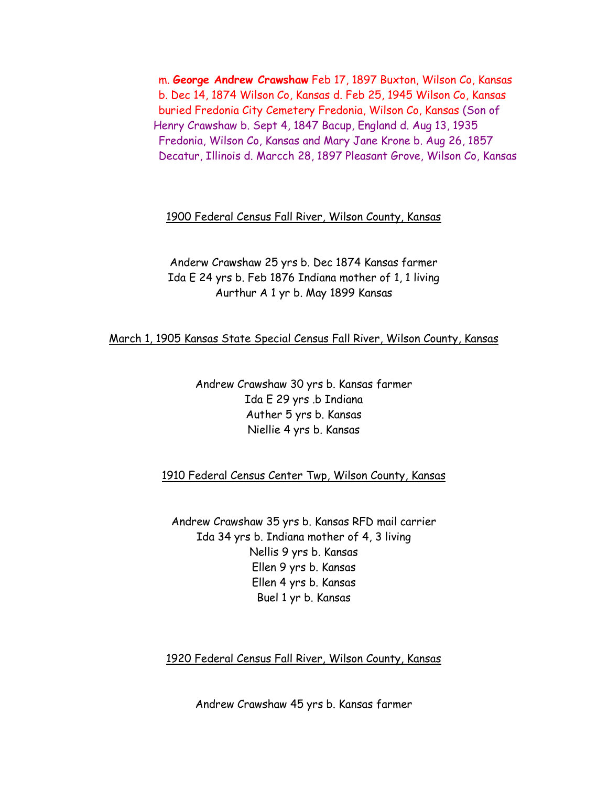m. **George Andrew Crawshaw** Feb 17, 1897 Buxton, Wilson Co, Kansas b. Dec 14, 1874 Wilson Co, Kansas d. Feb 25, 1945 Wilson Co, Kansas buried Fredonia City Cemetery Fredonia, Wilson Co, Kansas (Son of Henry Crawshaw b. Sept 4, 1847 Bacup, England d. Aug 13, 1935 Fredonia, Wilson Co, Kansas and Mary Jane Krone b. Aug 26, 1857 Decatur, Illinois d. Marcch 28, 1897 Pleasant Grove, Wilson Co, Kansas

### 1900 Federal Census Fall River, Wilson County, Kansas

Anderw Crawshaw 25 yrs b. Dec 1874 Kansas farmer Ida E 24 yrs b. Feb 1876 Indiana mother of 1, 1 living Aurthur A 1 yr b. May 1899 Kansas

#### March 1, 1905 Kansas State Special Census Fall River, Wilson County, Kansas

Andrew Crawshaw 30 yrs b. Kansas farmer Ida E 29 yrs .b Indiana Auther 5 yrs b. Kansas Niellie 4 yrs b. Kansas

#### 1910 Federal Census Center Twp, Wilson County, Kansas

Andrew Crawshaw 35 yrs b. Kansas RFD mail carrier Ida 34 yrs b. Indiana mother of 4, 3 living Nellis 9 yrs b. Kansas Ellen 9 yrs b. Kansas Ellen 4 yrs b. Kansas Buel 1 yr b. Kansas

#### 1920 Federal Census Fall River, Wilson County, Kansas

Andrew Crawshaw 45 yrs b. Kansas farmer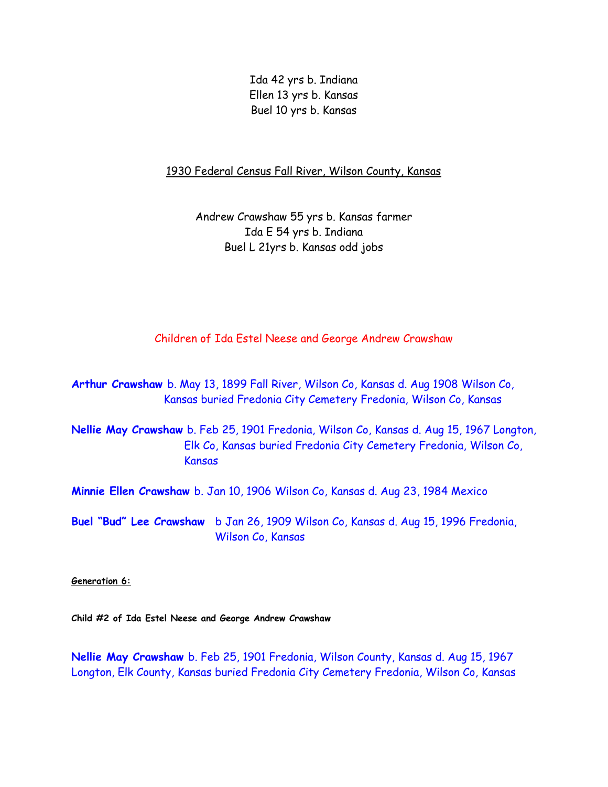Ida 42 yrs b. Indiana Ellen 13 yrs b. Kansas Buel 10 yrs b. Kansas

1930 Federal Census Fall River, Wilson County, Kansas

Andrew Crawshaw 55 yrs b. Kansas farmer Ida E 54 yrs b. Indiana Buel L 21yrs b. Kansas odd jobs

Children of Ida Estel Neese and George Andrew Crawshaw

**Arthur Crawshaw** b. May 13, 1899 Fall River, Wilson Co, Kansas d. Aug 1908 Wilson Co, Kansas buried Fredonia City Cemetery Fredonia, Wilson Co, Kansas

**Nellie May Crawshaw** b. Feb 25, 1901 Fredonia, Wilson Co, Kansas d. Aug 15, 1967 Longton, Elk Co, Kansas buried Fredonia City Cemetery Fredonia, Wilson Co, Kansas

**Minnie Ellen Crawshaw** b. Jan 10, 1906 Wilson Co, Kansas d. Aug 23, 1984 Mexico

**Buel "Bud" Lee Crawshaw** b Jan 26, 1909 Wilson Co, Kansas d. Aug 15, 1996 Fredonia, Wilson Co, Kansas

**Generation 6:**

**Child #2 of Ida Estel Neese and George Andrew Crawshaw**

**Nellie May Crawshaw** b. Feb 25, 1901 Fredonia, Wilson County, Kansas d. Aug 15, 1967 Longton, Elk County, Kansas buried Fredonia City Cemetery Fredonia, Wilson Co, Kansas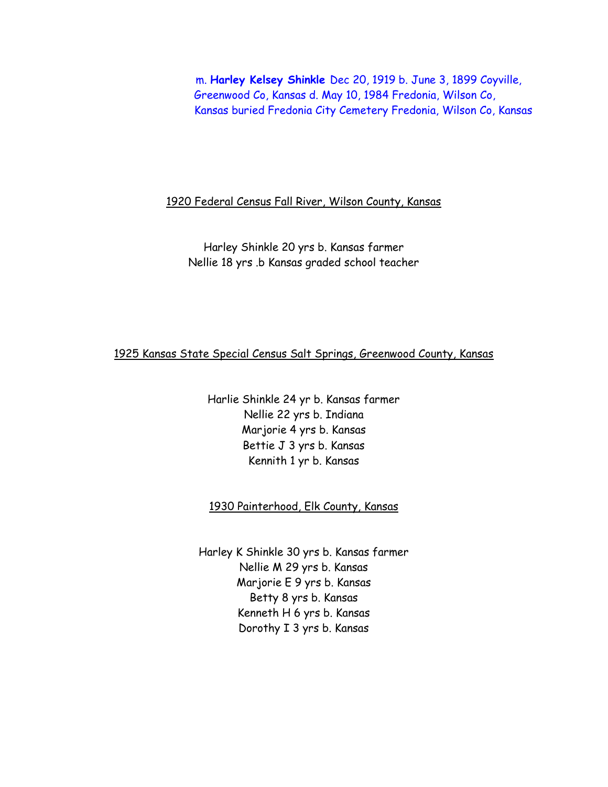m. **Harley Kelsey Shinkle** Dec 20, 1919 b. June 3, 1899 Coyville, Greenwood Co, Kansas d. May 10, 1984 Fredonia, Wilson Co, Kansas buried Fredonia City Cemetery Fredonia, Wilson Co, Kansas

#### 1920 Federal Census Fall River, Wilson County, Kansas

Harley Shinkle 20 yrs b. Kansas farmer Nellie 18 yrs .b Kansas graded school teacher

### 1925 Kansas State Special Census Salt Springs, Greenwood County, Kansas

Harlie Shinkle 24 yr b. Kansas farmer Nellie 22 yrs b. Indiana Marjorie 4 yrs b. Kansas Bettie J 3 yrs b. Kansas Kennith 1 yr b. Kansas

1930 Painterhood, Elk County, Kansas

Harley K Shinkle 30 yrs b. Kansas farmer Nellie M 29 yrs b. Kansas Marjorie E 9 yrs b. Kansas Betty 8 yrs b. Kansas Kenneth H 6 yrs b. Kansas Dorothy I 3 yrs b. Kansas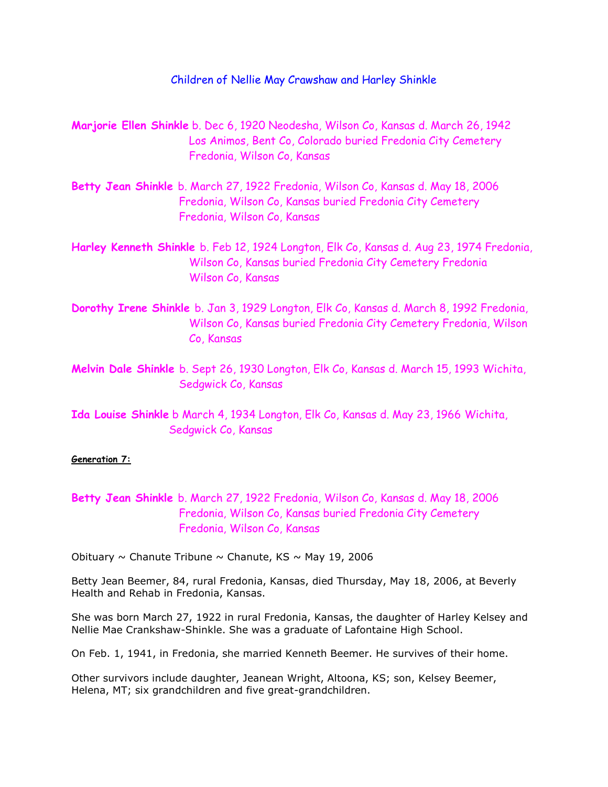### Children of Nellie May Crawshaw and Harley Shinkle

- **Marjorie Ellen Shinkle** b. Dec 6, 1920 Neodesha, Wilson Co, Kansas d. March 26, 1942 Los Animos, Bent Co, Colorado buried Fredonia City Cemetery Fredonia, Wilson Co, Kansas
- **Betty Jean Shinkle** b. March 27, 1922 Fredonia, Wilson Co, Kansas d. May 18, 2006 Fredonia, Wilson Co, Kansas buried Fredonia City Cemetery Fredonia, Wilson Co, Kansas
- **Harley Kenneth Shinkle** b. Feb 12, 1924 Longton, Elk Co, Kansas d. Aug 23, 1974 Fredonia, Wilson Co, Kansas buried Fredonia City Cemetery Fredonia Wilson Co, Kansas
- **Dorothy Irene Shinkle** b. Jan 3, 1929 Longton, Elk Co, Kansas d. March 8, 1992 Fredonia, Wilson Co, Kansas buried Fredonia City Cemetery Fredonia, Wilson Co, Kansas
- **Melvin Dale Shinkle** b. Sept 26, 1930 Longton, Elk Co, Kansas d. March 15, 1993 Wichita, Sedgwick Co, Kansas
- **Ida Louise Shinkle** b March 4, 1934 Longton, Elk Co, Kansas d. May 23, 1966 Wichita, Sedgwick Co, Kansas

#### **Generation 7:**

**Betty Jean Shinkle** b. March 27, 1922 Fredonia, Wilson Co, Kansas d. May 18, 2006 Fredonia, Wilson Co, Kansas buried Fredonia City Cemetery Fredonia, Wilson Co, Kansas

Obituary  $\sim$  Chanute Tribune  $\sim$  Chanute, KS  $\sim$  May 19, 2006

Betty Jean Beemer, 84, rural Fredonia, Kansas, died Thursday, May 18, 2006, at Beverly Health and Rehab in Fredonia, Kansas.

She was born March 27, 1922 in rural Fredonia, Kansas, the daughter of Harley Kelsey and Nellie Mae Crankshaw-Shinkle. She was a graduate of Lafontaine High School.

On Feb. 1, 1941, in Fredonia, she married Kenneth Beemer. He survives of their home.

Other survivors include daughter, Jeanean Wright, Altoona, KS; son, Kelsey Beemer, Helena, MT; six grandchildren and five great-grandchildren.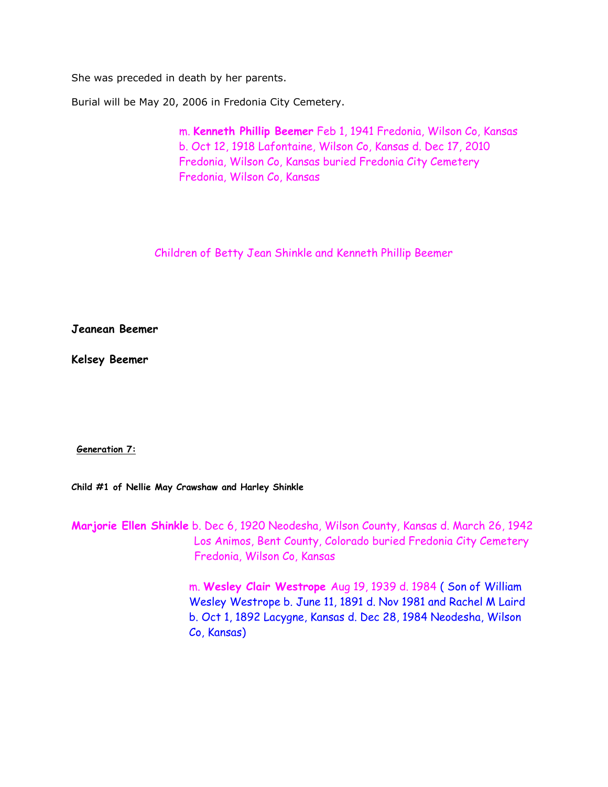She was preceded in death by her parents.

Burial will be May 20, 2006 in Fredonia City Cemetery.

 m. **Kenneth Phillip Beemer** Feb 1, 1941 Fredonia, Wilson Co, Kansas b. Oct 12, 1918 Lafontaine, Wilson Co, Kansas d. Dec 17, 2010 Fredonia, Wilson Co, Kansas buried Fredonia City Cemetery Fredonia, Wilson Co, Kansas

Children of Betty Jean Shinkle and Kenneth Phillip Beemer

**Jeanean Beemer**

**Kelsey Beemer**

**Generation 7:**

**Child #1 of Nellie May Crawshaw and Harley Shinkle**

**Marjorie Ellen Shinkle** b. Dec 6, 1920 Neodesha, Wilson County, Kansas d. March 26, 1942 Los Animos, Bent County, Colorado buried Fredonia City Cemetery Fredonia, Wilson Co, Kansas

> m. **Wesley Clair Westrope** Aug 19, 1939 d. 1984 ( Son of William Wesley Westrope b. June 11, 1891 d. Nov 1981 and Rachel M Laird b. Oct 1, 1892 Lacygne, Kansas d. Dec 28, 1984 Neodesha, Wilson Co, Kansas)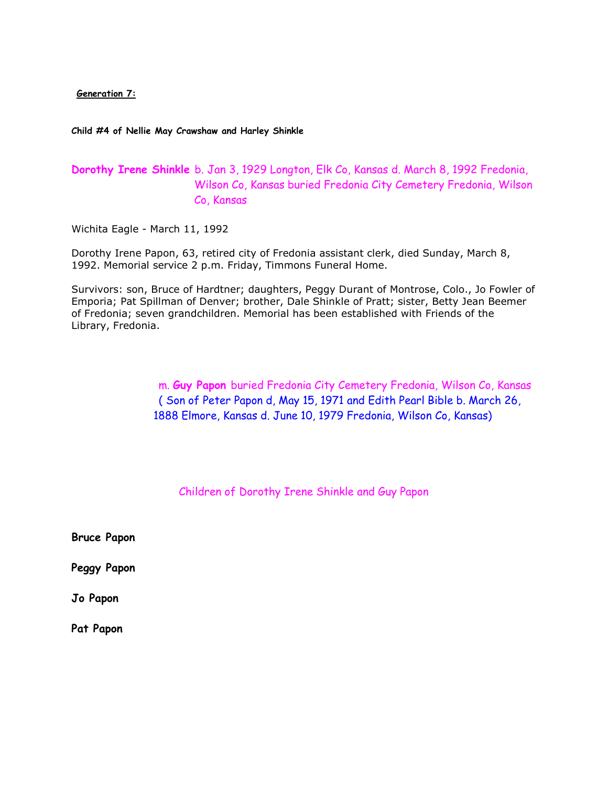**Generation 7:**

**Child #4 of Nellie May Crawshaw and Harley Shinkle**

**Dorothy Irene Shinkle** b. Jan 3, 1929 Longton, Elk Co, Kansas d. March 8, 1992 Fredonia, Wilson Co, Kansas buried Fredonia City Cemetery Fredonia, Wilson Co, Kansas

Wichita Eagle - March 11, 1992

Dorothy Irene Papon, 63, retired city of Fredonia assistant clerk, died Sunday, March 8, 1992. Memorial service 2 p.m. Friday, Timmons Funeral Home.

Survivors: son, Bruce of Hardtner; daughters, Peggy Durant of Montrose, Colo., Jo Fowler of Emporia; Pat Spillman of Denver; brother, Dale Shinkle of Pratt; sister, Betty Jean Beemer of Fredonia; seven grandchildren. Memorial has been established with Friends of the Library, Fredonia.

> m. **Guy Papon** buried Fredonia City Cemetery Fredonia, Wilson Co, Kansas ( Son of Peter Papon d, May 15, 1971 and Edith Pearl Bible b. March 26, 1888 Elmore, Kansas d. June 10, 1979 Fredonia, Wilson Co, Kansas)

Children of Dorothy Irene Shinkle and Guy Papon

**Bruce Papon**

**Peggy Papon**

**Jo Papon**

**Pat Papon**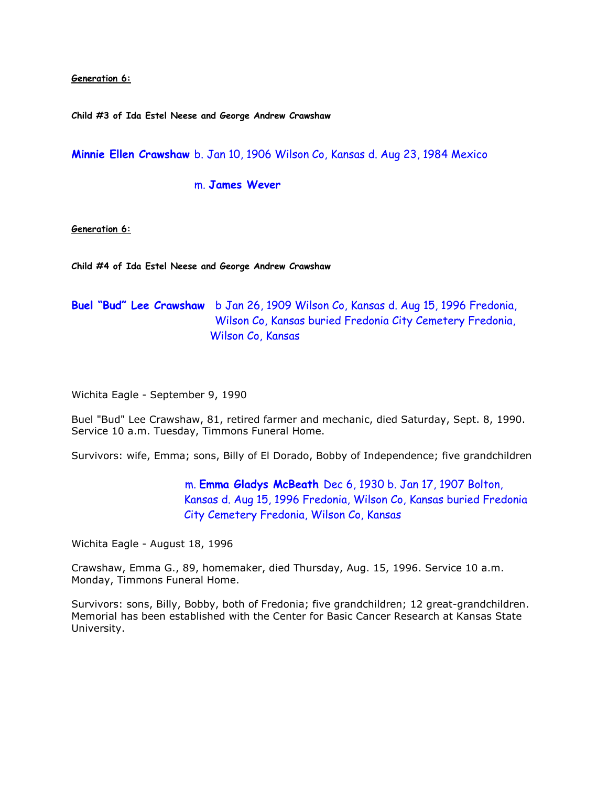**Generation 6:**

**Child #3 of Ida Estel Neese and George Andrew Crawshaw**

**Minnie Ellen Crawshaw** b. Jan 10, 1906 Wilson Co, Kansas d. Aug 23, 1984 Mexico

m. **James Wever**

**Generation 6:**

**Child #4 of Ida Estel Neese and George Andrew Crawshaw**

**Buel "Bud" Lee Crawshaw** b Jan 26, 1909 Wilson Co, Kansas d. Aug 15, 1996 Fredonia, Wilson Co, Kansas buried Fredonia City Cemetery Fredonia, Wilson Co, Kansas

Wichita Eagle - September 9, 1990

Buel "Bud" Lee Crawshaw, 81, retired farmer and mechanic, died Saturday, Sept. 8, 1990. Service 10 a.m. Tuesday, Timmons Funeral Home.

Survivors: wife, Emma; sons, Billy of El Dorado, Bobby of Independence; five grandchildren

m. **Emma Gladys McBeath** Dec 6, 1930 b. Jan 17, 1907 Bolton, Kansas d. Aug 15, 1996 Fredonia, Wilson Co, Kansas buried Fredonia City Cemetery Fredonia, Wilson Co, Kansas

Wichita Eagle - August 18, 1996

Crawshaw, Emma G., 89, homemaker, died Thursday, Aug. 15, 1996. Service 10 a.m. Monday, Timmons Funeral Home.

Survivors: sons, Billy, Bobby, both of Fredonia; five grandchildren; 12 great-grandchildren. Memorial has been established with the Center for Basic Cancer Research at Kansas State University.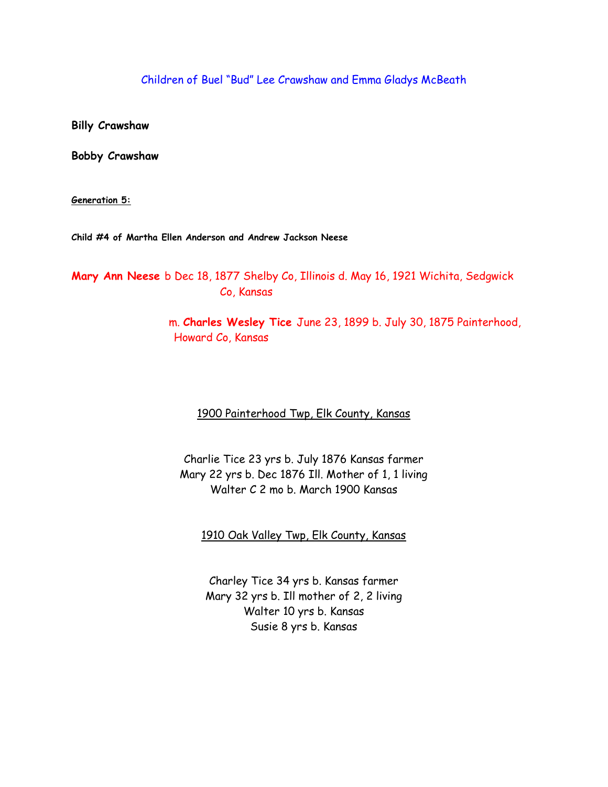Children of Buel "Bud" Lee Crawshaw and Emma Gladys McBeath

**Billy Crawshaw**

**Bobby Crawshaw**

**Generation 5:**

**Child #4 of Martha Ellen Anderson and Andrew Jackson Neese**

**Mary Ann Neese** b Dec 18, 1877 Shelby Co, Illinois d. May 16, 1921 Wichita, Sedgwick Co, Kansas

> m. **Charles Wesley Tice** June 23, 1899 b. July 30, 1875 Painterhood, Howard Co, Kansas

1900 Painterhood Twp, Elk County, Kansas

Charlie Tice 23 yrs b. July 1876 Kansas farmer Mary 22 yrs b. Dec 1876 Ill. Mother of 1, 1 living Walter C 2 mo b. March 1900 Kansas

1910 Oak Valley Twp, Elk County, Kansas

Charley Tice 34 yrs b. Kansas farmer Mary 32 yrs b. Ill mother of 2, 2 living Walter 10 yrs b. Kansas Susie 8 yrs b. Kansas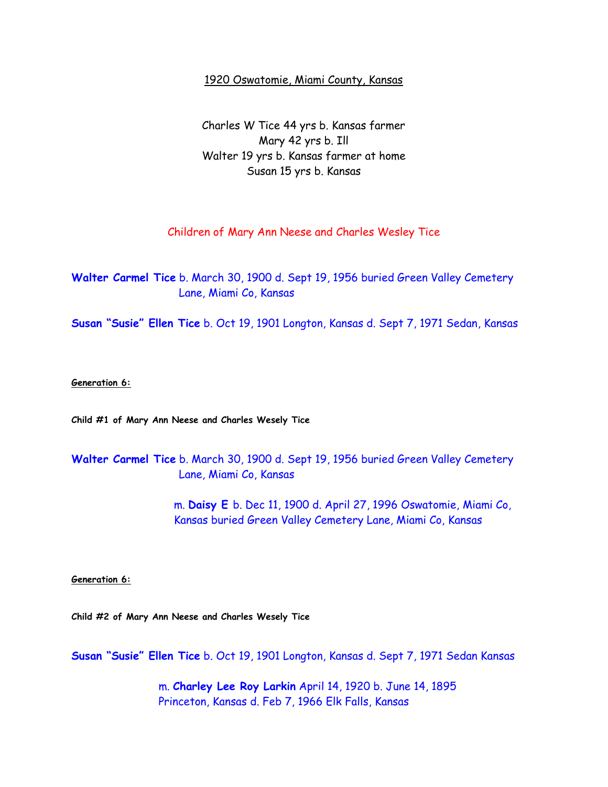#### 1920 Oswatomie, Miami County, Kansas

Charles W Tice 44 yrs b. Kansas farmer Mary 42 yrs b. Ill Walter 19 yrs b. Kansas farmer at home Susan 15 yrs b. Kansas

#### Children of Mary Ann Neese and Charles Wesley Tice

**Walter Carmel Tice** b. March 30, 1900 d. Sept 19, 1956 buried Green Valley Cemetery Lane, Miami Co, Kansas

**Susan "Susie" Ellen Tice** b. Oct 19, 1901 Longton, Kansas d. Sept 7, 1971 Sedan, Kansas

#### **Generation 6:**

**Child #1 of Mary Ann Neese and Charles Wesely Tice**

**Walter Carmel Tice** b. March 30, 1900 d. Sept 19, 1956 buried Green Valley Cemetery Lane, Miami Co, Kansas

> m. **Daisy E** b. Dec 11, 1900 d. April 27, 1996 Oswatomie, Miami Co, Kansas buried Green Valley Cemetery Lane, Miami Co, Kansas

#### **Generation 6:**

**Child #2 of Mary Ann Neese and Charles Wesely Tice**

**Susan "Susie" Ellen Tice** b. Oct 19, 1901 Longton, Kansas d. Sept 7, 1971 Sedan Kansas

 m. **Charley Lee Roy Larkin** April 14, 1920 b. June 14, 1895 Princeton, Kansas d. Feb 7, 1966 Elk Falls, Kansas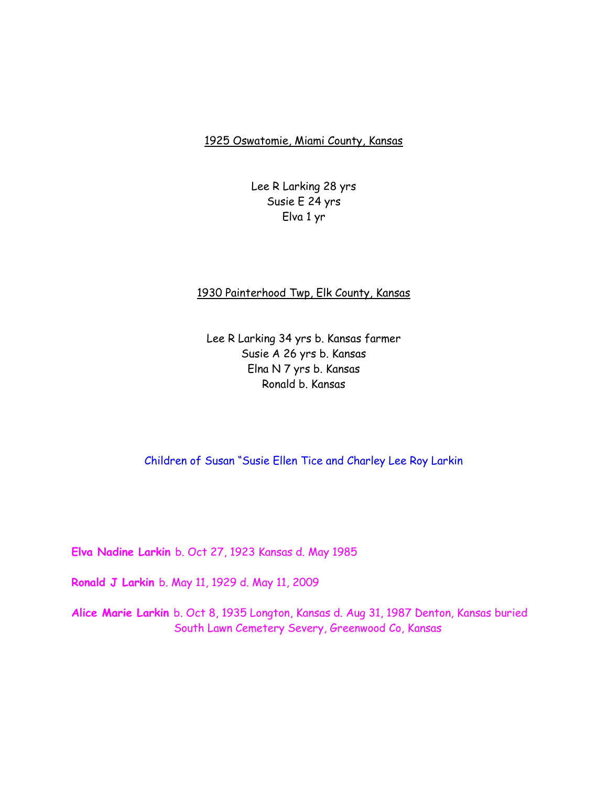#### 1925 Oswatomie, Miami County, Kansas

Lee R Larking 28 yrs Susie E 24 yrs Elva 1 yr

# 1930 Painterhood Twp, Elk County, Kansas

Lee R Larking 34 yrs b. Kansas farmer Susie A 26 yrs b. Kansas Elna N 7 yrs b. Kansas Ronald b. Kansas

Children of Susan "Susie Ellen Tice and Charley Lee Roy Larkin

**Elva Nadine Larkin** b. Oct 27, 1923 Kansas d. May 1985

**Ronald J Larkin** b. May 11, 1929 d. May 11, 2009

**Alice Marie Larkin** b. Oct 8, 1935 Longton, Kansas d. Aug 31, 1987 Denton, Kansas buried South Lawn Cemetery Severy, Greenwood Co, Kansas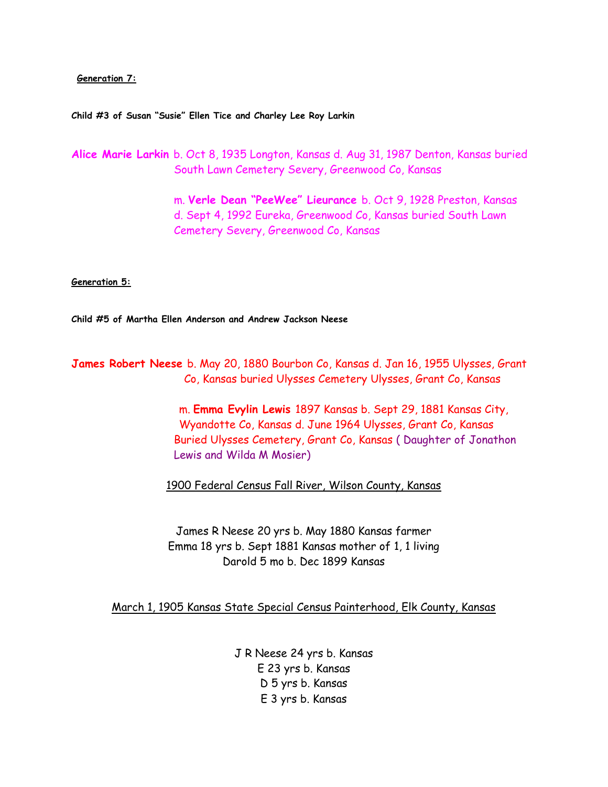#### **Generation 7:**

**Child #3 of Susan "Susie" Ellen Tice and Charley Lee Roy Larkin**

**Alice Marie Larkin** b. Oct 8, 1935 Longton, Kansas d. Aug 31, 1987 Denton, Kansas buried South Lawn Cemetery Severy, Greenwood Co, Kansas

> m. **Verle Dean "PeeWee" Lieurance** b. Oct 9, 1928 Preston, Kansas d. Sept 4, 1992 Eureka, Greenwood Co, Kansas buried South Lawn Cemetery Severy, Greenwood Co, Kansas

**Generation 5:**

**Child #5 of Martha Ellen Anderson and Andrew Jackson Neese**

**James Robert Neese** b. May 20, 1880 Bourbon Co, Kansas d. Jan 16, 1955 Ulysses, Grant Co, Kansas buried Ulysses Cemetery Ulysses, Grant Co, Kansas

> m. **Emma Evylin Lewis** 1897 Kansas b. Sept 29, 1881 Kansas City, Wyandotte Co, Kansas d. June 1964 Ulysses, Grant Co, Kansas Buried Ulysses Cemetery, Grant Co, Kansas ( Daughter of Jonathon Lewis and Wilda M Mosier)

1900 Federal Census Fall River, Wilson County, Kansas

James R Neese 20 yrs b. May 1880 Kansas farmer Emma 18 yrs b. Sept 1881 Kansas mother of 1, 1 living Darold 5 mo b. Dec 1899 Kansas

March 1, 1905 Kansas State Special Census Painterhood, Elk County, Kansas

J R Neese 24 yrs b. Kansas E 23 yrs b. Kansas D 5 yrs b. Kansas E 3 yrs b. Kansas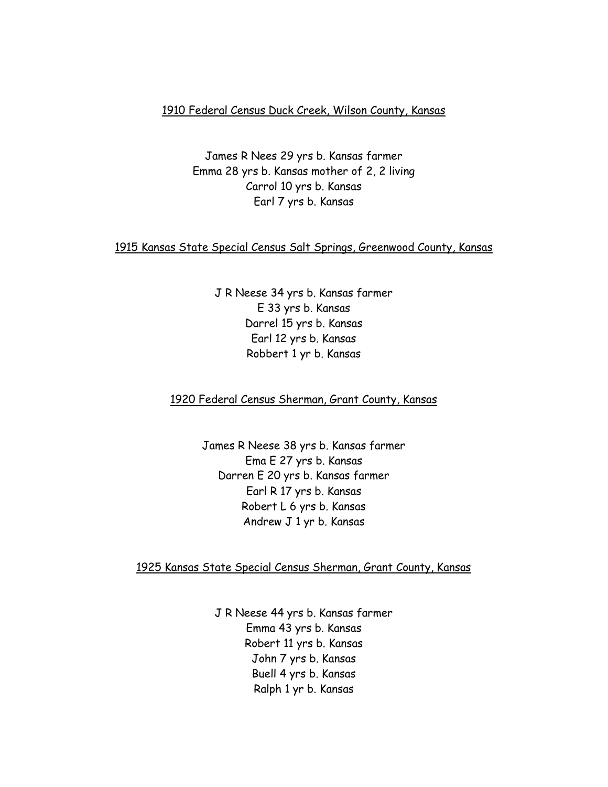## 1910 Federal Census Duck Creek, Wilson County, Kansas

James R Nees 29 yrs b. Kansas farmer Emma 28 yrs b. Kansas mother of 2, 2 living Carrol 10 yrs b. Kansas Earl 7 yrs b. Kansas

### 1915 Kansas State Special Census Salt Springs, Greenwood County, Kansas

J R Neese 34 yrs b. Kansas farmer E 33 yrs b. Kansas Darrel 15 yrs b. Kansas Earl 12 yrs b. Kansas Robbert 1 yr b. Kansas

1920 Federal Census Sherman, Grant County, Kansas

James R Neese 38 yrs b. Kansas farmer Ema E 27 yrs b. Kansas Darren E 20 yrs b. Kansas farmer Earl R 17 yrs b. Kansas Robert L 6 yrs b. Kansas Andrew J 1 yr b. Kansas

#### 1925 Kansas State Special Census Sherman, Grant County, Kansas

J R Neese 44 yrs b. Kansas farmer Emma 43 yrs b. Kansas Robert 11 yrs b. Kansas John 7 yrs b. Kansas Buell 4 yrs b. Kansas Ralph 1 yr b. Kansas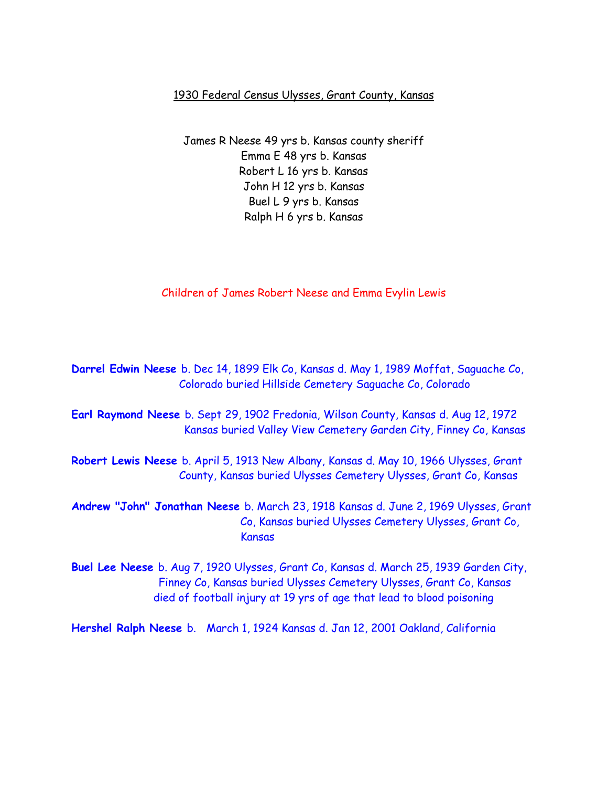### 1930 Federal Census Ulysses, Grant County, Kansas

James R Neese 49 yrs b. Kansas county sheriff Emma E 48 yrs b. Kansas Robert L 16 yrs b. Kansas John H 12 yrs b. Kansas Buel L 9 yrs b. Kansas Ralph H 6 yrs b. Kansas

### Children of James Robert Neese and Emma Evylin Lewis

**Darrel Edwin Neese** b. Dec 14, 1899 Elk Co, Kansas d. May 1, 1989 Moffat, Saguache Co, Colorado buried Hillside Cemetery Saguache Co, Colorado

**Earl Raymond Neese** b. Sept 29, 1902 Fredonia, Wilson County, Kansas d. Aug 12, 1972 Kansas buried Valley View Cemetery Garden City, Finney Co, Kansas

**Robert Lewis Neese** b. April 5, 1913 New Albany, Kansas d. May 10, 1966 Ulysses, Grant County, Kansas buried Ulysses Cemetery Ulysses, Grant Co, Kansas

**Andrew "John" Jonathan Neese** b. March 23, 1918 Kansas d. June 2, 1969 Ulysses, Grant Co, Kansas buried Ulysses Cemetery Ulysses, Grant Co, Kansas

**Buel Lee Neese** b. Aug 7, 1920 Ulysses, Grant Co, Kansas d. March 25, 1939 Garden City, Finney Co, Kansas buried Ulysses Cemetery Ulysses, Grant Co, Kansas died of football injury at 19 yrs of age that lead to blood poisoning

**Hershel Ralph Neese** b. March 1, 1924 Kansas d. Jan 12, 2001 Oakland, California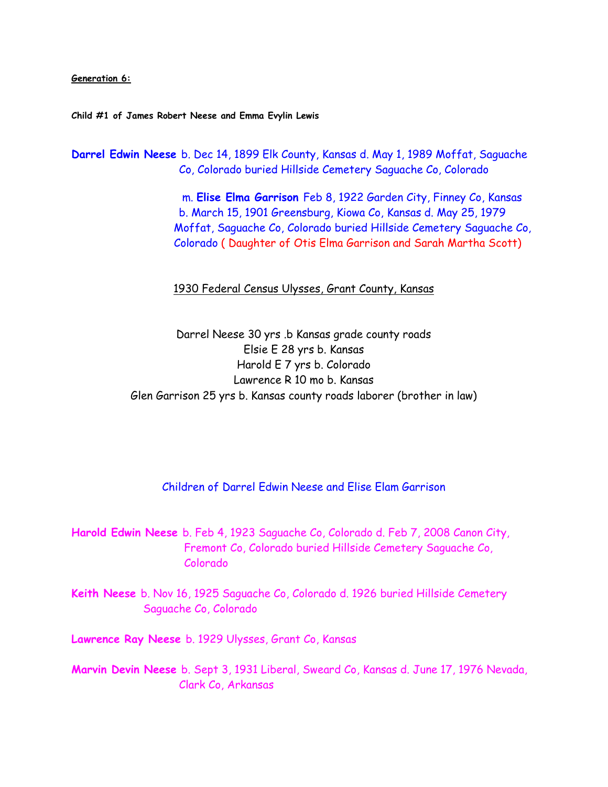**Generation 6:**

**Child #1 of James Robert Neese and Emma Evylin Lewis**

**Darrel Edwin Neese** b. Dec 14, 1899 Elk County, Kansas d. May 1, 1989 Moffat, Saguache Co, Colorado buried Hillside Cemetery Saguache Co, Colorado

> m. **Elise Elma Garrison** Feb 8, 1922 Garden City, Finney Co, Kansas b. March 15, 1901 Greensburg, Kiowa Co, Kansas d. May 25, 1979 Moffat, Saguache Co, Colorado buried Hillside Cemetery Saguache Co, Colorado ( Daughter of Otis Elma Garrison and Sarah Martha Scott)

#### 1930 Federal Census Ulysses, Grant County, Kansas

Darrel Neese 30 yrs .b Kansas grade county roads Elsie E 28 yrs b. Kansas Harold E 7 yrs b. Colorado Lawrence R 10 mo b. Kansas Glen Garrison 25 yrs b. Kansas county roads laborer (brother in law)

Children of Darrel Edwin Neese and Elise Elam Garrison

**Harold Edwin Neese** b. Feb 4, 1923 Saguache Co, Colorado d. Feb 7, 2008 Canon City, Fremont Co, Colorado buried Hillside Cemetery Saguache Co, Colorado

**Keith Neese** b. Nov 16, 1925 Saguache Co, Colorado d. 1926 buried Hillside Cemetery Saguache Co, Colorado

**Lawrence Ray Neese** b. 1929 Ulysses, Grant Co, Kansas

**Marvin Devin Neese** b. Sept 3, 1931 Liberal, Sweard Co, Kansas d. June 17, 1976 Nevada, Clark Co, Arkansas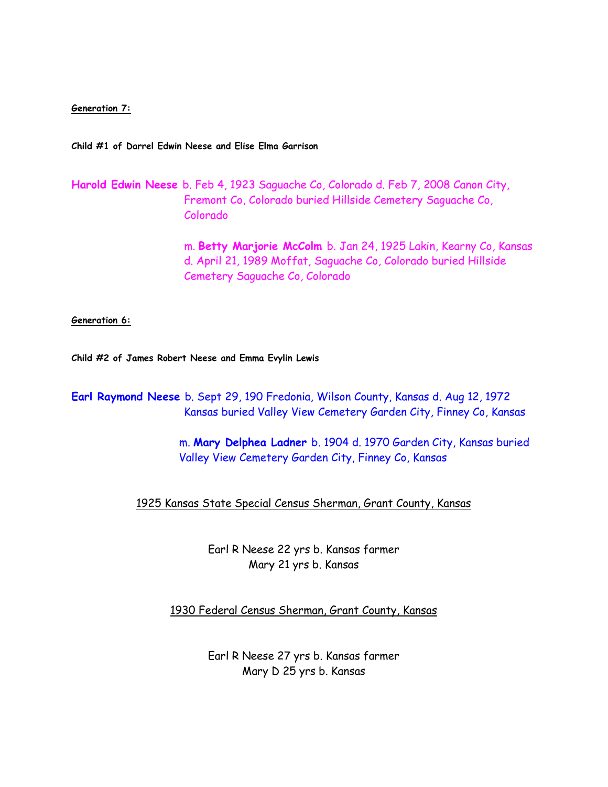#### **Generation 7:**

**Child #1 of Darrel Edwin Neese and Elise Elma Garrison**

**Harold Edwin Neese** b. Feb 4, 1923 Saguache Co, Colorado d. Feb 7, 2008 Canon City, Fremont Co, Colorado buried Hillside Cemetery Saguache Co, Colorado

> m. **Betty Marjorie McColm** b. Jan 24, 1925 Lakin, Kearny Co, Kansas d. April 21, 1989 Moffat, Saguache Co, Colorado buried Hillside Cemetery Saguache Co, Colorado

**Generation 6:**

**Child #2 of James Robert Neese and Emma Evylin Lewis**

**Earl Raymond Neese** b. Sept 29, 190 Fredonia, Wilson County, Kansas d. Aug 12, 1972 Kansas buried Valley View Cemetery Garden City, Finney Co, Kansas

> m. **Mary Delphea Ladner** b. 1904 d. 1970 Garden City, Kansas buried Valley View Cemetery Garden City, Finney Co, Kansas

1925 Kansas State Special Census Sherman, Grant County, Kansas

Earl R Neese 22 yrs b. Kansas farmer Mary 21 yrs b. Kansas

1930 Federal Census Sherman, Grant County, Kansas

Earl R Neese 27 yrs b. Kansas farmer Mary D 25 yrs b. Kansas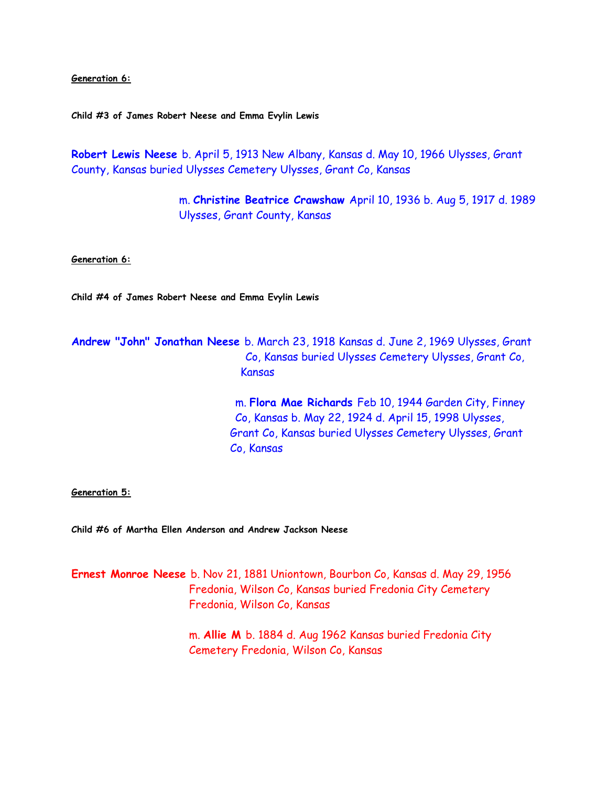**Generation 6:**

**Child #3 of James Robert Neese and Emma Evylin Lewis**

**Robert Lewis Neese** b. April 5, 1913 New Albany, Kansas d. May 10, 1966 Ulysses, Grant County, Kansas buried Ulysses Cemetery Ulysses, Grant Co, Kansas

> m. **Christine Beatrice Crawshaw** April 10, 1936 b. Aug 5, 1917 d. 1989 Ulysses, Grant County, Kansas

**Generation 6:**

**Child #4 of James Robert Neese and Emma Evylin Lewis**

**Andrew "John" Jonathan Neese** b. March 23, 1918 Kansas d. June 2, 1969 Ulysses, Grant Co, Kansas buried Ulysses Cemetery Ulysses, Grant Co, Kansas

> m. **Flora Mae Richards** Feb 10, 1944 Garden City, Finney Co, Kansas b. May 22, 1924 d. April 15, 1998 Ulysses, Grant Co, Kansas buried Ulysses Cemetery Ulysses, Grant Co, Kansas

**Generation 5:**

**Child #6 of Martha Ellen Anderson and Andrew Jackson Neese**

**Ernest Monroe Neese** b. Nov 21, 1881 Uniontown, Bourbon Co, Kansas d. May 29, 1956 Fredonia, Wilson Co, Kansas buried Fredonia City Cemetery Fredonia, Wilson Co, Kansas

> m. **Allie M** b. 1884 d. Aug 1962 Kansas buried Fredonia City Cemetery Fredonia, Wilson Co, Kansas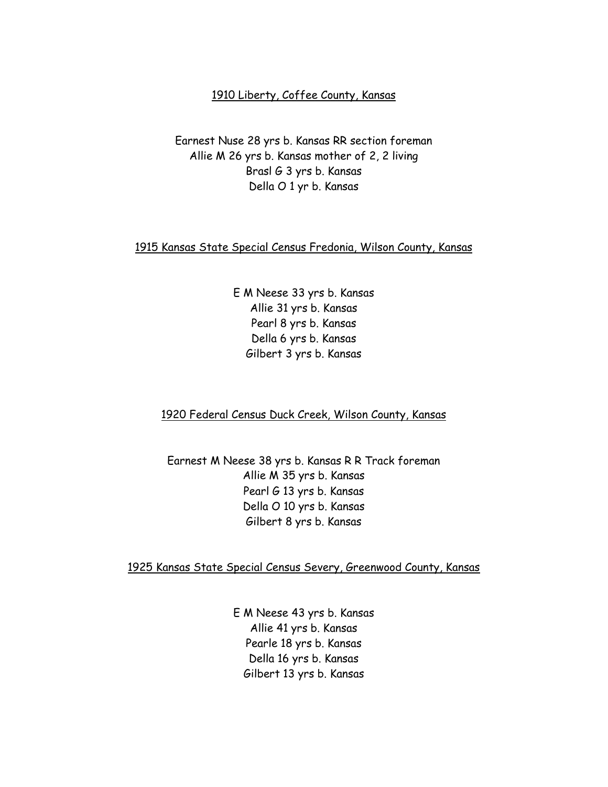# 1910 Liberty, Coffee County, Kansas

Earnest Nuse 28 yrs b. Kansas RR section foreman Allie M 26 yrs b. Kansas mother of 2, 2 living Brasl G 3 yrs b. Kansas Della O 1 yr b. Kansas

### 1915 Kansas State Special Census Fredonia, Wilson County, Kansas

E M Neese 33 yrs b. Kansas Allie 31 yrs b. Kansas Pearl 8 yrs b. Kansas Della 6 yrs b. Kansas Gilbert 3 yrs b. Kansas

#### 1920 Federal Census Duck Creek, Wilson County, Kansas

Earnest M Neese 38 yrs b. Kansas R R Track foreman Allie M 35 yrs b. Kansas Pearl G 13 yrs b. Kansas Della O 10 yrs b. Kansas Gilbert 8 yrs b. Kansas

1925 Kansas State Special Census Severy, Greenwood County, Kansas

E M Neese 43 yrs b. Kansas Allie 41 yrs b. Kansas Pearle 18 yrs b. Kansas Della 16 yrs b. Kansas Gilbert 13 yrs b. Kansas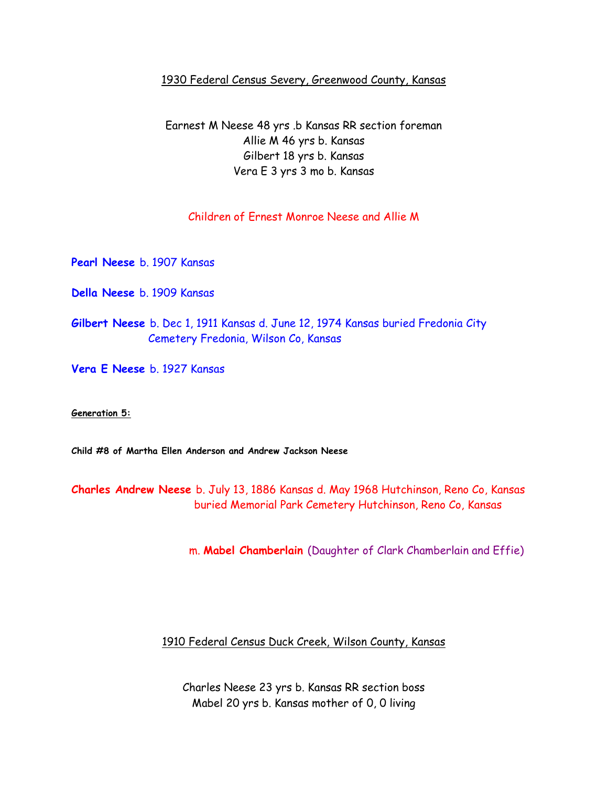### 1930 Federal Census Severy, Greenwood County, Kansas

Earnest M Neese 48 yrs .b Kansas RR section foreman Allie M 46 yrs b. Kansas Gilbert 18 yrs b. Kansas Vera E 3 yrs 3 mo b. Kansas

### Children of Ernest Monroe Neese and Allie M

**Pearl Neese** b. 1907 Kansas

**Della Neese** b. 1909 Kansas

**Gilbert Neese** b. Dec 1, 1911 Kansas d. June 12, 1974 Kansas buried Fredonia City Cemetery Fredonia, Wilson Co, Kansas

**Vera E Neese** b. 1927 Kansas

**Generation 5:**

**Child #8 of Martha Ellen Anderson and Andrew Jackson Neese**

**Charles Andrew Neese** b. July 13, 1886 Kansas d. May 1968 Hutchinson, Reno Co, Kansas buried Memorial Park Cemetery Hutchinson, Reno Co, Kansas

m. **Mabel Chamberlain** (Daughter of Clark Chamberlain and Effie)

### 1910 Federal Census Duck Creek, Wilson County, Kansas

Charles Neese 23 yrs b. Kansas RR section boss Mabel 20 yrs b. Kansas mother of 0, 0 living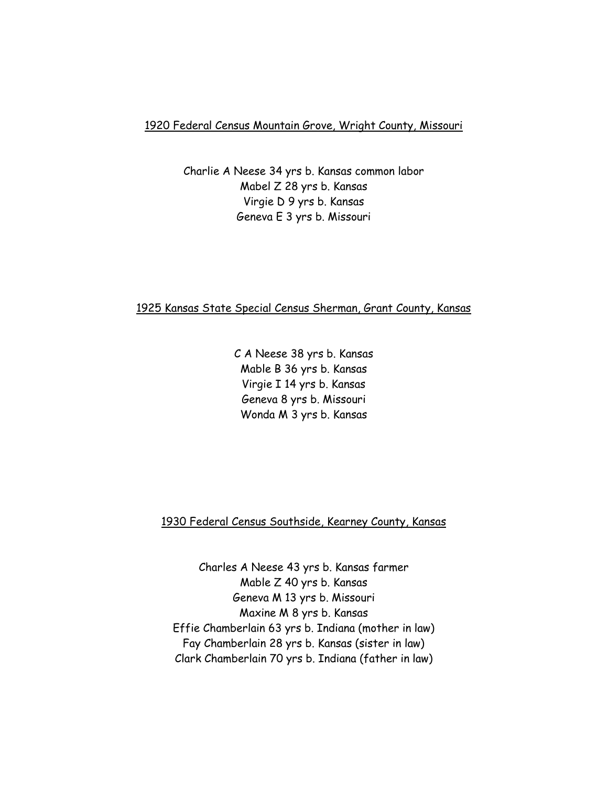### 1920 Federal Census Mountain Grove, Wright County, Missouri

Charlie A Neese 34 yrs b. Kansas common labor Mabel Z 28 yrs b. Kansas Virgie D 9 yrs b. Kansas Geneva E 3 yrs b. Missouri

# 1925 Kansas State Special Census Sherman, Grant County, Kansas

C A Neese 38 yrs b. Kansas Mable B 36 yrs b. Kansas Virgie I 14 yrs b. Kansas Geneva 8 yrs b. Missouri Wonda M 3 yrs b. Kansas

# 1930 Federal Census Southside, Kearney County, Kansas

Charles A Neese 43 yrs b. Kansas farmer Mable Z 40 yrs b. Kansas Geneva M 13 yrs b. Missouri Maxine M 8 yrs b. Kansas Effie Chamberlain 63 yrs b. Indiana (mother in law) Fay Chamberlain 28 yrs b. Kansas (sister in law) Clark Chamberlain 70 yrs b. Indiana (father in law)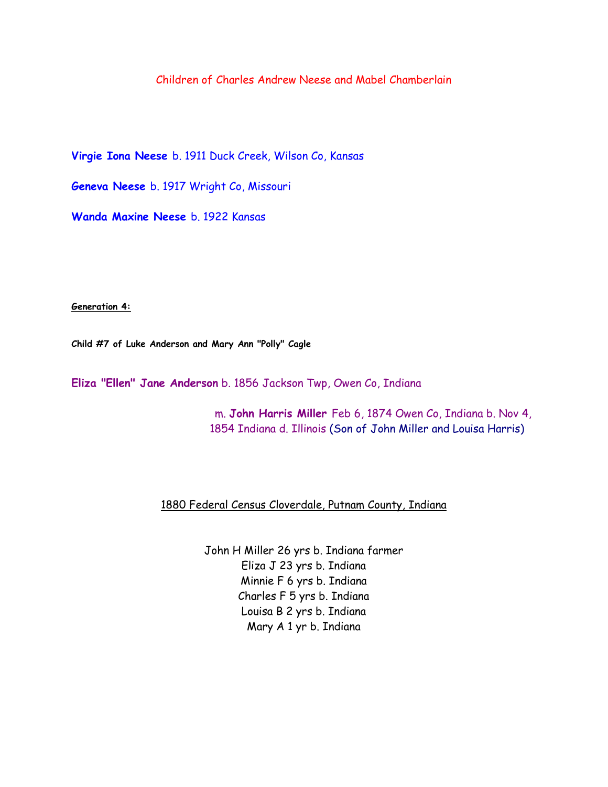# Children of Charles Andrew Neese and Mabel Chamberlain

**Virgie Iona Neese** b. 1911 Duck Creek, Wilson Co, Kansas

**Geneva Neese** b. 1917 Wright Co, Missouri

**Wanda Maxine Neese** b. 1922 Kansas

**Generation 4:**

**Child #7 of Luke Anderson and Mary Ann "Polly" Cagle**

**Eliza "Ellen" Jane Anderson** b. 1856 Jackson Twp, Owen Co, Indiana

 m. **John Harris Miller** Feb 6, 1874 Owen Co, Indiana b. Nov 4, 1854 Indiana d. Illinois (Son of John Miller and Louisa Harris)

## 1880 Federal Census Cloverdale, Putnam County, Indiana

John H Miller 26 yrs b. Indiana farmer Eliza J 23 yrs b. Indiana Minnie F 6 yrs b. Indiana Charles F 5 yrs b. Indiana Louisa B 2 yrs b. Indiana Mary A 1 yr b. Indiana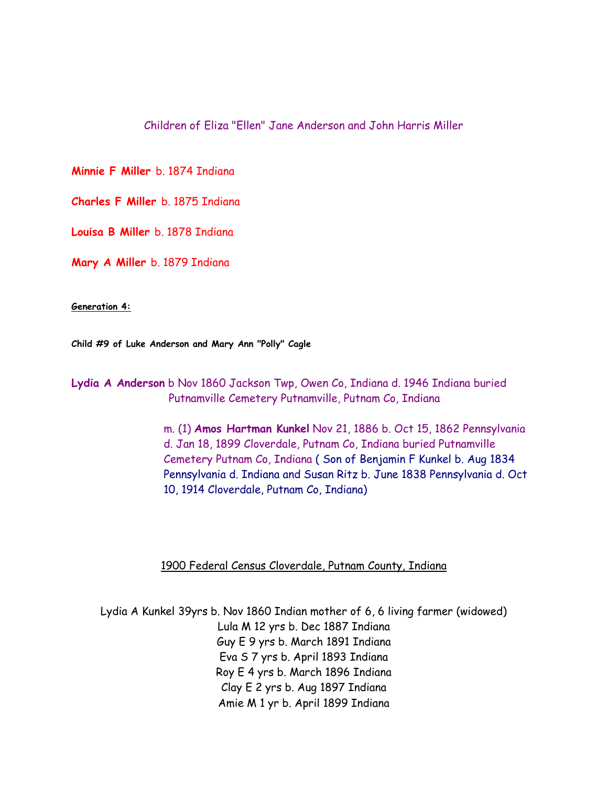Children of Eliza "Ellen" Jane Anderson and John Harris Miller

**Minnie F Miller** b. 1874 Indiana

**Charles F Miller** b. 1875 Indiana

**Louisa B Miller** b. 1878 Indiana

**Mary A Miller** b. 1879 Indiana

**Generation 4:**

**Child #9 of Luke Anderson and Mary Ann "Polly" Cagle**

**Lydia A Anderson** b Nov 1860 Jackson Twp, Owen Co, Indiana d. 1946 Indiana buried Putnamville Cemetery Putnamville, Putnam Co, Indiana

> m. (1) **Amos Hartman Kunkel** Nov 21, 1886 b. Oct 15, 1862 Pennsylvania d. Jan 18, 1899 Cloverdale, Putnam Co, Indiana buried Putnamville Cemetery Putnam Co, Indiana ( Son of Benjamin F Kunkel b. Aug 1834 Pennsylvania d. Indiana and Susan Ritz b. June 1838 Pennsylvania d. Oct 10, 1914 Cloverdale, Putnam Co, Indiana)

### 1900 Federal Census Cloverdale, Putnam County, Indiana

Lydia A Kunkel 39yrs b. Nov 1860 Indian mother of 6, 6 living farmer (widowed) Lula M 12 yrs b. Dec 1887 Indiana Guy E 9 yrs b. March 1891 Indiana Eva S 7 yrs b. April 1893 Indiana Roy E 4 yrs b. March 1896 Indiana Clay E 2 yrs b. Aug 1897 Indiana Amie M 1 yr b. April 1899 Indiana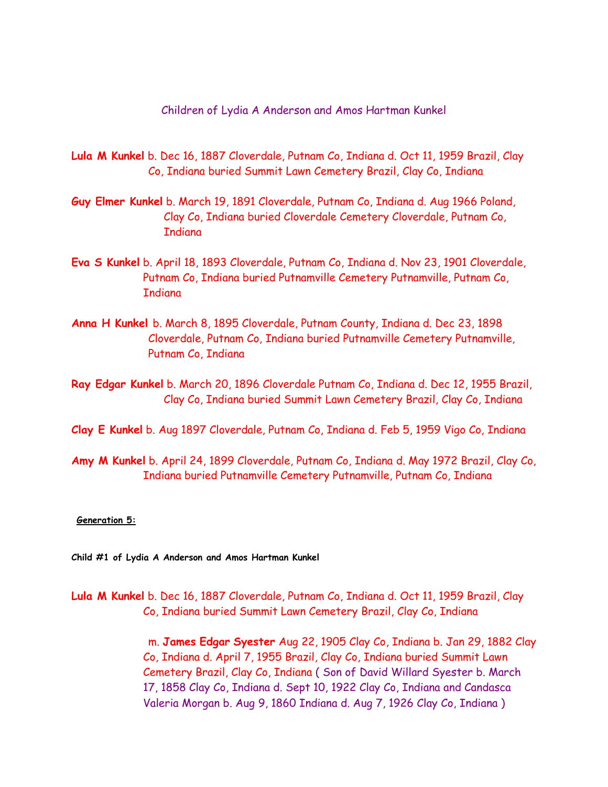Children of Lydia A Anderson and Amos Hartman Kunkel

- **Lula M Kunkel** b. Dec 16, 1887 Cloverdale, Putnam Co, Indiana d. Oct 11, 1959 Brazil, Clay Co, Indiana buried Summit Lawn Cemetery Brazil, Clay Co, Indiana
- **Guy Elmer Kunkel** b. March 19, 1891 Cloverdale, Putnam Co, Indiana d. Aug 1966 Poland, Clay Co, Indiana buried Cloverdale Cemetery Cloverdale, Putnam Co, **T**ndiana
- **Eva S Kunkel** b. April 18, 1893 Cloverdale, Putnam Co, Indiana d. Nov 23, 1901 Cloverdale, Putnam Co, Indiana buried Putnamville Cemetery Putnamville, Putnam Co, **Indiana**
- **Anna H Kunkel** b. March 8, 1895 Cloverdale, Putnam County, Indiana d. Dec 23, 1898 Cloverdale, Putnam Co, Indiana buried Putnamville Cemetery Putnamville, Putnam Co, Indiana
- **Ray Edgar Kunkel** b. March 20, 1896 Cloverdale Putnam Co, Indiana d. Dec 12, 1955 Brazil, Clay Co, Indiana buried Summit Lawn Cemetery Brazil, Clay Co, Indiana
- **Clay E Kunkel** b. Aug 1897 Cloverdale, Putnam Co, Indiana d. Feb 5, 1959 Vigo Co, Indiana
- **Amy M Kunkel** b. April 24, 1899 Cloverdale, Putnam Co, Indiana d. May 1972 Brazil, Clay Co, Indiana buried Putnamville Cemetery Putnamville, Putnam Co, Indiana

#### **Generation 5:**

**Child #1 of Lydia A Anderson and Amos Hartman Kunkel**

**Lula M Kunkel** b. Dec 16, 1887 Cloverdale, Putnam Co, Indiana d. Oct 11, 1959 Brazil, Clay Co, Indiana buried Summit Lawn Cemetery Brazil, Clay Co, Indiana

> m. **James Edgar Syester** Aug 22, 1905 Clay Co, Indiana b. Jan 29, 1882 Clay Co, Indiana d. April 7, 1955 Brazil, Clay Co, Indiana buried Summit Lawn Cemetery Brazil, Clay Co, Indiana ( Son of David Willard Syester b. March 17, 1858 Clay Co, Indiana d. Sept 10, 1922 Clay Co, Indiana and Candasca Valeria Morgan b. Aug 9, 1860 Indiana d. Aug 7, 1926 Clay Co, Indiana )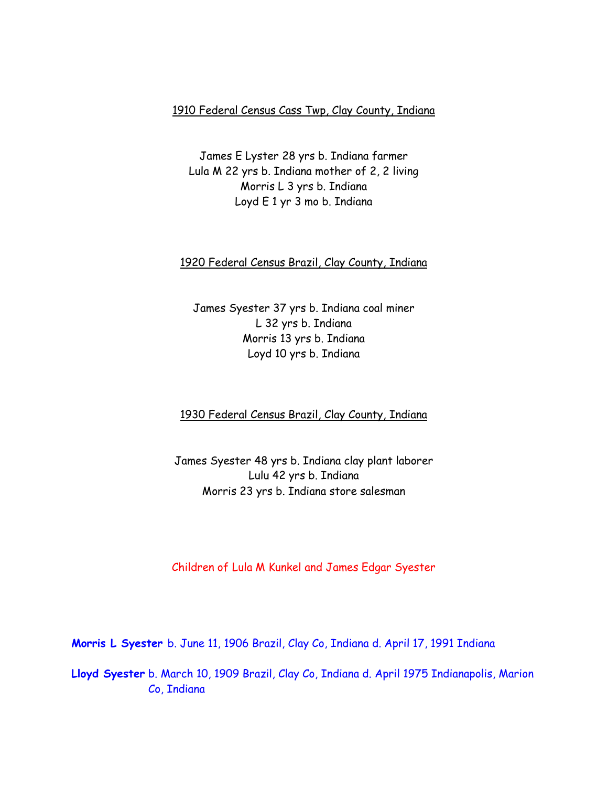## 1910 Federal Census Cass Twp, Clay County, Indiana

James E Lyster 28 yrs b. Indiana farmer Lula M 22 yrs b. Indiana mother of 2, 2 living Morris L 3 yrs b. Indiana Loyd E 1 yr 3 mo b. Indiana

### 1920 Federal Census Brazil, Clay County, Indiana

James Syester 37 yrs b. Indiana coal miner L 32 yrs b. Indiana Morris 13 yrs b. Indiana Loyd 10 yrs b. Indiana

### 1930 Federal Census Brazil, Clay County, Indiana

James Syester 48 yrs b. Indiana clay plant laborer Lulu 42 yrs b. Indiana Morris 23 yrs b. Indiana store salesman

Children of Lula M Kunkel and James Edgar Syester

**Morris L Syester** b. June 11, 1906 Brazil, Clay Co, Indiana d. April 17, 1991 Indiana

**Lloyd Syester** b. March 10, 1909 Brazil, Clay Co, Indiana d. April 1975 Indianapolis, Marion Co, Indiana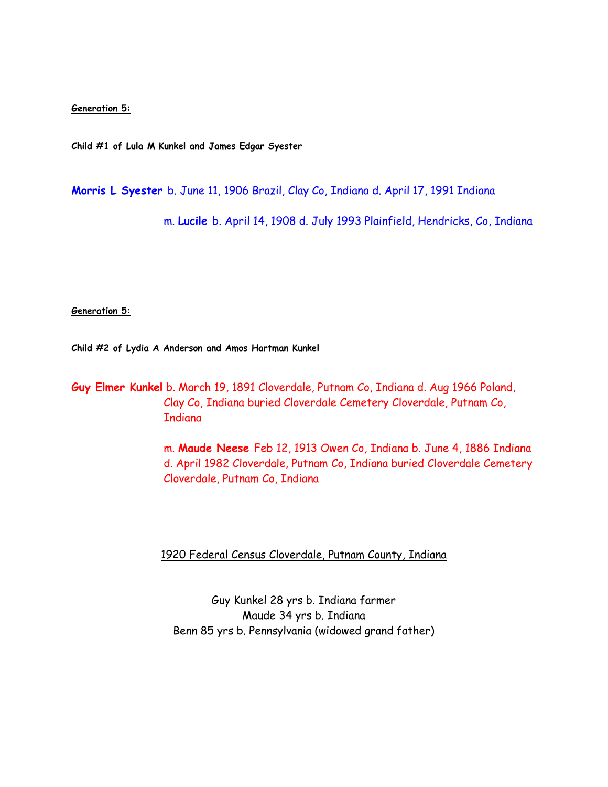**Generation 5:**

**Child #1 of Lula M Kunkel and James Edgar Syester**

**Morris L Syester** b. June 11, 1906 Brazil, Clay Co, Indiana d. April 17, 1991 Indiana

m. **Lucile** b. April 14, 1908 d. July 1993 Plainfield, Hendricks, Co, Indiana

**Generation 5:**

**Child #2 of Lydia A Anderson and Amos Hartman Kunkel**

**Guy Elmer Kunkel** b. March 19, 1891 Cloverdale, Putnam Co, Indiana d. Aug 1966 Poland, Clay Co, Indiana buried Cloverdale Cemetery Cloverdale, Putnam Co, Indiana

> m. **Maude Neese** Feb 12, 1913 Owen Co, Indiana b. June 4, 1886 Indiana d. April 1982 Cloverdale, Putnam Co, Indiana buried Cloverdale Cemetery Cloverdale, Putnam Co, Indiana

## 1920 Federal Census Cloverdale, Putnam County, Indiana

Guy Kunkel 28 yrs b. Indiana farmer Maude 34 yrs b. Indiana Benn 85 yrs b. Pennsylvania (widowed grand father)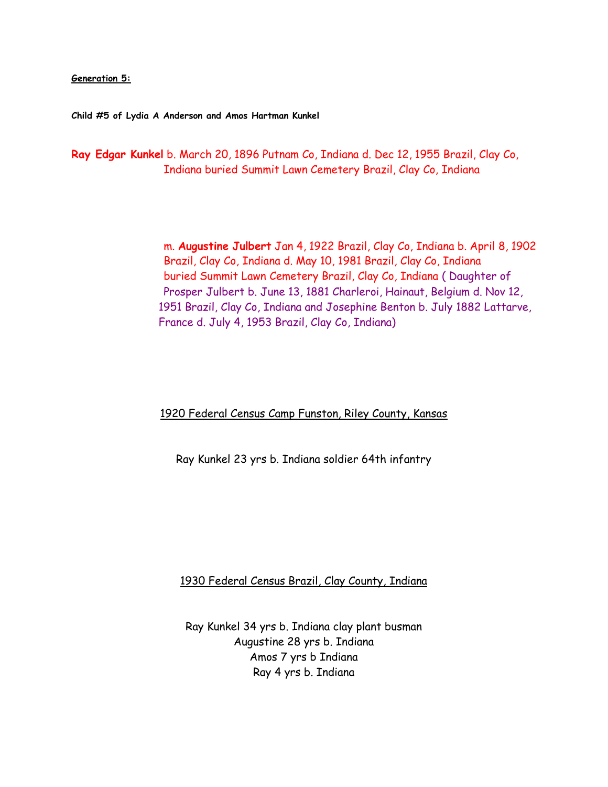**Generation 5:**

**Child #5 of Lydia A Anderson and Amos Hartman Kunkel**

**Ray Edgar Kunkel** b. March 20, 1896 Putnam Co, Indiana d. Dec 12, 1955 Brazil, Clay Co, Indiana buried Summit Lawn Cemetery Brazil, Clay Co, Indiana

> m. **Augustine Julbert** Jan 4, 1922 Brazil, Clay Co, Indiana b. April 8, 1902 Brazil, Clay Co, Indiana d. May 10, 1981 Brazil, Clay Co, Indiana buried Summit Lawn Cemetery Brazil, Clay Co, Indiana ( Daughter of Prosper Julbert b. June 13, 1881 Charleroi, Hainaut, Belgium d. Nov 12, 1951 Brazil, Clay Co, Indiana and Josephine Benton b. July 1882 Lattarve, France d. July 4, 1953 Brazil, Clay Co, Indiana)

### 1920 Federal Census Camp Funston, Riley County, Kansas

Ray Kunkel 23 yrs b. Indiana soldier 64th infantry

### 1930 Federal Census Brazil, Clay County, Indiana

Ray Kunkel 34 yrs b. Indiana clay plant busman Augustine 28 yrs b. Indiana Amos 7 yrs b Indiana Ray 4 yrs b. Indiana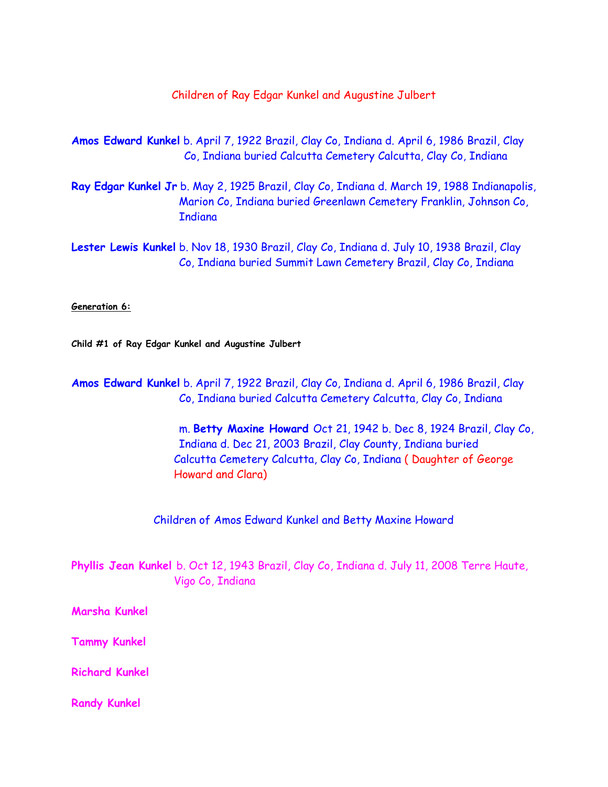### Children of Ray Edgar Kunkel and Augustine Julbert

**Amos Edward Kunkel** b. April 7, 1922 Brazil, Clay Co, Indiana d. April 6, 1986 Brazil, Clay Co, Indiana buried Calcutta Cemetery Calcutta, Clay Co, Indiana

**Ray Edgar Kunkel Jr** b. May 2, 1925 Brazil, Clay Co, Indiana d. March 19, 1988 Indianapolis, Marion Co, Indiana buried Greenlawn Cemetery Franklin, Johnson Co, **Indiana** 

**Lester Lewis Kunkel** b. Nov 18, 1930 Brazil, Clay Co, Indiana d. July 10, 1938 Brazil, Clay Co, Indiana buried Summit Lawn Cemetery Brazil, Clay Co, Indiana

**Generation 6:**

**Child #1 of Ray Edgar Kunkel and Augustine Julbert**

**Amos Edward Kunkel** b. April 7, 1922 Brazil, Clay Co, Indiana d. April 6, 1986 Brazil, Clay Co, Indiana buried Calcutta Cemetery Calcutta, Clay Co, Indiana

> m. **Betty Maxine Howard** Oct 21, 1942 b. Dec 8, 1924 Brazil, Clay Co, Indiana d. Dec 21, 2003 Brazil, Clay County, Indiana buried Calcutta Cemetery Calcutta, Clay Co, Indiana ( Daughter of George Howard and Clara)

Children of Amos Edward Kunkel and Betty Maxine Howard

**Phyllis Jean Kunkel** b. Oct 12, 1943 Brazil, Clay Co, Indiana d. July 11, 2008 Terre Haute, Vigo Co, Indiana

**Marsha Kunkel**

**Tammy Kunkel**

**Richard Kunkel**

**Randy Kunkel**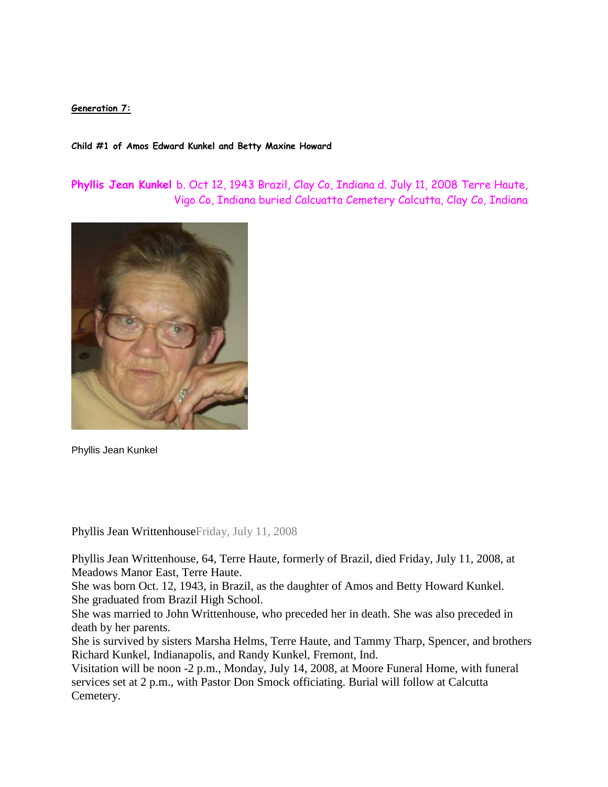### **Generation 7:**

**Child #1 of Amos Edward Kunkel and Betty Maxine Howard**

**Phyllis Jean Kunkel** b. Oct 12, 1943 Brazil, Clay Co, Indiana d. July 11, 2008 Terre Haute, Vigo Co, Indiana buried Calcuatta Cemetery Calcutta, Clay Co, Indiana



Phyllis Jean Kunkel

Phyllis Jean WrittenhouseFriday, July 11, 2008

Phyllis Jean Writtenhouse, 64, Terre Haute, formerly of Brazil, died Friday, July 11, 2008, at Meadows Manor East, Terre Haute.

She was born Oct. 12, 1943, in Brazil, as the daughter of Amos and Betty Howard Kunkel. She graduated from Brazil High School.

She was married to John Writtenhouse, who preceded her in death. She was also preceded in death by her parents.

She is survived by sisters Marsha Helms, Terre Haute, and Tammy Tharp, Spencer, and brothers Richard Kunkel, Indianapolis, and Randy Kunkel, Fremont, Ind.

Visitation will be noon -2 p.m., Monday, July 14, 2008, at Moore Funeral Home, with funeral services set at 2 p.m., with Pastor Don Smock officiating. Burial will follow at Calcutta Cemetery.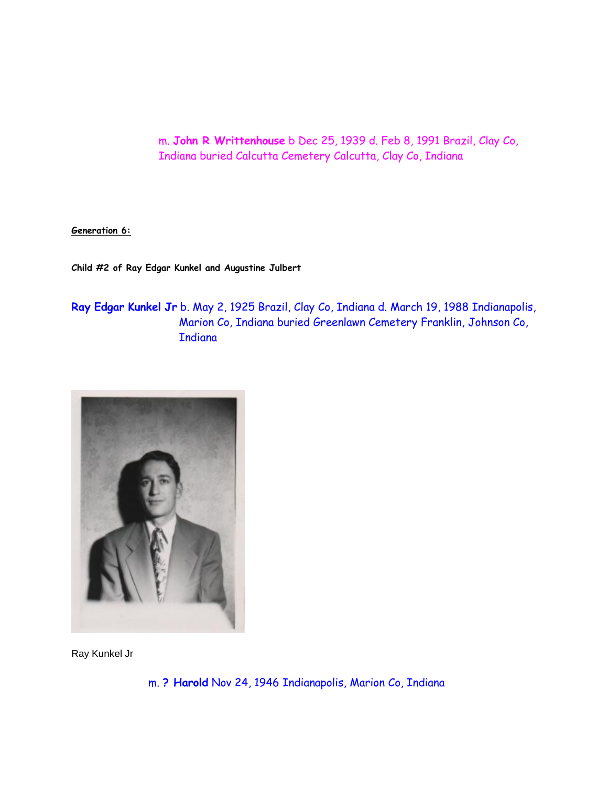m. **John R Writtenhouse** b Dec 25, 1939 d. Feb 8, 1991 Brazil, Clay Co, Indiana buried Calcutta Cemetery Calcutta, Clay Co, Indiana

**Generation 6:**

**Child #2 of Ray Edgar Kunkel and Augustine Julbert**

**Ray Edgar Kunkel Jr** b. May 2, 1925 Brazil, Clay Co, Indiana d. March 19, 1988 Indianapolis, Marion Co, Indiana buried Greenlawn Cemetery Franklin, Johnson Co, **Indiana** 



Ray Kunkel Jr

m. **? Harold** Nov 24, 1946 Indianapolis, Marion Co, Indiana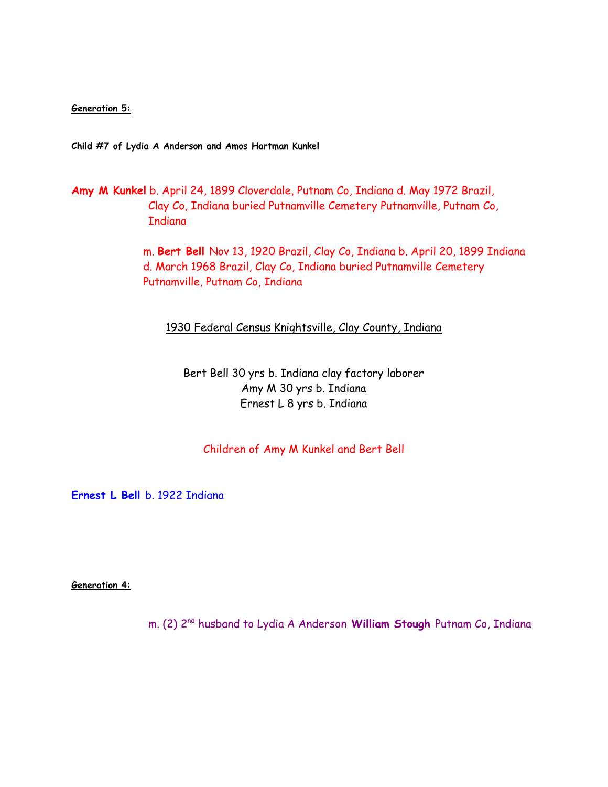**Generation 5:**

**Child #7 of Lydia A Anderson and Amos Hartman Kunkel**

**Amy M Kunkel** b. April 24, 1899 Cloverdale, Putnam Co, Indiana d. May 1972 Brazil, Clay Co, Indiana buried Putnamville Cemetery Putnamville, Putnam Co, **Indiana** 

> m. **Bert Bell** Nov 13, 1920 Brazil, Clay Co, Indiana b. April 20, 1899 Indiana d. March 1968 Brazil, Clay Co, Indiana buried Putnamville Cemetery Putnamville, Putnam Co, Indiana

1930 Federal Census Knightsville, Clay County, Indiana

Bert Bell 30 yrs b. Indiana clay factory laborer Amy M 30 yrs b. Indiana Ernest L 8 yrs b. Indiana

Children of Amy M Kunkel and Bert Bell

**Ernest L Bell** b. 1922 Indiana

**Generation 4:**

m. (2) 2 nd husband to Lydia A Anderson **William Stough** Putnam Co, Indiana